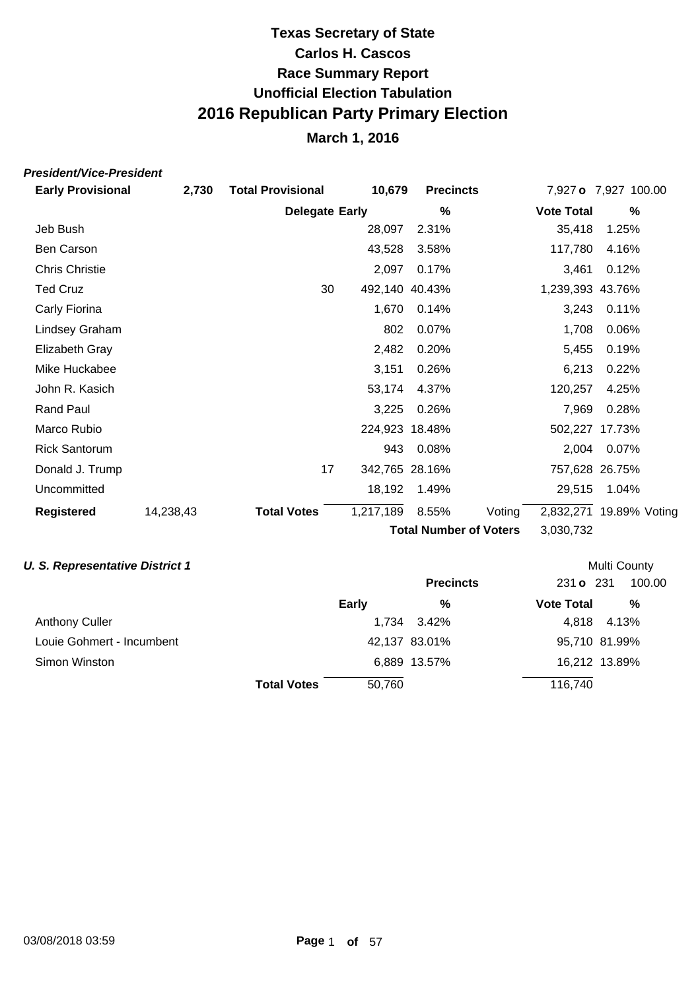### **March 1, 2016**

### **President/Vice-President**

| <b>Early Provisional</b> | 2,730     | <b>Total Provisional</b> | 10,679         | <b>Precincts</b>       |        |                   | 7,927 o 7,927 100.00    |  |
|--------------------------|-----------|--------------------------|----------------|------------------------|--------|-------------------|-------------------------|--|
|                          |           | <b>Delegate Early</b>    |                | %                      |        | <b>Vote Total</b> | %                       |  |
| Jeb Bush                 |           |                          | 28,097         | 2.31%                  |        | 35,418            | 1.25%                   |  |
| Ben Carson               |           |                          | 43,528         | 3.58%                  |        | 117,780           | 4.16%                   |  |
| <b>Chris Christie</b>    |           |                          | 2,097          | 0.17%                  |        | 3,461             | 0.12%                   |  |
| <b>Ted Cruz</b>          |           | 30                       | 492,140 40.43% |                        |        | 1,239,393 43.76%  |                         |  |
| Carly Fiorina            |           |                          | 1,670          | 0.14%                  |        | 3,243             | 0.11%                   |  |
| Lindsey Graham           |           |                          | 802            | 0.07%                  |        | 1,708             | 0.06%                   |  |
| Elizabeth Gray           |           |                          | 2,482          | 0.20%                  |        | 5,455             | 0.19%                   |  |
| Mike Huckabee            |           |                          | 3,151          | 0.26%                  |        | 6,213             | 0.22%                   |  |
| John R. Kasich           |           |                          | 53,174         | 4.37%                  |        | 120,257           | 4.25%                   |  |
| <b>Rand Paul</b>         |           |                          | 3,225          | 0.26%                  |        | 7,969             | 0.28%                   |  |
| Marco Rubio              |           |                          | 224,923 18.48% |                        |        |                   | 502,227 17.73%          |  |
| <b>Rick Santorum</b>     |           |                          | 943            | 0.08%                  |        | 2,004             | 0.07%                   |  |
| Donald J. Trump          |           | 17                       | 342,765 28.16% |                        |        |                   | 757,628 26.75%          |  |
| Uncommitted              |           |                          | 18,192         | 1.49%                  |        | 29,515            | 1.04%                   |  |
| <b>Registered</b>        | 14,238,43 | <b>Total Votes</b>       | 1,217,189      | 8.55%                  | Voting |                   | 2,832,271 19.89% Voting |  |
|                          |           |                          |                | Total Number of Voters |        | 3 U3U 23J         |                         |  |

#### **U. S. Representative District 1**

**Total Number of Voters** 3,030,732

| J. S. Representative District 1 |                    |        |                  |                   | <b>Multi County</b> |
|---------------------------------|--------------------|--------|------------------|-------------------|---------------------|
|                                 |                    |        | <b>Precincts</b> | 231 o 231         | 100.00              |
|                                 |                    | Early  | %                | <b>Vote Total</b> | %                   |
| <b>Anthony Culler</b>           |                    |        | 1,734 3.42%      | 4.818             | 4.13%               |
| Louie Gohmert - Incumbent       |                    |        | 42,137 83.01%    |                   | 95,710 81.99%       |
| Simon Winston                   |                    |        | 6,889 13.57%     |                   | 16,212 13.89%       |
|                                 | <b>Total Votes</b> | 50.760 |                  | 116,740           |                     |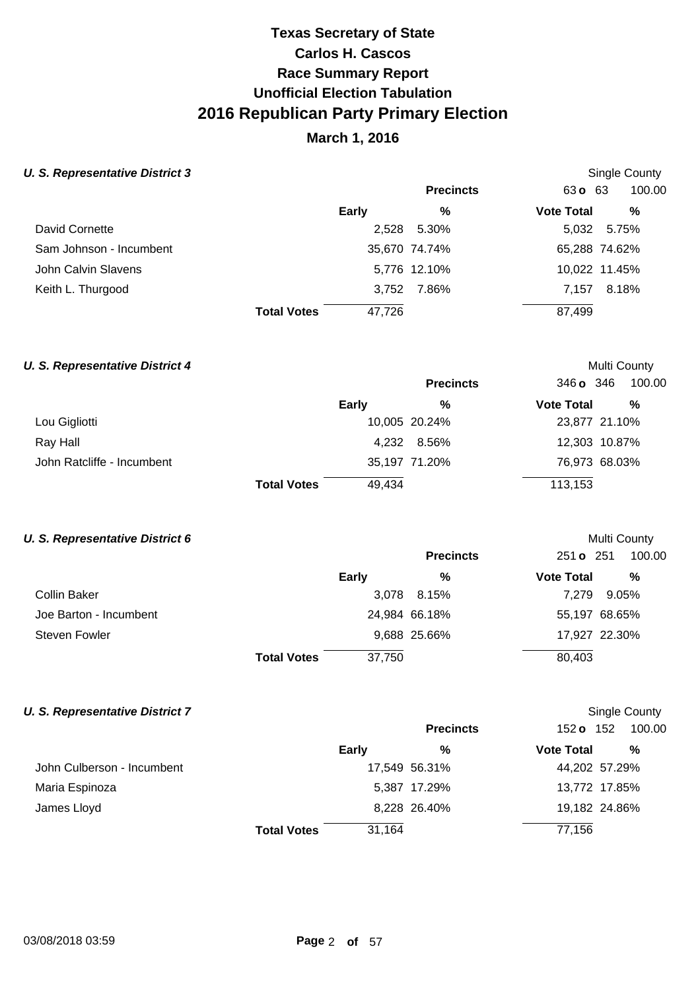## **March 1, 2016**

Single County

Multi County

Multi County

#### **U. S. Representative District 3**

|                         |                    |        | <b>Precincts</b> | $63 \text{ o}$ 63 | 100.00        |
|-------------------------|--------------------|--------|------------------|-------------------|---------------|
|                         |                    | Early  | %                | <b>Vote Total</b> | %             |
| David Cornette          |                    | 2,528  | 5.30%            |                   | 5,032 5.75%   |
| Sam Johnson - Incumbent |                    |        | 35,670 74.74%    |                   | 65,288 74.62% |
| John Calvin Slavens     |                    |        | 5,776 12.10%     |                   | 10,022 11.45% |
| Keith L. Thurgood       |                    | 3,752  | 7.86%            | 7.157             | 8.18%         |
|                         | <b>Total Votes</b> | 47,726 |                  | 87,499            |               |

### **U. S. Representative District 4**

|                            |                    |              | <b>Precincts</b> | 346 <b>o</b> 346  | 100.00        |
|----------------------------|--------------------|--------------|------------------|-------------------|---------------|
|                            |                    | <b>Early</b> | %                | <b>Vote Total</b> | %             |
| Lou Gigliotti              |                    |              | 10,005 20.24%    |                   | 23,877 21.10% |
| Ray Hall                   |                    |              | 4,232 8.56%      |                   | 12,303 10.87% |
| John Ratcliffe - Incumbent |                    |              | 35,197 71.20%    |                   | 76,973 68.03% |
|                            | <b>Total Votes</b> | 49,434       |                  | 113,153           |               |

#### **U. S. Representative District 6**

|                        |                    |              | <b>Precincts</b> | 251 o 251         | 100.00        |
|------------------------|--------------------|--------------|------------------|-------------------|---------------|
|                        |                    | <b>Early</b> | %                | <b>Vote Total</b> | %             |
| Collin Baker           |                    |              | 3,078 8.15%      | 7.279             | 9.05%         |
| Joe Barton - Incumbent |                    |              | 24,984 66.18%    |                   | 55,197 68.65% |
| Steven Fowler          |                    |              | 9,688 25.66%     |                   | 17,927 22.30% |
|                        | <b>Total Votes</b> | 37,750       |                  | 80,403            |               |

| . S. Representative District 7 |                    |        |                  |                   | <b>Single County</b> |
|--------------------------------|--------------------|--------|------------------|-------------------|----------------------|
|                                |                    |        | <b>Precincts</b> | 152 <b>o</b> 152  | 100.00               |
|                                |                    | Early  | %                | <b>Vote Total</b> | %                    |
| John Culberson - Incumbent     |                    |        | 17,549 56.31%    |                   | 44,202 57.29%        |
| Maria Espinoza                 |                    |        | 5,387 17.29%     |                   | 13,772 17.85%        |
| James Lloyd                    |                    |        | 8,228 26.40%     |                   | 19,182 24.86%        |
|                                | <b>Total Votes</b> | 31,164 |                  | 77,156            |                      |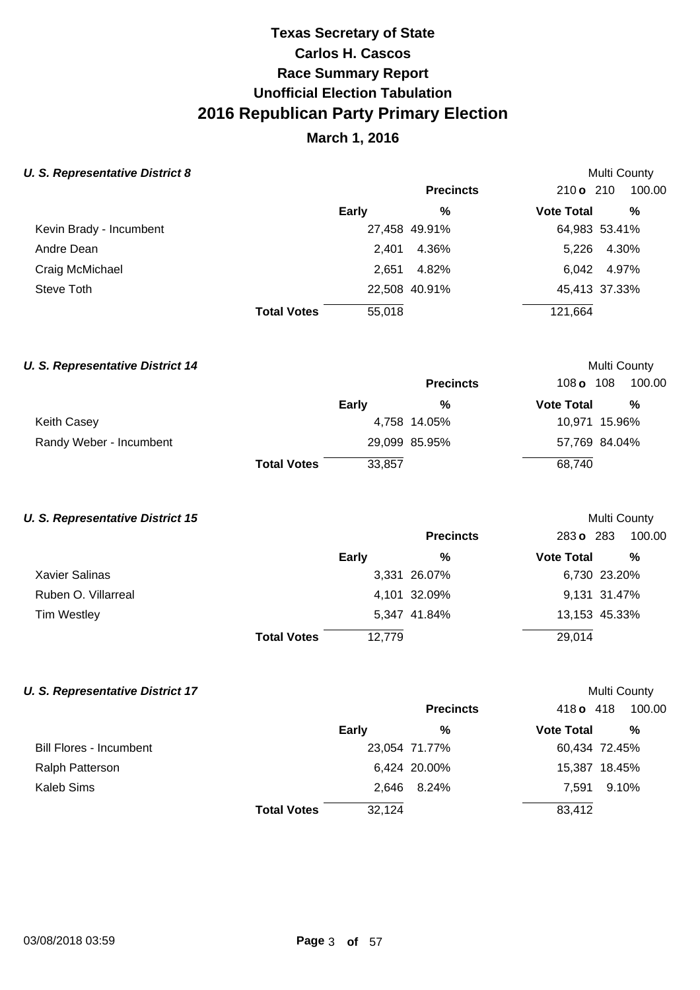## **March 1, 2016**

Multi County

Multi County

Multi County

#### **U. S. Representative District 8**

|                         |                              | <b>Precincts</b> | 210 o 210         | 100.00      |
|-------------------------|------------------------------|------------------|-------------------|-------------|
|                         | Early                        | %                | <b>Vote Total</b> | %           |
| Kevin Brady - Incumbent |                              | 27,458 49.91%    | 64,983 53.41%     |             |
| Andre Dean              | 2.401                        | 4.36%            |                   | 5,226 4.30% |
| Craig McMichael         | 2,651                        | 4.82%            |                   | 6,042 4.97% |
| Steve Toth              |                              | 22,508 40.91%    | 45,413 37.33%     |             |
|                         | 55,018<br><b>Total Votes</b> |                  | 121,664           |             |

| <b>U. S. Representative District 14</b> |                    |              |                  |                   | <b>Multi County</b> |
|-----------------------------------------|--------------------|--------------|------------------|-------------------|---------------------|
|                                         |                    |              | <b>Precincts</b> | 108 o             | 100.00<br>108       |
|                                         |                    | <b>Early</b> | %                | <b>Vote Total</b> | %                   |
| <b>Keith Casey</b>                      |                    |              | 4,758 14.05%     |                   | 10,971 15.96%       |
| Randy Weber - Incumbent                 |                    |              | 29,099 85.95%    |                   | 57,769 84.04%       |
|                                         | <b>Total Votes</b> | 33,857       |                  | 68,740            |                     |

#### **U. S. Representative District 15**

|                     |                    |        | <b>Precincts</b> | 283 o 283         | 100.00       |
|---------------------|--------------------|--------|------------------|-------------------|--------------|
|                     |                    | Early  | %                | <b>Vote Total</b> | %            |
| Xavier Salinas      |                    |        | 3,331 26.07%     |                   | 6,730 23.20% |
| Ruben O. Villarreal |                    |        | 4,101 32.09%     |                   | 9,131 31.47% |
| <b>Tim Westley</b>  |                    |        | 5,347 41.84%     | 13,153 45.33%     |              |
|                     | <b>Total Votes</b> | 12,779 |                  | 29,014            |              |

|                         |                    |        | <b>Precincts</b> | 418 o 418         | 100.00        |
|-------------------------|--------------------|--------|------------------|-------------------|---------------|
|                         |                    | Early  | %                | <b>Vote Total</b> | %             |
| Bill Flores - Incumbent |                    |        | 23,054 71.77%    |                   | 60,434 72.45% |
| Ralph Patterson         |                    |        | 6,424 20.00%     |                   | 15,387 18.45% |
| <b>Kaleb Sims</b>       |                    |        | 2.646 8.24%      | 7.591             | 9.10%         |
|                         | <b>Total Votes</b> | 32,124 |                  | 83,412            |               |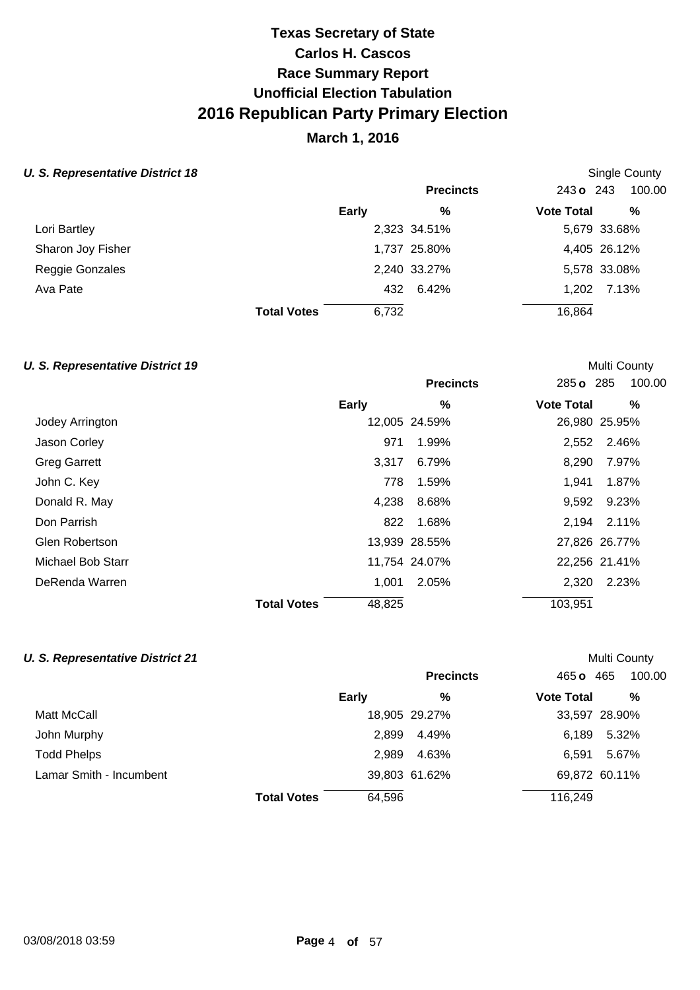## **March 1, 2016**

Single County

Multi County

### **U. S. Representative District 18**

|                   |                    |       | <b>Precincts</b> | 243 o 243         | 100.00       |
|-------------------|--------------------|-------|------------------|-------------------|--------------|
|                   |                    | Early | %                | <b>Vote Total</b> | %            |
| Lori Bartley      |                    |       | 2,323 34.51%     |                   | 5,679 33.68% |
| Sharon Joy Fisher |                    |       | 1,737 25.80%     |                   | 4,405 26.12% |
| Reggie Gonzales   |                    |       | 2,240 33.27%     |                   | 5,578 33.08% |
| Ava Pate          |                    |       | 432 6.42%        |                   | 1,202 7.13%  |
|                   | <b>Total Votes</b> | 6,732 |                  | 16,864            |              |
|                   |                    |       |                  |                   |              |

|                     |                              | <b>Precincts</b> | 100.00<br>285 o 285    |
|---------------------|------------------------------|------------------|------------------------|
|                     | <b>Early</b>                 | $\%$             | <b>Vote Total</b><br>% |
| Jodey Arrington     |                              | 12,005 24.59%    | 26,980 25.95%          |
| Jason Corley        | 971                          | 1.99%            | 2,552 2.46%            |
| <b>Greg Garrett</b> | 3.317                        | 6.79%            | 8,290<br>7.97%         |
| John C. Key         | 778                          | 1.59%            | 1,941<br>1.87%         |
| Donald R. May       | 4,238                        | 8.68%            | 9.23%<br>9,592         |
| Don Parrish         | 822                          | 1.68%            | 2,194<br>2.11%         |
| Glen Robertson      |                              | 13,939 28.55%    | 27,826 26.77%          |
| Michael Bob Starr   |                              | 11,754 24.07%    | 22,256 21.41%          |
| DeRenda Warren      | 1,001                        | 2.05%            | 2,320<br>2.23%         |
|                     | 48,825<br><b>Total Votes</b> |                  | 103,951                |

| <b>U. S. Representative District 21</b> |                    |              |                  |                   | Multi County  |
|-----------------------------------------|--------------------|--------------|------------------|-------------------|---------------|
|                                         |                    |              | <b>Precincts</b> | 465 o             | 465<br>100.00 |
|                                         |                    | <b>Early</b> | %                | <b>Vote Total</b> | %             |
| Matt McCall                             |                    |              | 18,905 29.27%    |                   | 33,597 28.90% |
| John Murphy                             |                    | 2.899        | 4.49%            | 6.189             | 5.32%         |
| <b>Todd Phelps</b>                      |                    | 2.989        | 4.63%            | 6.591             | 5.67%         |
| Lamar Smith - Incumbent                 |                    |              | 39,803 61.62%    |                   | 69,872 60.11% |
|                                         | <b>Total Votes</b> | 64,596       |                  | 116,249           |               |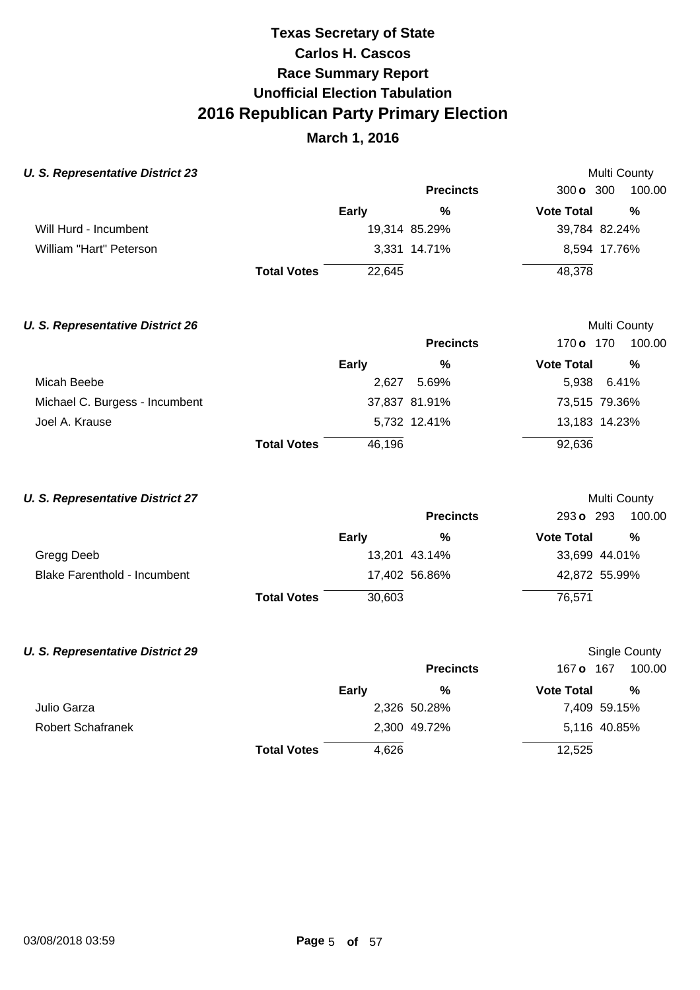### **March 1, 2016**

Multi County

Multi County

Multi County

#### **U. S. Representative District 23**

|                         |                    |        | <b>Precincts</b> | 300 <b>o</b> 300  | 100.00        |
|-------------------------|--------------------|--------|------------------|-------------------|---------------|
|                         |                    | Early  | %                | <b>Vote Total</b> | %             |
| Will Hurd - Incumbent   |                    |        | 19,314 85.29%    |                   | 39,784 82.24% |
| William "Hart" Peterson |                    |        | 3,331 14.71%     |                   | 8,594 17.76%  |
|                         | <b>Total Votes</b> | 22.645 |                  | 48,378            |               |

#### **U. S. Representative District 26**

|                                |                    |        | <b>Precincts</b> | 170 <b>o</b> 170  | 100.00        |
|--------------------------------|--------------------|--------|------------------|-------------------|---------------|
|                                |                    | Early  | %                | <b>Vote Total</b> | $\frac{0}{0}$ |
| Micah Beebe                    |                    | 2.627  | 5.69%            |                   | 5,938 6.41%   |
| Michael C. Burgess - Incumbent |                    |        | 37,837 81.91%    |                   | 73,515 79.36% |
| Joel A. Krause                 |                    |        | 5,732 12.41%     |                   | 13,183 14.23% |
|                                | <b>Total Votes</b> | 46,196 |                  | 92,636            |               |

#### **U. S. Representative District 27**

|                              |                    |        | <b>Precincts</b> | 293 o 293         | 100.00        |
|------------------------------|--------------------|--------|------------------|-------------------|---------------|
|                              |                    | Early  | %                | <b>Vote Total</b> | %             |
| Gregg Deeb                   |                    |        | 13,201 43.14%    |                   | 33,699 44.01% |
| Blake Farenthold - Incumbent |                    |        | 17,402 56.86%    |                   | 42,872 55.99% |
|                              | <b>Total Votes</b> | 30,603 |                  | 76.571            |               |

### **U. S. Representative District 29 Precincts** 167 **o** 167 100.00 **Early Vote Total % %** Single County Julio Garza 2,326 50.28% 7,409 59.15% Robert Schafranek 2,300 49.72% 5,116 40.85% **Total Votes** 4,626 12,525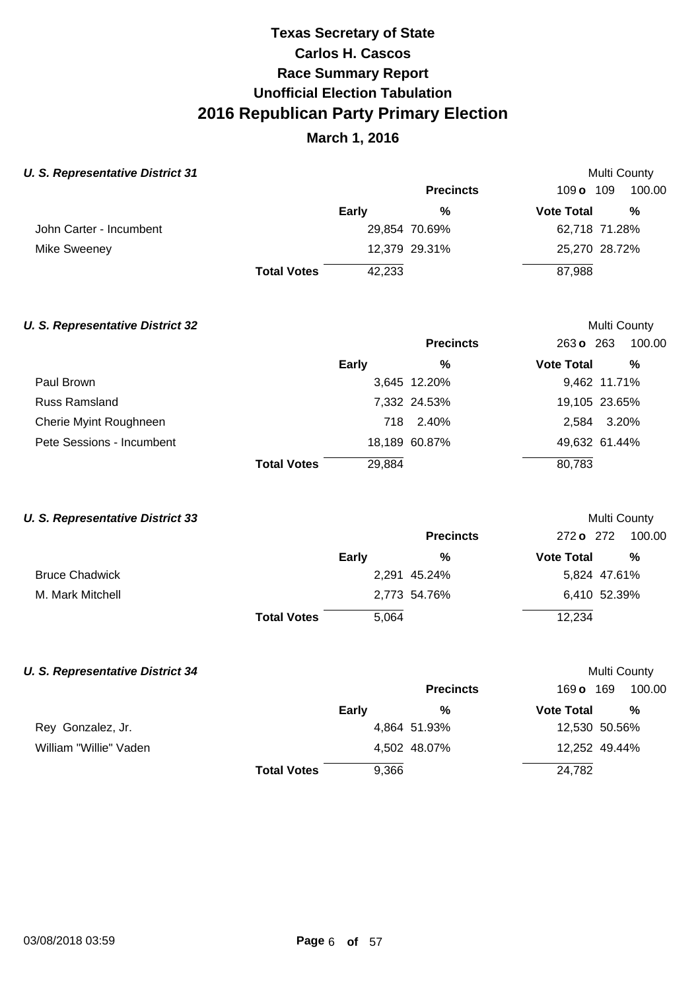## **March 1, 2016**

Multi County

Multi County

Multi County

Multi County

#### **U. S. Representative District 31**

|                         |                    |              | <b>Precincts</b> | 109 $\sigma$ 109  | 100.00        |
|-------------------------|--------------------|--------------|------------------|-------------------|---------------|
|                         |                    | <b>Early</b> | %                | <b>Vote Total</b> | %             |
| John Carter - Incumbent |                    |              | 29,854 70.69%    |                   | 62,718 71.28% |
| Mike Sweeney            |                    |              | 12,379 29.31%    |                   | 25,270 28.72% |
|                         | <b>Total Votes</b> | 42,233       |                  | 87,988            |               |

#### **U. S. Representative District 32**

|                           |                    |        | <b>Precincts</b> | 263 o 263         | 100.00        |
|---------------------------|--------------------|--------|------------------|-------------------|---------------|
|                           |                    | Early  | %                | <b>Vote Total</b> | %             |
| Paul Brown                |                    |        | 3,645 12.20%     |                   | 9,462 11.71%  |
| <b>Russ Ramsland</b>      |                    |        | 7,332 24.53%     |                   | 19,105 23.65% |
| Cherie Myint Roughneen    |                    |        | 718 2.40%        | 2.584             | 3.20%         |
| Pete Sessions - Incumbent |                    |        | 18,189 60.87%    |                   | 49,632 61.44% |
|                           | <b>Total Votes</b> | 29,884 |                  | 80,783            |               |

#### **U. S. Representative District 33**

|                       |                    |       | <b>Precincts</b> | 272 o 272         | 100.00       |
|-----------------------|--------------------|-------|------------------|-------------------|--------------|
|                       |                    | Early | %                | <b>Vote Total</b> | %            |
| <b>Bruce Chadwick</b> |                    |       | 2,291 45.24%     |                   | 5,824 47.61% |
| M. Mark Mitchell      |                    |       | 2,773 54.76%     |                   | 6,410 52.39% |
|                       | <b>Total Votes</b> | 5,064 |                  | 12,234            |              |

|                        |                    |       | <b>Precincts</b> | 169 <b>o</b> 169  | 100.00        |
|------------------------|--------------------|-------|------------------|-------------------|---------------|
|                        |                    | Early | %                | <b>Vote Total</b> | %             |
| Rey Gonzalez, Jr.      |                    |       | 4,864 51.93%     |                   | 12,530 50.56% |
| William "Willie" Vaden |                    |       | 4,502 48.07%     |                   | 12,252 49.44% |
|                        | <b>Total Votes</b> | 9,366 |                  | 24,782            |               |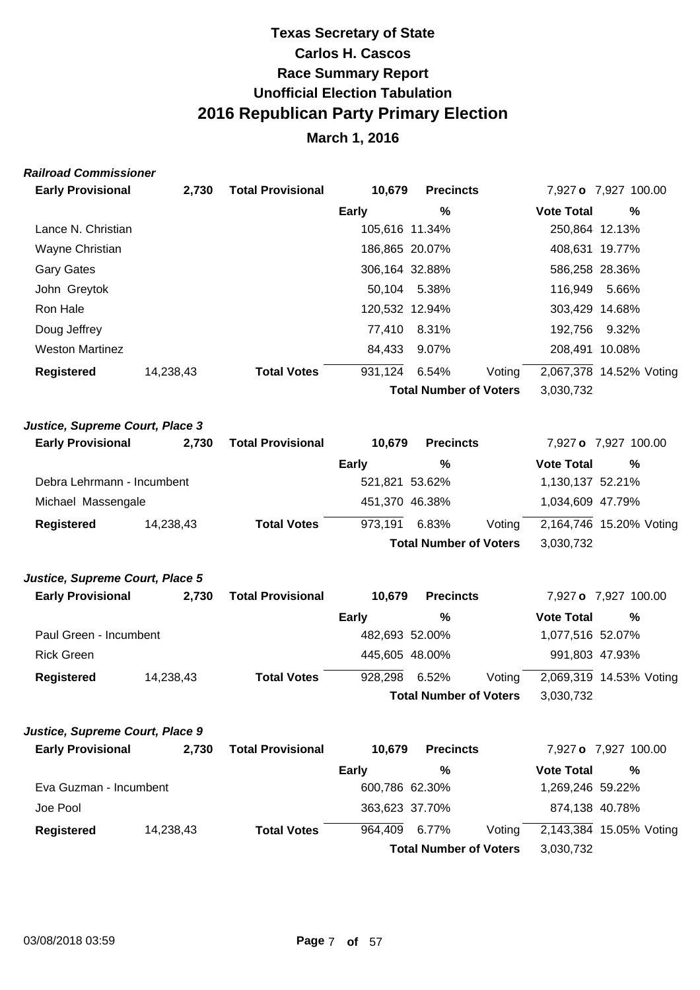## **March 1, 2016**

#### **Railroad Commissioner**

| <b>Early Provisional</b> | 2.730     | <b>Total Provisional</b> | 10,679         | <b>Precincts</b>              |        |                   | 7,927 o 7,927 100.00    |
|--------------------------|-----------|--------------------------|----------------|-------------------------------|--------|-------------------|-------------------------|
|                          |           |                          | Early          | %                             |        | <b>Vote Total</b> | $\%$                    |
| Lance N. Christian       |           |                          | 105,616 11.34% |                               |        | 250,864 12.13%    |                         |
| Wayne Christian          |           |                          | 186,865 20.07% |                               |        | 408,631 19.77%    |                         |
| <b>Gary Gates</b>        |           |                          | 306,164 32.88% |                               |        | 586,258 28.36%    |                         |
| John Greytok             |           |                          |                | 50,104 5.38%                  |        | 116.949           | 5.66%                   |
| Ron Hale                 |           |                          | 120,532 12.94% |                               |        | 303.429 14.68%    |                         |
| Doug Jeffrey             |           |                          | 77.410         | 8.31%                         |        | 192.756           | 9.32%                   |
| <b>Weston Martinez</b>   |           |                          | 84.433         | 9.07%                         |        | 208,491 10.08%    |                         |
| <b>Registered</b>        | 14,238,43 | <b>Total Votes</b>       | 931,124        | 6.54%                         | Voting |                   | 2,067,378 14.52% Voting |
|                          |           |                          |                | <b>Total Number of Voters</b> |        | 3,030,732         |                         |
|                          |           |                          |                |                               |        |                   |                         |

#### **Justice, Supreme Court, Place 3**

| <b>Early Provisional</b>   | 2.730     | <b>Total Provisional</b> | 10.679         | <b>Precincts</b>              |        |                   | 7,927 o 7,927 100.00    |
|----------------------------|-----------|--------------------------|----------------|-------------------------------|--------|-------------------|-------------------------|
|                            |           |                          | <b>Early</b>   | %                             |        | <b>Vote Total</b> | %                       |
| Debra Lehrmann - Incumbent |           |                          | 521,821 53.62% |                               |        | 1,130,137 52.21%  |                         |
| Michael Massengale         |           |                          | 451,370 46.38% |                               |        | 1,034,609 47.79%  |                         |
| Registered                 | 14,238,43 | <b>Total Votes</b>       | 973,191        | 6.83%                         | Voting |                   | 2,164,746 15.20% Voting |
|                            |           |                          |                | <b>Total Number of Voters</b> |        | 3,030,732         |                         |

#### **Justice, Supreme Court, Place 5**

| <b>Early Provisional</b> | 2.730     | <b>Total Provisional</b> | 10.679         | <b>Precincts</b>              |        |                   | 7,927 o 7,927 100.00    |
|--------------------------|-----------|--------------------------|----------------|-------------------------------|--------|-------------------|-------------------------|
|                          |           |                          | Early          | %                             |        | <b>Vote Total</b> | %                       |
| Paul Green - Incumbent   |           |                          | 482,693 52.00% |                               |        | 1,077,516 52.07%  |                         |
| <b>Rick Green</b>        |           |                          | 445,605 48.00% |                               |        | 991,803 47.93%    |                         |
| Registered               | 14,238,43 | <b>Total Votes</b>       | 928,298        | 6.52%                         | Voting |                   | 2,069,319 14.53% Voting |
|                          |           |                          |                | <b>Total Number of Voters</b> |        | 3,030,732         |                         |

#### **Justice, Supreme Court, Place 9**

| <b>Early Provisional</b> | 2.730     | <b>Total Provisional</b> | 10.679         | <b>Precincts</b>              |        |                   | 7,927 o 7,927 100.00    |
|--------------------------|-----------|--------------------------|----------------|-------------------------------|--------|-------------------|-------------------------|
|                          |           |                          | Early          | %                             |        | <b>Vote Total</b> | %                       |
| Eva Guzman - Incumbent   |           |                          | 600,786 62.30% |                               |        | 1,269,246 59.22%  |                         |
| Joe Pool                 |           |                          | 363,623 37.70% |                               |        | 874,138 40.78%    |                         |
| <b>Registered</b>        | 14,238,43 | <b>Total Votes</b>       | 964.409        | 6.77%                         | Votina |                   | 2,143,384 15.05% Voting |
|                          |           |                          |                | <b>Total Number of Voters</b> |        | 3,030,732         |                         |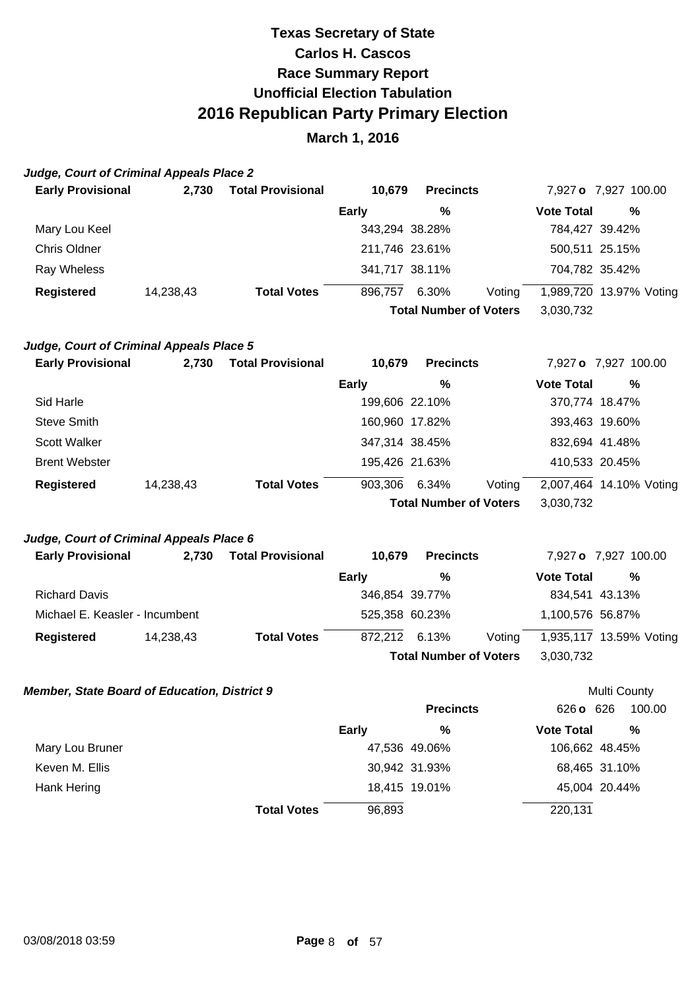### **March 1, 2016**

#### **Judge, Court of Criminal Appeals Place 2**

| <b>Early Provisional</b> | 2.730     | <b>Total Provisional</b> | 10,679         | <b>Precincts</b>              |        |                   | 7,927 o 7,927 100.00    |  |
|--------------------------|-----------|--------------------------|----------------|-------------------------------|--------|-------------------|-------------------------|--|
|                          |           |                          | <b>Early</b>   | %                             |        | <b>Vote Total</b> | %                       |  |
| Mary Lou Keel            |           |                          | 343,294 38.28% |                               |        | 784,427 39.42%    |                         |  |
| Chris Oldner             |           |                          | 211,746 23.61% |                               |        | 500,511 25.15%    |                         |  |
| Ray Wheless              |           |                          | 341,717 38.11% |                               |        | 704,782 35.42%    |                         |  |
| <b>Registered</b>        | 14,238,43 | <b>Total Votes</b>       | 896,757        | 6.30%                         | Voting |                   | 1,989,720 13.97% Voting |  |
|                          |           |                          |                | <b>Total Number of Voters</b> |        | 3,030,732         |                         |  |

#### **Judge, Court of Criminal Appeals Place 5**

| <b>Early Provisional</b> | 2.730     | <b>Total Provisional</b> | 10.679         | <b>Precincts</b>              |        |                   | 7,927 o 7,927 100.00    |
|--------------------------|-----------|--------------------------|----------------|-------------------------------|--------|-------------------|-------------------------|
|                          |           |                          | Early          | %                             |        | <b>Vote Total</b> | %                       |
| Sid Harle                |           |                          | 199,606 22.10% |                               |        | 370,774 18.47%    |                         |
| <b>Steve Smith</b>       |           |                          | 160,960 17.82% |                               |        | 393,463 19.60%    |                         |
| Scott Walker             |           |                          | 347,314 38.45% |                               |        | 832,694 41.48%    |                         |
| <b>Brent Webster</b>     |           |                          | 195,426 21.63% |                               |        | 410,533 20.45%    |                         |
| <b>Registered</b>        | 14,238,43 | <b>Total Votes</b>       | 903,306        | 6.34%                         | Voting |                   | 2,007,464 14.10% Voting |
|                          |           |                          |                | <b>Total Number of Voters</b> |        | 3,030,732         |                         |

#### **Judge, Court of Criminal Appeals Place 6**

| <b>Early Provisional</b>       | 2.730     | <b>Total Provisional</b> | 10.679         | <b>Precincts</b>              |        |                   | 7,927 o 7,927 100.00    |
|--------------------------------|-----------|--------------------------|----------------|-------------------------------|--------|-------------------|-------------------------|
|                                |           |                          | Early          | %                             |        | <b>Vote Total</b> | %                       |
| <b>Richard Davis</b>           |           |                          | 346,854 39.77% |                               |        |                   | 834,541 43.13%          |
| Michael E. Keasler - Incumbent |           |                          | 525,358 60.23% |                               |        | 1,100,576 56.87%  |                         |
| Registered                     | 14,238,43 | <b>Total Votes</b>       | 872,212        | 6.13%                         | Voting |                   | 1,935,117 13.59% Voting |
|                                |           |                          |                | <b>Total Number of Voters</b> |        | 3,030,732         |                         |

Multi County

#### **Member, State Board of Education, District 9**

|                 |                    |        | <b>Precincts</b> | 626 o 626         | 100.00         |
|-----------------|--------------------|--------|------------------|-------------------|----------------|
|                 |                    | Early  | %                | <b>Vote Total</b> | %              |
| Mary Lou Bruner |                    |        | 47,536 49.06%    |                   | 106,662 48.45% |
| Keven M. Ellis  |                    |        | 30,942 31.93%    |                   | 68,465 31.10%  |
| Hank Hering     |                    |        | 18,415 19.01%    |                   | 45,004 20.44%  |
|                 | <b>Total Votes</b> | 96,893 |                  | 220,131           |                |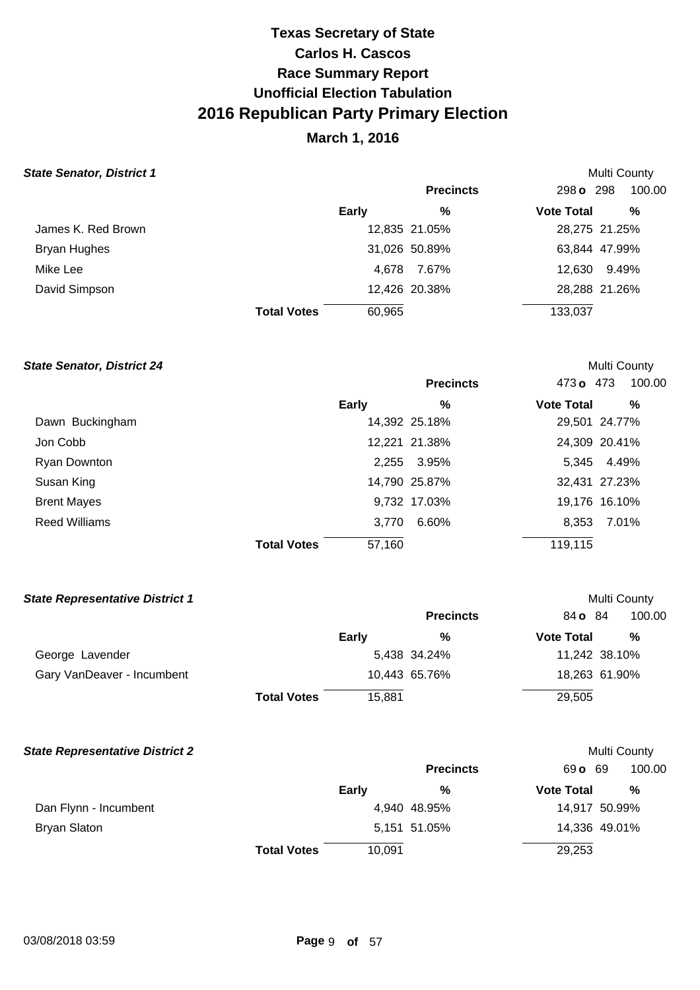## **March 1, 2016**

### **State Senator, District 1**

| tate Senator, District 1 |                    |        |                  |                   | <b>Multi County</b> |
|--------------------------|--------------------|--------|------------------|-------------------|---------------------|
|                          |                    |        | <b>Precincts</b> | 298 <b>o</b> 298  | 100.00              |
|                          |                    | Early  | %                | <b>Vote Total</b> | %                   |
| James K. Red Brown       |                    |        | 12,835 21.05%    |                   | 28,275 21.25%       |
| Bryan Hughes             |                    |        | 31,026 50.89%    |                   | 63,844 47.99%       |
| Mike Lee                 |                    | 4.678  | 7.67%            | 12,630            | 9.49%               |
| David Simpson            |                    |        | 12,426 20.38%    |                   | 28,288 21.26%       |
|                          | <b>Total Votes</b> | 60,965 |                  | 133,037           |                     |

#### **State Senator, District 24**

|                      |                              | <b>Precincts</b> | 473 o 473         | 100.00        |
|----------------------|------------------------------|------------------|-------------------|---------------|
|                      | Early                        | %                | <b>Vote Total</b> | %             |
| Dawn Buckingham      |                              | 14,392 25.18%    |                   | 29,501 24.77% |
| Jon Cobb             |                              | 12,221 21.38%    |                   | 24,309 20.41% |
| <b>Ryan Downton</b>  |                              | 2,255 3.95%      |                   | 5,345 4.49%   |
| Susan King           |                              | 14,790 25.87%    |                   | 32,431 27.23% |
| <b>Brent Mayes</b>   |                              | 9,732 17.03%     |                   | 19,176 16.10% |
| <b>Reed Williams</b> | 3.770                        | 6.60%            | 8,353             | 7.01%         |
|                      | 57,160<br><b>Total Votes</b> |                  | 119,115           |               |

Multi County

Multi County

Multi County

#### **State Representative District 1**

|                            |                    |        | <b>Precincts</b> | 84 <b>o</b> 84    | 100.00        |
|----------------------------|--------------------|--------|------------------|-------------------|---------------|
|                            |                    | Early  | %                | <b>Vote Total</b> | %             |
| George Lavender            |                    |        | 5,438 34.24%     |                   | 11,242 38.10% |
| Gary VanDeaver - Incumbent |                    |        | 10,443 65.76%    |                   | 18,263 61.90% |
|                            | <b>Total Votes</b> | 15.881 |                  | 29,505            |               |

#### **State Representative District 2**

|                       |                    |              | <b>Precincts</b> | 69 <b>o</b> 69    | 100.00        |  |
|-----------------------|--------------------|--------------|------------------|-------------------|---------------|--|
|                       |                    | <b>Early</b> | %                | <b>Vote Total</b> | %             |  |
| Dan Flynn - Incumbent |                    |              | 4,940 48.95%     |                   | 14,917 50.99% |  |
| Bryan Slaton          |                    |              | 5,151 51.05%     |                   | 14,336 49.01% |  |
|                       | <b>Total Votes</b> | 10.091       |                  | 29,253            |               |  |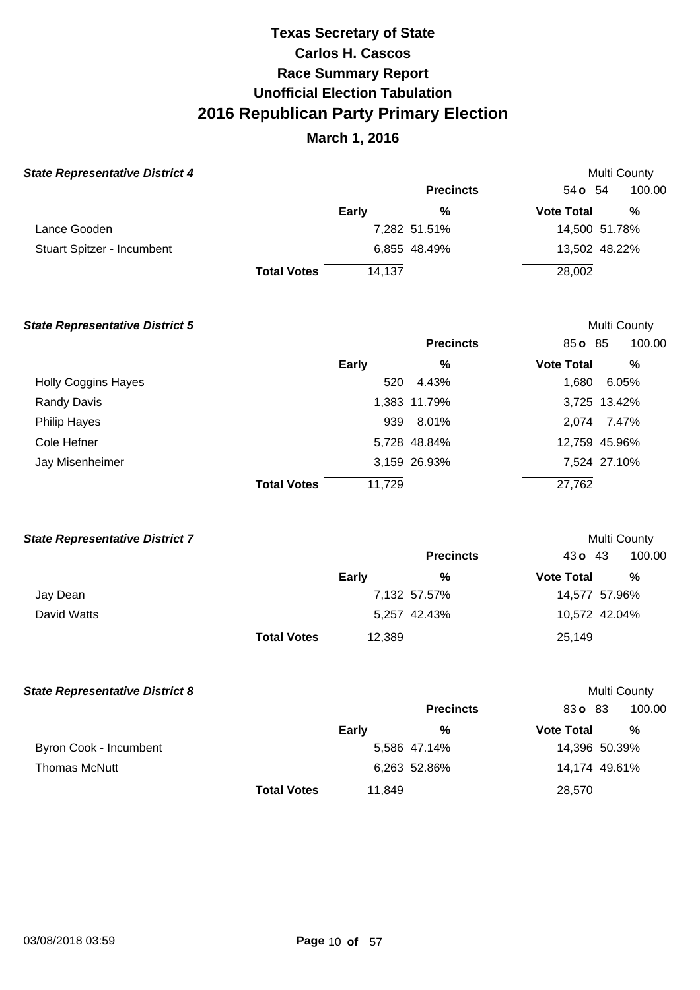| <b>State Representative District 4</b> |                    |              |                  |                   | <b>Multi County</b> |
|----------------------------------------|--------------------|--------------|------------------|-------------------|---------------------|
|                                        |                    |              | <b>Precincts</b> | 54 <b>o</b> 54    | 100.00              |
|                                        |                    | <b>Early</b> | %                | <b>Vote Total</b> | %                   |
| Lance Gooden                           |                    |              | 7,282 51.51%     |                   | 14,500 51.78%       |
| Stuart Spitzer - Incumbent             |                    |              | 6,855 48.49%     |                   | 13,502 48.22%       |
|                                        | <b>Total Votes</b> | 14,137       |                  | 28,002            |                     |

| <b>State Representative District 5</b> |                    |              |                  |                   | <b>Multi County</b> |
|----------------------------------------|--------------------|--------------|------------------|-------------------|---------------------|
|                                        |                    |              | <b>Precincts</b> | 85 o 85           | 100.00              |
|                                        |                    | <b>Early</b> | %                | <b>Vote Total</b> | %                   |
| <b>Holly Coggins Hayes</b>             |                    | 520          | 4.43%            | 1,680             | 6.05%               |
| <b>Randy Davis</b>                     |                    |              | 1,383 11.79%     |                   | 3,725 13.42%        |
| Philip Hayes                           |                    |              | 939 8.01%        | 2,074             | 7.47%               |
| Cole Hefner                            |                    |              | 5,728 48.84%     |                   | 12,759 45.96%       |
| Jay Misenheimer                        |                    |              | 3,159 26.93%     |                   | 7,524 27.10%        |
|                                        | <b>Total Votes</b> | 11,729       |                  | 27,762            |                     |

| <b>State Representative District 7</b> |                    |              |                  | Multi County      |               |
|----------------------------------------|--------------------|--------------|------------------|-------------------|---------------|
|                                        |                    |              | <b>Precincts</b> | 43 $\sigma$ 43    | 100.00        |
|                                        |                    | <b>Early</b> | %                | <b>Vote Total</b> | %             |
| Jay Dean                               |                    |              | 7,132 57.57%     |                   | 14,577 57.96% |
| David Watts                            |                    |              | 5,257 42.43%     |                   | 10,572 42.04% |
|                                        | <b>Total Votes</b> | 12,389       |                  | 25,149            |               |
|                                        |                    |              |                  |                   |               |

| <b>State Representative District 8</b> |                    |              |                  |                   | Multi County  |
|----------------------------------------|--------------------|--------------|------------------|-------------------|---------------|
|                                        |                    |              | <b>Precincts</b> | 83 o 83           | 100.00        |
|                                        |                    | <b>Early</b> | %                | <b>Vote Total</b> | %             |
| Byron Cook - Incumbent                 |                    |              | 5,586 47.14%     |                   | 14,396 50.39% |
| <b>Thomas McNutt</b>                   |                    |              | 6,263 52.86%     |                   | 14,174 49.61% |
|                                        | <b>Total Votes</b> | 11,849       |                  | 28,570            |               |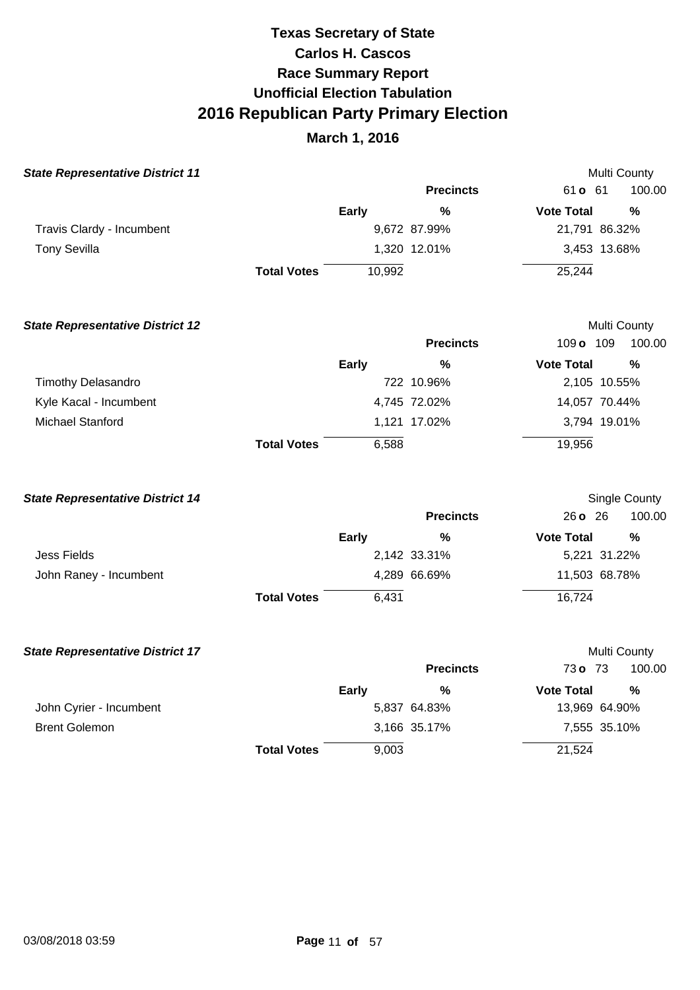| <b>State Representative District 11</b> |                    |              |                  |                   | <b>Multi County</b> |
|-----------------------------------------|--------------------|--------------|------------------|-------------------|---------------------|
|                                         |                    |              | <b>Precincts</b> | 61 <b>o</b> 61    | 100.00              |
|                                         |                    | <b>Early</b> | %                | <b>Vote Total</b> | %                   |
| Travis Clardy - Incumbent               |                    |              | 9,672 87.99%     | 21,791 86.32%     |                     |
| <b>Tony Sevilla</b>                     |                    |              | 1,320 12.01%     | 3,453 13.68%      |                     |
|                                         | <b>Total Votes</b> | 10,992       |                  | 25,244            |                     |
| <b>State Representative District 12</b> |                    |              |                  |                   | <b>Multi County</b> |
|                                         |                    |              | <b>Precincts</b> | 109 o 109         | 100.00              |
|                                         |                    | <b>Early</b> | %                | <b>Vote Total</b> | %                   |
| <b>Timothy Delasandro</b>               |                    |              | 722 10.96%       | 2,105 10.55%      |                     |
|                                         |                    |              |                  |                   |                     |

|                        | <b>Total Votes</b> | 6.588        | 19.956        |
|------------------------|--------------------|--------------|---------------|
| Michael Stanford       |                    | 1.121 17.02% | 3.794 19.01%  |
| Kyle Kacal - Incumbent |                    | 4.745 72.02% | 14.057 70.44% |

| <b>State Representative District 14</b> |                    |              |                  |                         | Single County |  |  |
|-----------------------------------------|--------------------|--------------|------------------|-------------------------|---------------|--|--|
|                                         |                    |              | <b>Precincts</b> | $26 \text{ o} \quad 26$ | 100.00        |  |  |
|                                         |                    | <b>Early</b> | %                | <b>Vote Total</b>       | %             |  |  |
| Jess Fields                             |                    |              | 2,142 33.31%     |                         | 5,221 31.22%  |  |  |
| John Raney - Incumbent                  |                    |              | 4,289 66.69%     |                         | 11,503 68.78% |  |  |
|                                         | <b>Total Votes</b> | 6.431        |                  | 16,724                  |               |  |  |

| <b>State Representative District 17</b> |                    |              |                  |                   | <b>Multi County</b> |  |
|-----------------------------------------|--------------------|--------------|------------------|-------------------|---------------------|--|
|                                         |                    |              | <b>Precincts</b> | 73 <b>o</b> 73    | 100.00              |  |
|                                         |                    | <b>Early</b> | %                | <b>Vote Total</b> | %                   |  |
| John Cyrier - Incumbent                 |                    |              | 5,837 64.83%     |                   | 13,969 64.90%       |  |
| <b>Brent Golemon</b>                    |                    |              | 3,166 35.17%     |                   | 7,555 35.10%        |  |
|                                         | <b>Total Votes</b> | 9,003        |                  | 21,524            |                     |  |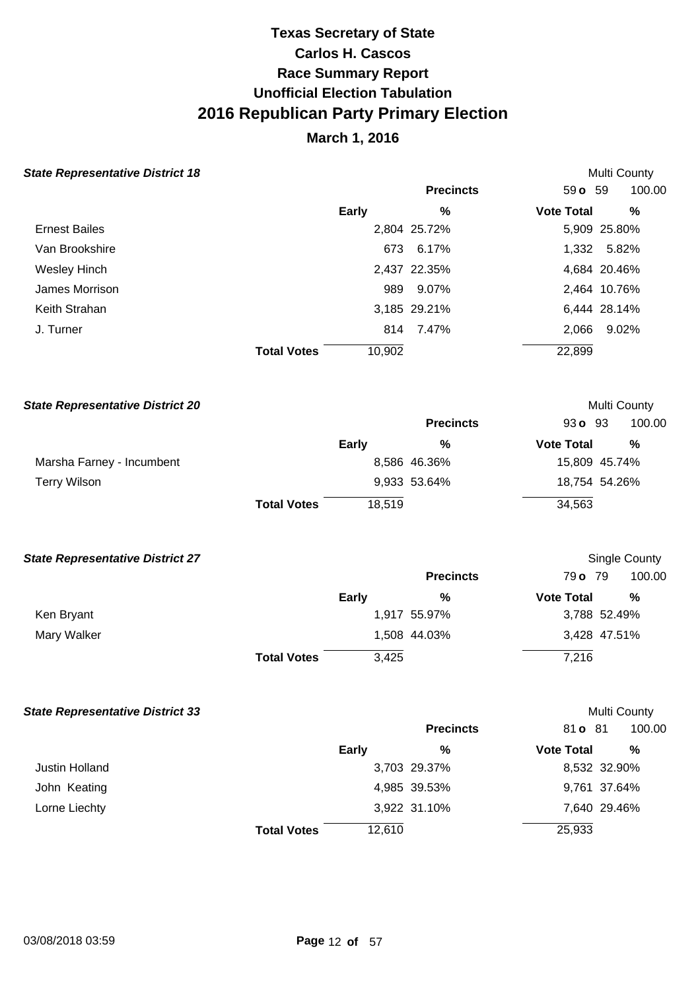## **March 1, 2016**

#### **State Representative District 18**

| <b>State Representative District 18</b> |                    |                  |                   | Multi County |
|-----------------------------------------|--------------------|------------------|-------------------|--------------|
|                                         |                    | <b>Precincts</b> | 59o 59            | 100.00       |
|                                         | <b>Early</b>       | %                | <b>Vote Total</b> | %            |
| <b>Ernest Bailes</b>                    |                    | 2,804 25.72%     |                   | 5,909 25.80% |
| Van Brookshire                          |                    | 673<br>6.17%     |                   | 1,332 5.82%  |
| Wesley Hinch                            |                    | 2,437 22.35%     |                   | 4,684 20.46% |
| James Morrison                          |                    | 9.07%<br>989     |                   | 2,464 10.76% |
| Keith Strahan                           |                    | 3,185 29.21%     |                   | 6,444 28.14% |
| J. Turner                               |                    | 814 7.47%        | 2,066             | 9.02%        |
|                                         | <b>Total Votes</b> | 10,902           | 22,899            |              |

| <b>State Representative District 20</b> |                    |              |                  |                   | <b>Multi County</b> |  |
|-----------------------------------------|--------------------|--------------|------------------|-------------------|---------------------|--|
|                                         |                    |              | <b>Precincts</b> | 930093            | 100.00              |  |
|                                         |                    | <b>Early</b> | %                | <b>Vote Total</b> | %                   |  |
| Marsha Farney - Incumbent               |                    |              | 8,586 46.36%     |                   | 15,809 45.74%       |  |
| Terry Wilson                            |                    |              | 9,933 53.64%     |                   | 18,754 54.26%       |  |
|                                         | <b>Total Votes</b> | 18.519       |                  | 34,563            |                     |  |

#### **State Representative District 27**

|             |                    |       | <b>Precincts</b> | 79 o 79           | 100.00       |
|-------------|--------------------|-------|------------------|-------------------|--------------|
|             |                    | Early | %                | <b>Vote Total</b> | %            |
| Ken Bryant  |                    |       | 1,917 55.97%     |                   | 3,788 52.49% |
| Mary Walker |                    |       | 1,508 44.03%     |                   | 3,428 47.51% |
|             | <b>Total Votes</b> | 3,425 |                  | 7,216             |              |

Single County

Multi County

#### **State Representative District 33**

|                    |              | <b>Precincts</b> |                                              | 100.00                                        |
|--------------------|--------------|------------------|----------------------------------------------|-----------------------------------------------|
|                    | <b>Early</b> | %                |                                              | %                                             |
|                    |              |                  |                                              | 8,532 32.90%                                  |
|                    |              |                  |                                              | 9,761 37.64%                                  |
|                    |              |                  |                                              | 7,640 29.46%                                  |
| <b>Total Votes</b> | 12,610       |                  |                                              |                                               |
|                    |              |                  | 3,703 29.37%<br>4,985 39.53%<br>3,922 31.10% | 81 <b>o</b> 81<br><b>Vote Total</b><br>25,933 |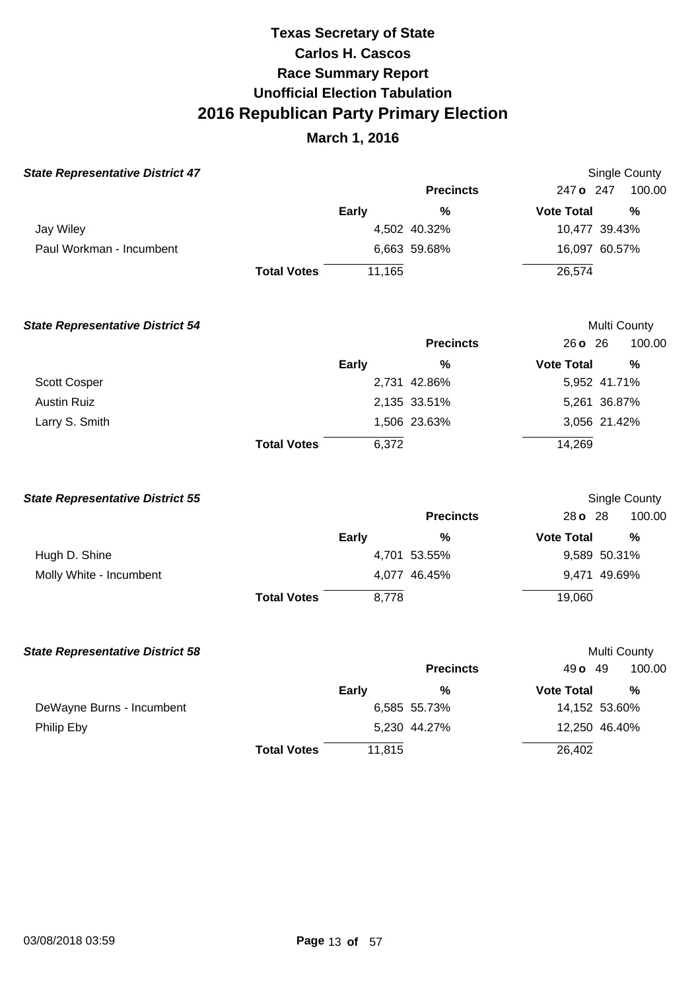| <b>State Representative District 47</b> |                    |              |                  |                   | Single County |
|-----------------------------------------|--------------------|--------------|------------------|-------------------|---------------|
|                                         |                    |              | <b>Precincts</b> | 247 o 247         | 100.00        |
|                                         |                    | <b>Early</b> | $\%$             | <b>Vote Total</b> | $\%$          |
| Jay Wiley                               |                    |              | 4,502 40.32%     | 10,477 39.43%     |               |
| Paul Workman - Incumbent                |                    |              | 6,663 59.68%     | 16,097 60.57%     |               |
|                                         | <b>Total Votes</b> | 11,165       |                  | 26,574            |               |
| <b>State Representative District 54</b> |                    |              |                  |                   | Multi County  |
|                                         |                    |              | <b>Precincts</b> | 26 o 26           | 100.00        |
|                                         |                    | <b>Early</b> | %                | <b>Vote Total</b> | %             |
| Scott Cosper                            |                    |              | 2,731 42.86%     | 5,952 41.71%      |               |
| <b>Austin Ruiz</b>                      |                    |              | 2,135 33.51%     | 5,261 36.87%      |               |
| Larry S. Smith                          |                    |              | 1,506 23.63%     | 3,056 21.42%      |               |
|                                         | <b>Total Votes</b> | 6,372        |                  | 14,269            |               |

| <b>State Representative District 55</b> |                    |              |                  |                   | Single County |  |
|-----------------------------------------|--------------------|--------------|------------------|-------------------|---------------|--|
|                                         |                    |              | <b>Precincts</b> | 28 o 28           | 100.00        |  |
|                                         |                    | <b>Early</b> | %                | <b>Vote Total</b> | %             |  |
| Hugh D. Shine                           |                    |              | 4,701 53.55%     |                   | 9,589 50.31%  |  |
| Molly White - Incumbent                 |                    |              | 4,077 46.45%     |                   | 9,471 49.69%  |  |
|                                         | <b>Total Votes</b> | 8.778        |                  | 19,060            |               |  |

| <b>State Representative District 58</b> |                    |              |                  |                   | Multi County  |  |
|-----------------------------------------|--------------------|--------------|------------------|-------------------|---------------|--|
|                                         |                    |              | <b>Precincts</b> | 49 $\sigma$ 49    | 100.00        |  |
|                                         |                    | <b>Early</b> | %                | <b>Vote Total</b> | %             |  |
| DeWayne Burns - Incumbent               |                    |              | 6,585 55.73%     |                   | 14,152 53.60% |  |
| Philip Eby                              |                    |              | 5,230 44.27%     |                   | 12,250 46.40% |  |
|                                         | <b>Total Votes</b> | 11.815       |                  | 26,402            |               |  |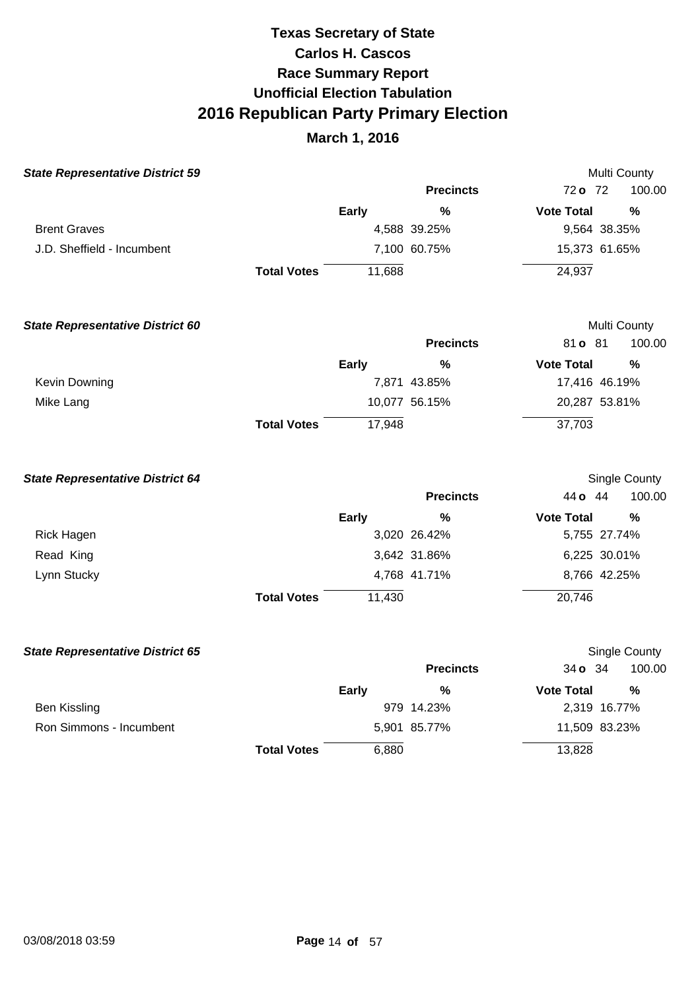| <b>State Representative District 59</b> |                    |              |                  |                   | Multi County  |
|-----------------------------------------|--------------------|--------------|------------------|-------------------|---------------|
|                                         |                    |              | <b>Precincts</b> | 72 o 72           | 100.00        |
|                                         |                    | <b>Early</b> | %                | <b>Vote Total</b> | %             |
| <b>Brent Graves</b>                     |                    |              | 4,588 39.25%     | 9,564 38.35%      |               |
| J.D. Sheffield - Incumbent              |                    |              | 7,100 60.75%     | 15,373 61.65%     |               |
|                                         | <b>Total Votes</b> | 11,688       |                  | 24,937            |               |
| <b>State Representative District 60</b> |                    |              |                  |                   | Multi County  |
|                                         |                    |              | <b>Precincts</b> | 81 o 81           | 100.00        |
|                                         |                    | <b>Early</b> | %                | <b>Vote Total</b> | %             |
| Kevin Downing                           |                    |              | 7,871 43.85%     | 17,416 46.19%     |               |
| Mike Lang                               |                    |              | 10,077 56.15%    | 20,287 53.81%     |               |
|                                         | <b>Total Votes</b> | 17,948       |                  | 37,703            |               |
| <b>State Representative District 64</b> |                    |              |                  |                   | Single County |
|                                         |                    |              | <b>Precincts</b> | 44 o 44           | 100.00        |
|                                         |                    | <b>Early</b> | $\%$             | <b>Vote Total</b> | %             |
| <b>Rick Hagen</b>                       |                    |              | 3,020 26.42%     | 5,755 27.74%      |               |
| Read King                               |                    |              | 3,642 31.86%     | 6,225 30.01%      |               |
| Lynn Stucky                             |                    |              | 4,768 41.71%     | 8,766 42.25%      |               |
|                                         | <b>Total Votes</b> | 11,430       |                  | 20,746            |               |
| <b>State Representative District 65</b> |                    |              |                  |                   | Single County |
|                                         |                    |              | <b>Precincts</b> | 34 o 34           | 100.00        |
|                                         |                    | <b>Early</b> | %                | <b>Vote Total</b> | %             |
| <b>Ben Kissling</b>                     |                    |              | 979 14.23%       | 2,319 16.77%      |               |
| Ron Simmons - Incumbent                 |                    |              | 5,901 85.77%     | 11,509 83.23%     |               |
|                                         | <b>Total Votes</b> | 6,880        |                  | 13,828            |               |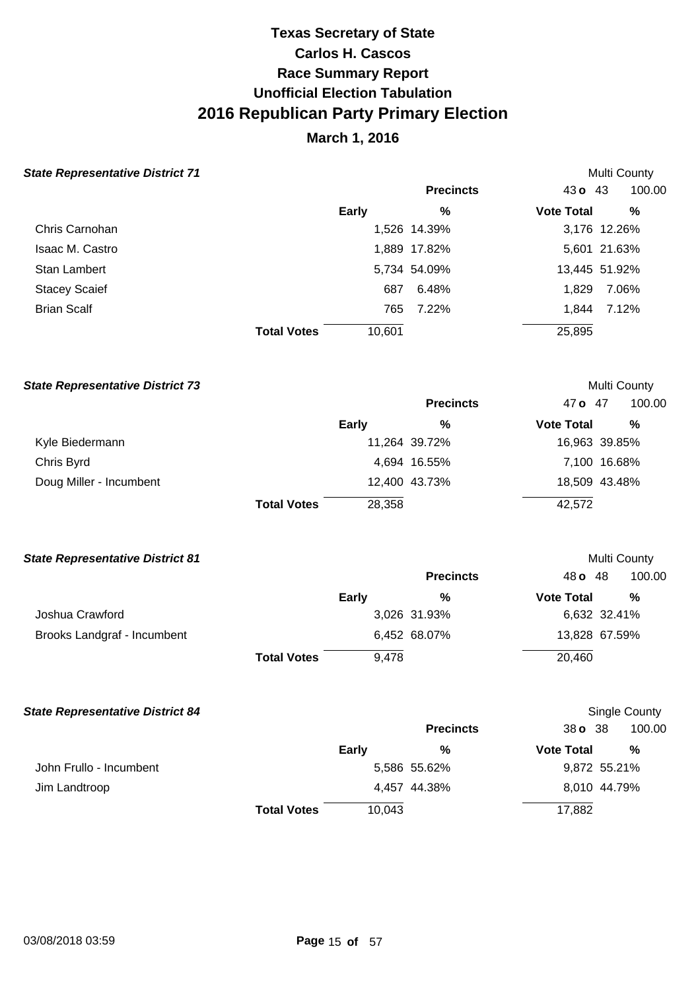## **March 1, 2016**

Multi County

Multi County

Multi County

Single County

#### **State Representative District 71**

|                      |                    |        | <b>Precincts</b> | $43o$ $43$        | 100.00        |
|----------------------|--------------------|--------|------------------|-------------------|---------------|
|                      |                    | Early  | %                | <b>Vote Total</b> | %             |
| Chris Carnohan       |                    |        | 1,526 14.39%     |                   | 3,176 12.26%  |
| Isaac M. Castro      |                    |        | 1,889 17.82%     |                   | 5,601 21.63%  |
| <b>Stan Lambert</b>  |                    |        | 5,734 54.09%     |                   | 13,445 51.92% |
| <b>Stacey Scaief</b> |                    | 687    | 6.48%            | 1,829             | 7.06%         |
| <b>Brian Scalf</b>   |                    | 765    | 7.22%            | 1.844             | 7.12%         |
|                      | <b>Total Votes</b> | 10,601 |                  | 25,895            |               |

#### **State Representative District 73**

|                         |                    |        | <b>Precincts</b> | 47 o 47           | 100.00        |
|-------------------------|--------------------|--------|------------------|-------------------|---------------|
|                         |                    | Early  | $\%$             | <b>Vote Total</b> | %             |
| Kyle Biedermann         |                    |        | 11,264 39.72%    |                   | 16,963 39.85% |
| Chris Byrd              |                    |        | 4,694 16.55%     |                   | 7,100 16.68%  |
| Doug Miller - Incumbent |                    |        | 12,400 43.73%    |                   | 18,509 43.48% |
|                         | <b>Total Votes</b> | 28,358 |                  | 42,572            |               |

#### **State Representative District 81**

|                             |                    |       | <b>Precincts</b> | 48 <b>o</b> 48    | 100.00        |
|-----------------------------|--------------------|-------|------------------|-------------------|---------------|
|                             |                    | Early | %                | <b>Vote Total</b> | $\%$          |
| Joshua Crawford             |                    |       | 3,026 31.93%     |                   | 6,632 32.41%  |
| Brooks Landgraf - Incumbent |                    |       | 6,452 68.07%     |                   | 13,828 67.59% |
|                             | <b>Total Votes</b> | 9.478 |                  | 20,460            |               |

#### **State Representative District 84**

|                         |                    |              | <b>Precincts</b> | 38 <b>o</b> 38    | 100.00       |
|-------------------------|--------------------|--------------|------------------|-------------------|--------------|
|                         |                    | <b>Early</b> | $\frac{0}{0}$    | <b>Vote Total</b> | %            |
| John Frullo - Incumbent |                    |              | 5,586 55.62%     |                   | 9,872 55.21% |
| Jim Landtroop           |                    |              | 4,457 44.38%     |                   | 8,010 44.79% |
|                         | <b>Total Votes</b> | 10,043       |                  | 17,882            |              |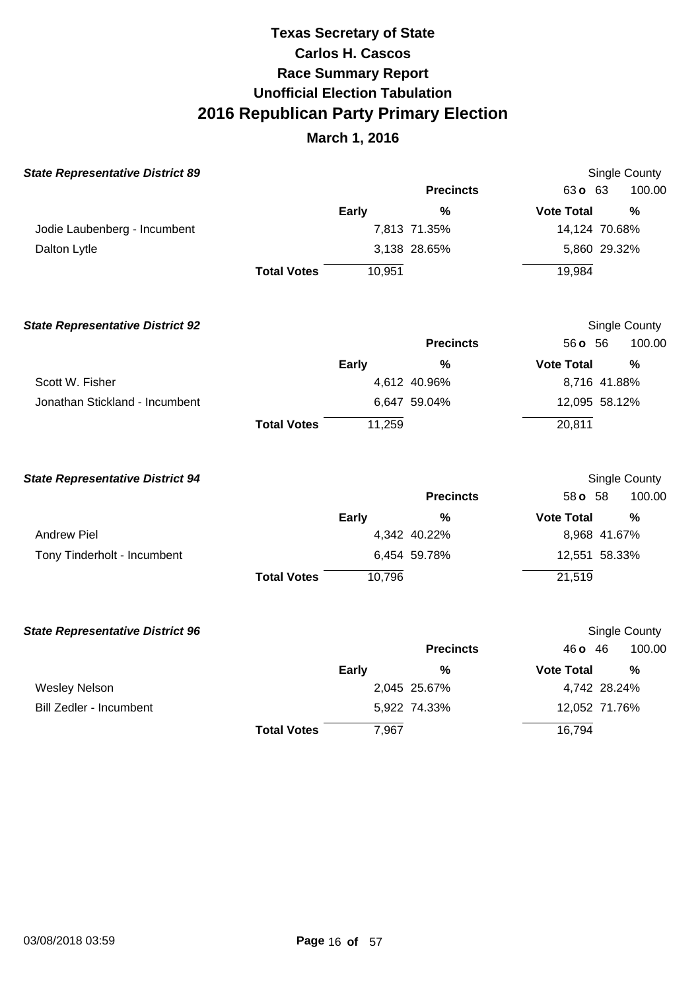| <b>State Representative District 89</b> |                    |              |                  |                   | <b>Single County</b> |
|-----------------------------------------|--------------------|--------------|------------------|-------------------|----------------------|
|                                         |                    |              | <b>Precincts</b> | 63o 63            | 100.00               |
|                                         |                    | <b>Early</b> | $\frac{0}{0}$    | <b>Vote Total</b> | $\frac{9}{6}$        |
| Jodie Laubenberg - Incumbent            |                    |              | 7,813 71.35%     | 14,124 70.68%     |                      |
| Dalton Lytle                            |                    |              | 3,138 28.65%     | 5,860 29.32%      |                      |
|                                         | <b>Total Votes</b> | 10,951       |                  | 19,984            |                      |
| <b>State Representative District 92</b> |                    |              |                  |                   | Single County        |
|                                         |                    |              | <b>Precincts</b> | 56 o 56           | 100.00               |
|                                         |                    | <b>Early</b> | $\frac{0}{0}$    | <b>Vote Total</b> | $\frac{0}{0}$        |
| Scott W. Fisher                         |                    |              | 4,612 40.96%     | 8,716 41.88%      |                      |
| Jonathan Stickland - Incumbent          |                    |              | 6,647 59.04%     | 12,095 58.12%     |                      |
|                                         | <b>Total Votes</b> | 11,259       |                  | 20,811            |                      |
| <b>State Representative District 94</b> |                    |              |                  |                   | <b>Single County</b> |
|                                         |                    |              | <b>Precincts</b> | 58 <b>o</b> 58    | 100.00               |
|                                         |                    | <b>Early</b> | %                | <b>Vote Total</b> | %                    |
| <b>Andrew Piel</b>                      |                    |              | 4,342 40.22%     | 8,968 41.67%      |                      |
| Tony Tinderholt - Incumbent             |                    |              | 6,454 59.78%     | 12,551 58.33%     |                      |
|                                         | <b>Total Votes</b> | 10,796       |                  | 21,519            |                      |
| <b>State Representative District 96</b> |                    |              |                  |                   | Single County        |
|                                         |                    |              | <b>Precincts</b> | 46 o 46           | 100.00               |
|                                         |                    | Early        | $\frac{0}{0}$    | <b>Vote Total</b> | %                    |
| <b>Wesley Nelson</b>                    |                    |              | 2,045 25.67%     | 4,742 28.24%      |                      |
| Bill Zedler - Incumbent                 |                    |              | 5,922 74.33%     | 12,052 71.76%     |                      |
|                                         | <b>Total Votes</b> | 7,967        |                  | 16,794            |                      |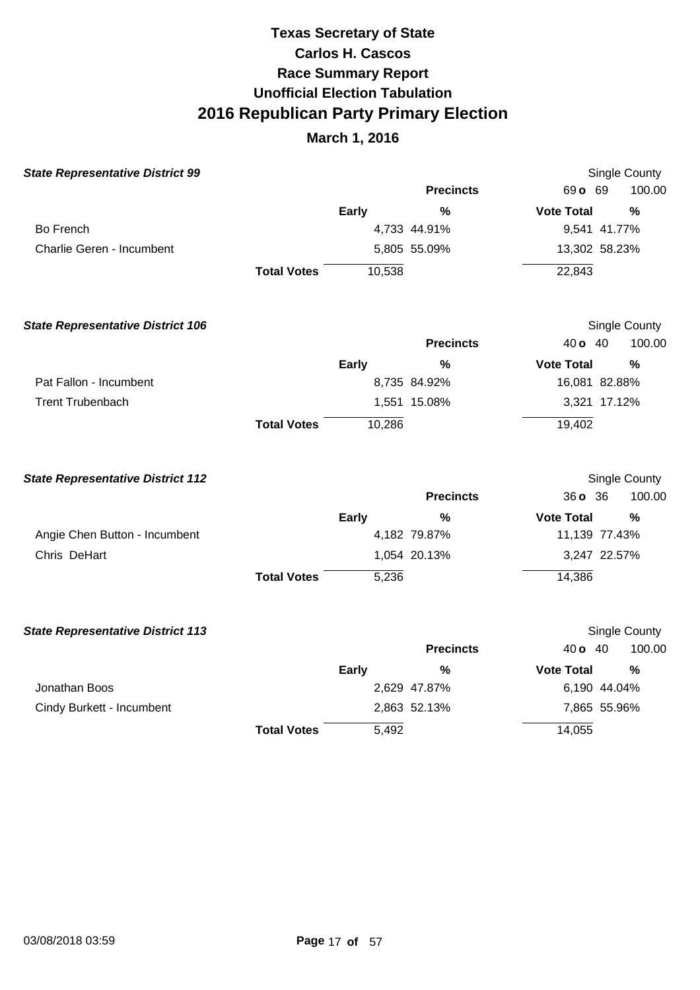| <b>State Representative District 99</b>  |                    |              |                  |                   | <b>Single County</b> |
|------------------------------------------|--------------------|--------------|------------------|-------------------|----------------------|
|                                          |                    |              | <b>Precincts</b> | 69 o 69           | 100.00               |
|                                          |                    | Early        | $\frac{0}{0}$    | <b>Vote Total</b> | $\frac{0}{0}$        |
| Bo French                                |                    |              | 4,733 44.91%     | 9,541 41.77%      |                      |
| Charlie Geren - Incumbent                |                    |              | 5,805 55.09%     | 13,302 58.23%     |                      |
|                                          | <b>Total Votes</b> | 10,538       |                  | 22,843            |                      |
| <b>State Representative District 106</b> |                    |              |                  |                   | Single County        |
|                                          |                    |              | <b>Precincts</b> | 40 <b>o</b> 40    | 100.00               |
|                                          |                    | <b>Early</b> | $\frac{0}{0}$    | <b>Vote Total</b> | $\frac{0}{0}$        |
| Pat Fallon - Incumbent                   |                    |              | 8,735 84.92%     | 16,081 82.88%     |                      |
| <b>Trent Trubenbach</b>                  |                    |              | 1,551 15.08%     | 3,321 17.12%      |                      |
|                                          | <b>Total Votes</b> | 10,286       |                  | 19,402            |                      |
| <b>State Representative District 112</b> |                    |              |                  |                   | Single County        |
|                                          |                    |              | <b>Precincts</b> | 36 o 36           | 100.00               |
|                                          |                    | Early        | %                | <b>Vote Total</b> | %                    |
| Angie Chen Button - Incumbent            |                    |              | 4,182 79.87%     | 11,139 77.43%     |                      |
| Chris DeHart                             |                    |              | 1,054 20.13%     | 3,247 22.57%      |                      |
|                                          | <b>Total Votes</b> | 5,236        |                  | 14,386            |                      |
| <b>State Representative District 113</b> |                    |              |                  |                   | Single County        |
|                                          |                    |              | <b>Precincts</b> | 40 <b>o</b> 40    | 100.00               |
|                                          |                    | <b>Early</b> | %                | <b>Vote Total</b> | $\frac{0}{0}$        |
| Jonathan Boos                            |                    |              | 2,629 47.87%     | 6,190 44.04%      |                      |
| Cindy Burkett - Incumbent                |                    |              | 2,863 52.13%     | 7,865 55.96%      |                      |
|                                          | <b>Total Votes</b> | 5,492        |                  | 14,055            |                      |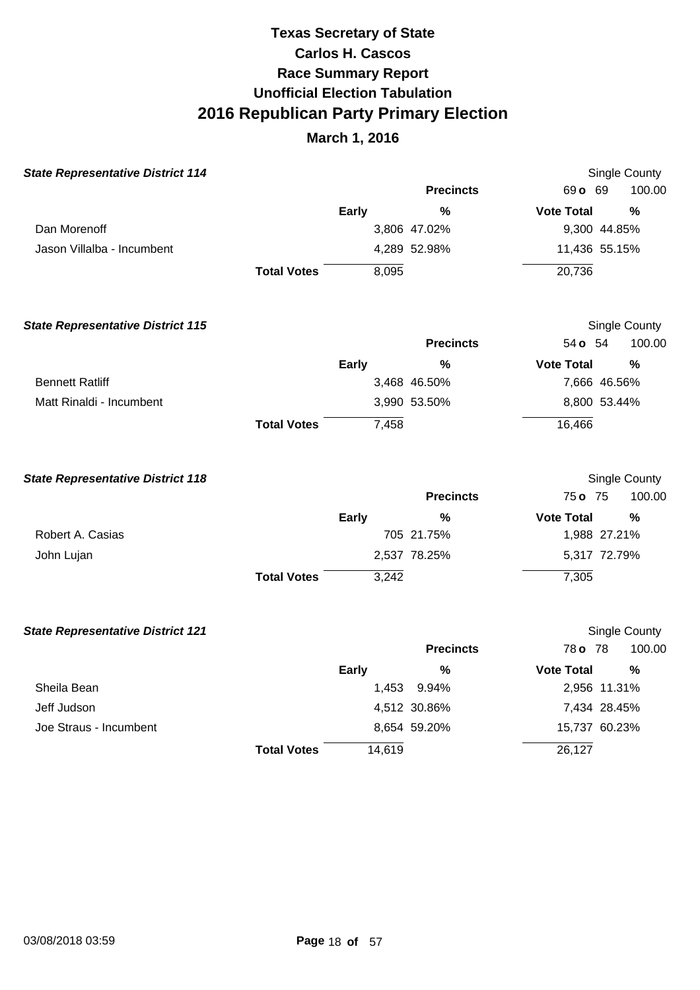| <b>State Representative District 114</b> |                    |              |                  |                   | <b>Single County</b> |
|------------------------------------------|--------------------|--------------|------------------|-------------------|----------------------|
|                                          |                    |              | <b>Precincts</b> | 69 o 69           | 100.00               |
|                                          |                    | <b>Early</b> | %                | <b>Vote Total</b> | $\frac{0}{0}$        |
| Dan Morenoff                             |                    |              | 3,806 47.02%     |                   | 9,300 44.85%         |
| Jason Villalba - Incumbent               |                    |              | 4,289 52.98%     | 11,436 55.15%     |                      |
|                                          | <b>Total Votes</b> | 8,095        |                  | 20,736            |                      |
| <b>State Representative District 115</b> |                    |              |                  |                   | <b>Single County</b> |
|                                          |                    |              | <b>Precincts</b> | 54 <b>o</b> 54    | 100.00               |
|                                          |                    | <b>Early</b> | %                | <b>Vote Total</b> | %                    |
| <b>Bennett Ratliff</b>                   |                    |              | 3,468 46.50%     |                   | 7,666 46.56%         |
| Matt Rinaldi - Incumbent                 |                    |              | 3,990 53.50%     |                   | 8,800 53.44%         |
|                                          | <b>Total Votes</b> | 7,458        |                  | 16,466            |                      |
| <b>State Representative District 118</b> |                    |              |                  |                   | Single County        |
|                                          |                    |              | <b>Precincts</b> | 75 o 75           | 100.00               |
|                                          |                    | <b>Early</b> | $\%$             | <b>Vote Total</b> | $\frac{0}{0}$        |
| Robert A. Casias                         |                    |              | 705 21.75%       |                   | 1,988 27.21%         |
| John Lujan                               |                    |              | 2,537 78.25%     |                   | 5,317 72.79%         |
|                                          | <b>Total Votes</b> | 3,242        |                  | 7,305             |                      |
| <b>State Representative District 121</b> |                    |              |                  |                   | Single County        |
|                                          |                    |              | <b>Precincts</b> | 78 o 78           | 100.00               |
|                                          |                    | Early        | %                | <b>Vote Total</b> | %                    |
| Sheila Bean                              |                    | 1,453        | 9.94%            |                   | 2,956 11.31%         |
| Jeff Judson                              |                    |              | 4,512 30.86%     |                   | 7,434 28.45%         |
| Joe Straus - Incumbent                   |                    |              | 8,654 59.20%     | 15,737 60.23%     |                      |
|                                          | <b>Total Votes</b> | 14,619       |                  | 26,127            |                      |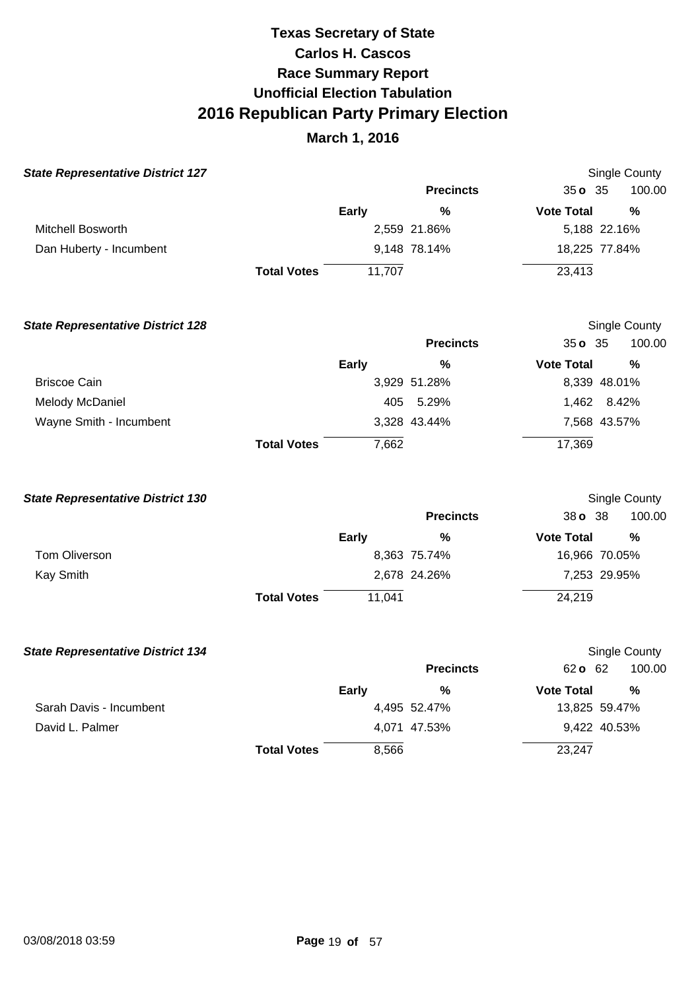| <b>State Representative District 127</b> |                    |              |                  |                   | Single County |
|------------------------------------------|--------------------|--------------|------------------|-------------------|---------------|
|                                          |                    |              | <b>Precincts</b> | $35o$ $35$        | 100.00        |
|                                          |                    | <b>Early</b> | $\frac{0}{0}$    | <b>Vote Total</b> | $\frac{0}{0}$ |
| <b>Mitchell Bosworth</b>                 |                    |              | 2,559 21.86%     |                   | 5,188 22.16%  |
| Dan Huberty - Incumbent                  |                    |              | 9,148 78.14%     |                   | 18,225 77.84% |
|                                          | <b>Total Votes</b> | 11,707       |                  | 23,413            |               |
| <b>State Representative District 128</b> |                    |              |                  |                   | Single County |
|                                          |                    |              | <b>Precincts</b> | 35035             | 100.00        |
|                                          |                    | <b>Early</b> | %                | <b>Vote Total</b> | %             |
| <b>Briscoe Cain</b>                      |                    |              | 3,929 51.28%     |                   | 8,339 48.01%  |
| Melody McDaniel                          |                    | 405          | 5.29%            | 1,462             | 8.42%         |
| Wayne Smith - Incumbent                  |                    |              | 3,328 43.44%     |                   | 7,568 43.57%  |
|                                          | <b>Total Votes</b> | 7,662        |                  | 17,369            |               |
| <b>State Representative District 130</b> |                    |              |                  |                   | Single County |
|                                          |                    |              | <b>Precincts</b> | 38 o 38           | 100.00        |

|                      | Early                        | %            | <b>Vote Total</b> | %             |
|----------------------|------------------------------|--------------|-------------------|---------------|
| <b>Tom Oliverson</b> |                              | 8,363 75.74% |                   | 16,966 70.05% |
| Kay Smith            |                              | 2,678 24.26% |                   | 7,253 29.95%  |
|                      | 11.041<br><b>Total Votes</b> |              | 24,219            |               |

| <b>State Representative District 134</b> |                    |              |                  |                   | Single County |  |
|------------------------------------------|--------------------|--------------|------------------|-------------------|---------------|--|
|                                          |                    |              | <b>Precincts</b> | 62 o 62           | 100.00        |  |
|                                          |                    | <b>Early</b> | %                | <b>Vote Total</b> | %             |  |
| Sarah Davis - Incumbent                  |                    |              | 4,495 52.47%     |                   | 13,825 59.47% |  |
| David L. Palmer                          |                    |              | 4,071 47.53%     |                   | 9,422 40.53%  |  |
|                                          | <b>Total Votes</b> | 8,566        |                  | 23,247            |               |  |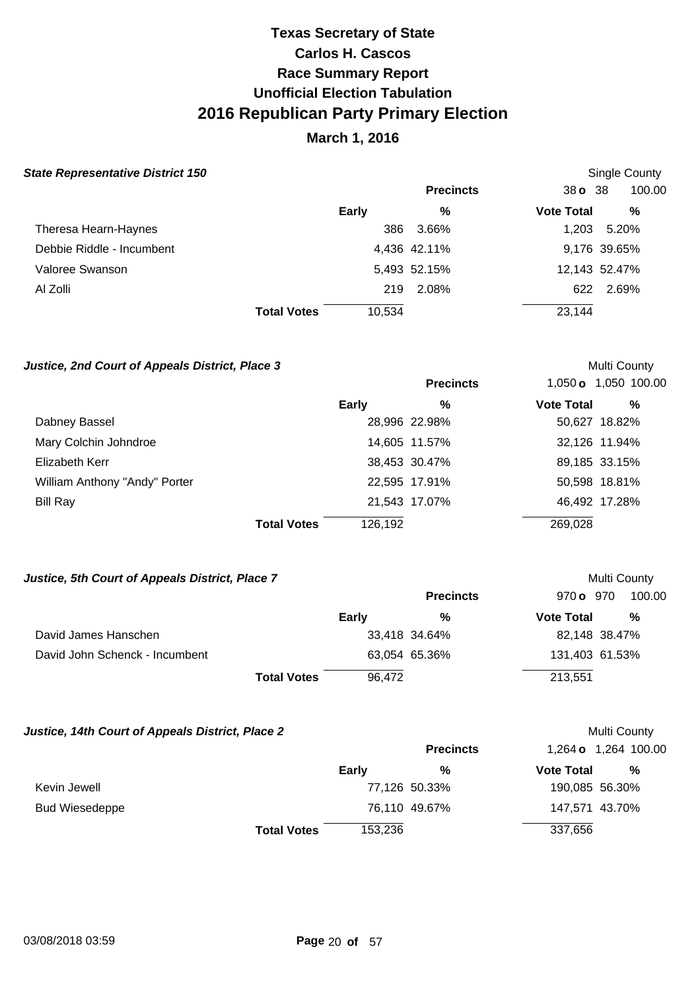### **March 1, 2016**

Single County

Multi County

Multi County

Multi County

#### **State Representative District 150**

|                           |                    |        | <b>Precincts</b> | $38o$ 38          | 100.00        |
|---------------------------|--------------------|--------|------------------|-------------------|---------------|
|                           |                    | Early  | %                | <b>Vote Total</b> | %             |
| Theresa Hearn-Haynes      |                    | 386    | 3.66%            | 1.203             | 5.20%         |
| Debbie Riddle - Incumbent |                    |        | 4,436 42.11%     |                   | 9,176 39.65%  |
| Valoree Swanson           |                    |        | 5,493 52.15%     |                   | 12,143 52.47% |
| Al Zolli                  |                    | 219    | 2.08%            | 622               | 2.69%         |
|                           | <b>Total Votes</b> | 10,534 |                  | 23,144            |               |

#### **Justice, 2nd Court of Appeals District, Place 3**

|                               |                               | <b>Precincts</b> |                   | 1,050 <b>o</b> 1,050 100.00 |
|-------------------------------|-------------------------------|------------------|-------------------|-----------------------------|
|                               | <b>Early</b>                  | %                | <b>Vote Total</b> | %                           |
| Dabney Bassel                 |                               | 28,996 22.98%    |                   | 50,627 18.82%               |
| Mary Colchin Johndroe         |                               | 14,605 11.57%    |                   | 32,126 11.94%               |
| Elizabeth Kerr                |                               | 38,453 30.47%    |                   | 89,185 33.15%               |
| William Anthony "Andy" Porter |                               | 22,595 17.91%    |                   | 50,598 18.81%               |
| Bill Ray                      |                               | 21,543 17.07%    |                   | 46,492 17.28%               |
|                               | <b>Total Votes</b><br>126,192 |                  | 269,028           |                             |

#### **Justice, 5th Court of Appeals District, Place 7**

|                                |                    |        | <b>Precincts</b> | 970 o 970         | 100.00        |
|--------------------------------|--------------------|--------|------------------|-------------------|---------------|
|                                | <b>Early</b>       |        | %                | <b>Vote Total</b> | %             |
| David James Hanschen           |                    |        | 33,418 34.64%    |                   | 82,148 38.47% |
| David John Schenck - Incumbent |                    |        | 63,054 65.36%    | 131,403 61.53%    |               |
|                                | <b>Total Votes</b> | 96,472 |                  | 213,551           |               |

#### **Justice, 14th Court of Appeals District, Place 2**

|                       |                    |              | <b>Precincts</b> |                   | 1,264 <b>o</b> 1,264 100.00 |
|-----------------------|--------------------|--------------|------------------|-------------------|-----------------------------|
|                       |                    | <b>Early</b> | %                | <b>Vote Total</b> | %                           |
| Kevin Jewell          |                    |              | 77,126 50.33%    |                   | 190,085 56.30%              |
| <b>Bud Wiesedeppe</b> |                    |              | 76,110 49.67%    |                   | 147,571 43.70%              |
|                       | <b>Total Votes</b> | 153,236      |                  | 337,656           |                             |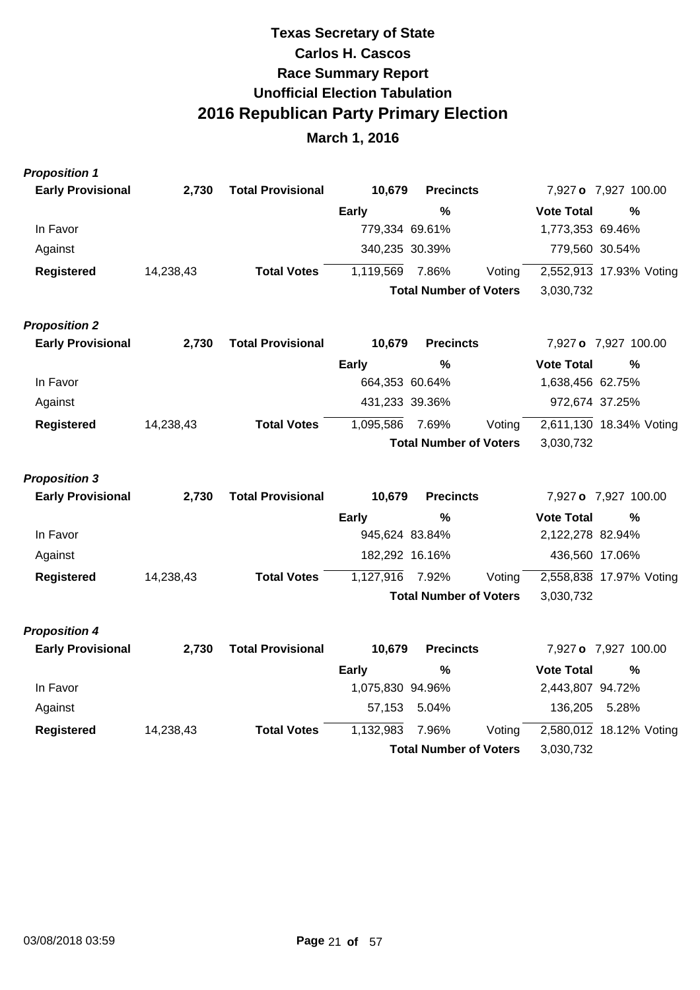| <b>Proposition 1</b>     |           |                          |                  |                               |        |                   |                         |
|--------------------------|-----------|--------------------------|------------------|-------------------------------|--------|-------------------|-------------------------|
| <b>Early Provisional</b> | 2,730     | <b>Total Provisional</b> | 10,679           | <b>Precincts</b>              |        |                   | 7,927 o 7,927 100.00    |
|                          |           |                          | <b>Early</b>     | $\frac{0}{0}$                 |        | <b>Vote Total</b> | %                       |
| In Favor                 |           |                          | 779,334 69.61%   |                               |        | 1,773,353 69.46%  |                         |
| Against                  |           |                          | 340,235 30.39%   |                               |        | 779,560 30.54%    |                         |
| <b>Registered</b>        | 14,238,43 | <b>Total Votes</b>       | 1,119,569        | 7.86%                         | Voting |                   | 2,552,913 17.93% Voting |
|                          |           |                          |                  | <b>Total Number of Voters</b> |        | 3,030,732         |                         |
| <b>Proposition 2</b>     |           |                          |                  |                               |        |                   |                         |
| <b>Early Provisional</b> | 2,730     | <b>Total Provisional</b> | 10,679           | <b>Precincts</b>              |        |                   | 7,927 o 7,927 100.00    |
|                          |           |                          | <b>Early</b>     | %                             |        | <b>Vote Total</b> | %                       |
| In Favor                 |           |                          | 664,353 60.64%   |                               |        | 1,638,456 62.75%  |                         |
| Against                  |           |                          | 431,233 39.36%   |                               |        | 972,674 37.25%    |                         |
| <b>Registered</b>        | 14,238,43 | <b>Total Votes</b>       | 1,095,586        | 7.69%                         | Voting |                   | 2,611,130 18.34% Voting |
|                          |           |                          |                  | <b>Total Number of Voters</b> |        | 3,030,732         |                         |
| <b>Proposition 3</b>     |           |                          |                  |                               |        |                   |                         |
| <b>Early Provisional</b> | 2,730     | <b>Total Provisional</b> | 10,679           | <b>Precincts</b>              |        |                   | 7,927 o 7,927 100.00    |
|                          |           |                          | <b>Early</b>     | $\frac{0}{0}$                 |        | <b>Vote Total</b> | %                       |
| In Favor                 |           |                          | 945,624 83.84%   |                               |        | 2,122,278 82.94%  |                         |
| Against                  |           |                          | 182,292 16.16%   |                               |        | 436,560 17.06%    |                         |
| <b>Registered</b>        | 14,238,43 | <b>Total Votes</b>       | 1,127,916        | 7.92%                         | Voting |                   | 2,558,838 17.97% Voting |
|                          |           |                          |                  | <b>Total Number of Voters</b> |        | 3,030,732         |                         |
| <b>Proposition 4</b>     |           |                          |                  |                               |        |                   |                         |
| <b>Early Provisional</b> | 2,730     | <b>Total Provisional</b> | 10,679           | <b>Precincts</b>              |        |                   | 7,927 o 7,927 100.00    |
|                          |           |                          | <b>Early</b>     | $\%$                          |        | <b>Vote Total</b> | %                       |
| In Favor                 |           |                          | 1,075,830 94.96% |                               |        | 2,443,807 94.72%  |                         |
| Against                  |           |                          | 57,153           | 5.04%                         |        | 136,205           | 5.28%                   |
| <b>Registered</b>        | 14,238,43 | <b>Total Votes</b>       | 1,132,983        | 7.96%                         | Voting |                   | 2,580,012 18.12% Voting |
|                          |           |                          |                  | <b>Total Number of Voters</b> |        | 3,030,732         |                         |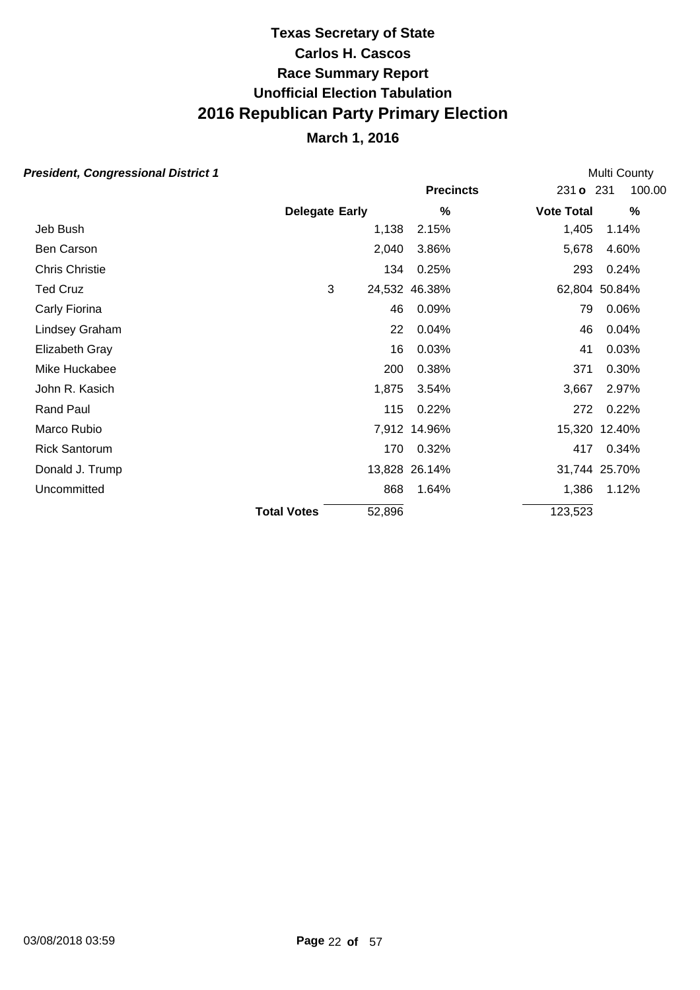### **March 1, 2016**

#### **President, Congressional District 1**

**Precincts** 231 **o** 231 **Early Vote Total % %** 100.00 **Delegate** Multi County Jeb Bush 1,138 2.15% 1,405 1.14% Ben Carson 2,040 3.86% 5,678 4.60% Chris Christie 134 0.25% 293 0.24% Ted Cruz 3 24,532 46.38% 62,804 50.84% Carly Fiorina 46 0.09% 79 0.06% Lindsey Graham 22 0.04% 46 0.04% Elizabeth Gray 16 0.03% 41 0.03% Mike Huckabee 200 0.38% 371 0.30% John R. Kasich 1,875 3.54% 3,667 2.97% Rand Paul 115 0.22% 272 0.22% Marco Rubio 7,912 14.96% 15,320 12.40% Rick Santorum 170 0.32% 417 0.34% Donald J. Trump 13,828 26.14% 31,744 25.70% Uncommitted 1.386 1.64% 1.386 1.72% **Total Votes**  $\overline{\hspace{1.5cm}52.896}$   $\overline{\hspace{1.5cm}123.523}$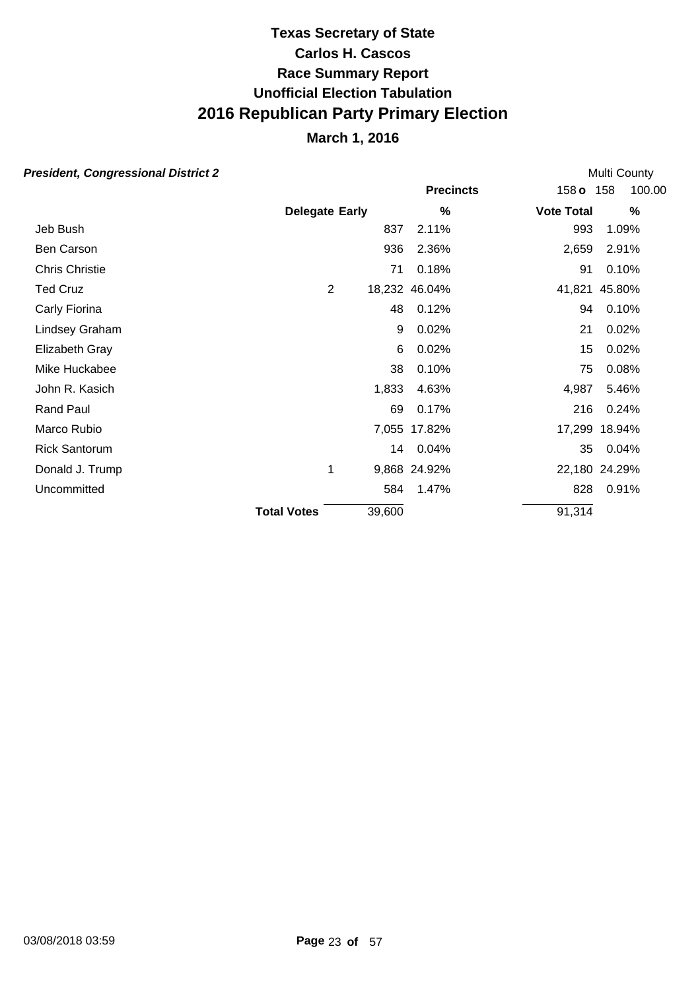## **March 1, 2016**

| esident, Congressional District 2 |                       |        |                  |                   | Multi County  |  |  |
|-----------------------------------|-----------------------|--------|------------------|-------------------|---------------|--|--|
|                                   |                       |        | <b>Precincts</b> | 158 <sub>o</sub>  | 100.00<br>158 |  |  |
|                                   | <b>Delegate Early</b> |        | %                | <b>Vote Total</b> | %             |  |  |
| Jeb Bush                          |                       | 837    | 2.11%            | 993               | 1.09%         |  |  |
| Ben Carson                        |                       | 936    | 2.36%            | 2,659             | 2.91%         |  |  |
| Chris Christie                    |                       | 71     | 0.18%            | 91                | 0.10%         |  |  |
| <b>Ted Cruz</b>                   | 2                     |        | 18,232 46.04%    |                   | 41,821 45.80% |  |  |
| Carly Fiorina                     |                       | 48     | 0.12%            | 94                | 0.10%         |  |  |
| Lindsey Graham                    |                       | 9      | 0.02%            | 21                | 0.02%         |  |  |
| Elizabeth Gray                    |                       | 6      | 0.02%            | 15                | 0.02%         |  |  |
| Mike Huckabee                     |                       | 38     | 0.10%            | 75                | 0.08%         |  |  |
| John R. Kasich                    |                       | 1,833  | 4.63%            | 4,987             | 5.46%         |  |  |
| <b>Rand Paul</b>                  |                       | 69     | 0.17%            | 216               | 0.24%         |  |  |
| Marco Rubio                       |                       |        | 7,055 17.82%     |                   | 17,299 18.94% |  |  |
| <b>Rick Santorum</b>              |                       |        | 14 0.04%         | 35                | 0.04%         |  |  |
| Donald J. Trump                   | 1                     |        | 9,868 24.92%     |                   | 22,180 24.29% |  |  |
| Uncommitted                       |                       | 584    | 1.47%            | 828               | 0.91%         |  |  |
|                                   | <b>Total Votes</b>    | 39,600 |                  | 91,314            |               |  |  |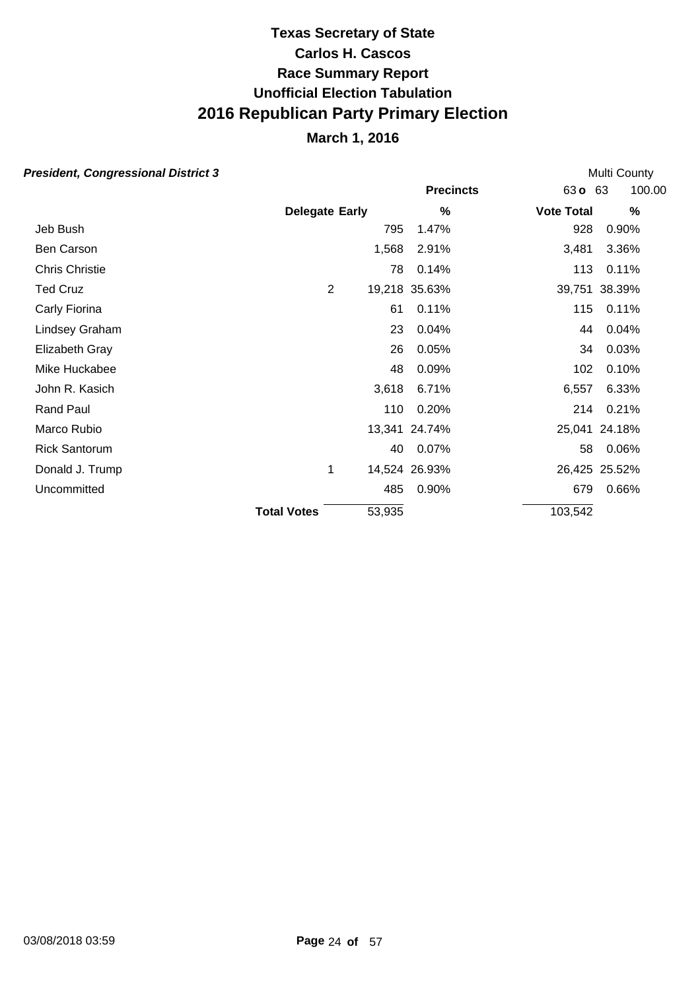## **March 1, 2016**

| resident, Congressional District 3 |                       |        |                  |                   | Multi County  |
|------------------------------------|-----------------------|--------|------------------|-------------------|---------------|
|                                    |                       |        | <b>Precincts</b> | 63 <b>o</b>       | 100.00<br>63  |
|                                    | <b>Delegate Early</b> |        | %                | <b>Vote Total</b> | %             |
| Jeb Bush                           |                       | 795    | 1.47%            | 928               | 0.90%         |
| Ben Carson                         |                       | 1,568  | 2.91%            | 3,481             | 3.36%         |
| <b>Chris Christie</b>              |                       | 78     | 0.14%            | 113               | 0.11%         |
| <b>Ted Cruz</b>                    | 2                     |        | 19,218 35.63%    |                   | 39,751 38.39% |
| Carly Fiorina                      |                       | 61     | 0.11%            | 115               | 0.11%         |
| Lindsey Graham                     |                       | 23     | 0.04%            | 44                | 0.04%         |
| Elizabeth Gray                     |                       | 26     | 0.05%            | 34                | 0.03%         |
| Mike Huckabee                      |                       | 48     | 0.09%            | 102               | 0.10%         |
| John R. Kasich                     |                       | 3,618  | 6.71%            | 6,557             | 6.33%         |
| Rand Paul                          |                       | 110    | 0.20%            | 214               | 0.21%         |
| Marco Rubio                        |                       |        | 13,341 24.74%    |                   | 25,041 24.18% |
| <b>Rick Santorum</b>               |                       | 40     | 0.07%            | 58                | 0.06%         |
| Donald J. Trump                    | 1                     |        | 14,524 26.93%    |                   | 26,425 25.52% |
| Uncommitted                        |                       | 485    | 0.90%            | 679               | 0.66%         |
|                                    | <b>Total Votes</b>    | 53,935 |                  | 103,542           |               |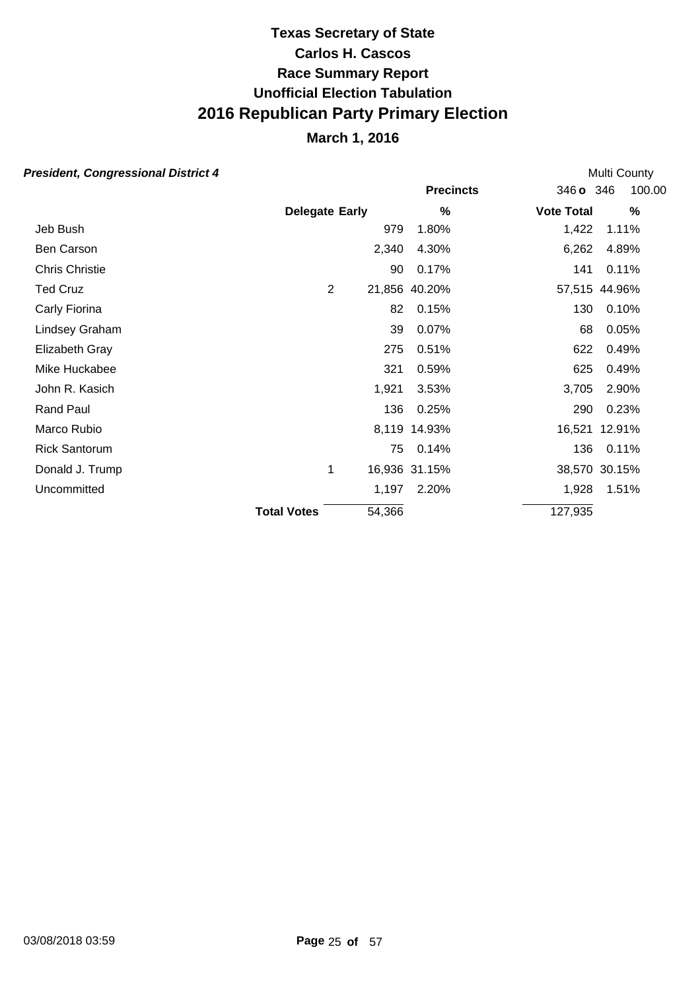## **March 1, 2016**

| esident, Congressional District 4 |                       |                |        |                  |                   | Multi County  |  |  |
|-----------------------------------|-----------------------|----------------|--------|------------------|-------------------|---------------|--|--|
|                                   |                       |                |        | <b>Precincts</b> | 346 o 346         | 100.00        |  |  |
|                                   | <b>Delegate Early</b> |                |        | %                | <b>Vote Total</b> | %             |  |  |
| Jeb Bush                          |                       |                | 979    | 1.80%            | 1,422             | 1.11%         |  |  |
| Ben Carson                        |                       |                | 2,340  | 4.30%            | 6,262             | 4.89%         |  |  |
| <b>Chris Christie</b>             |                       |                | 90     | 0.17%            | 141               | 0.11%         |  |  |
| <b>Ted Cruz</b>                   |                       | $\overline{2}$ |        | 21,856 40.20%    |                   | 57,515 44.96% |  |  |
| Carly Fiorina                     |                       |                | 82     | 0.15%            | 130               | 0.10%         |  |  |
| Lindsey Graham                    |                       |                | 39     | 0.07%            | 68                | 0.05%         |  |  |
| Elizabeth Gray                    |                       |                | 275    | 0.51%            | 622               | 0.49%         |  |  |
| Mike Huckabee                     |                       |                | 321    | 0.59%            | 625               | 0.49%         |  |  |
| John R. Kasich                    |                       |                | 1,921  | 3.53%            | 3,705             | 2.90%         |  |  |
| Rand Paul                         |                       |                | 136    | 0.25%            | 290               | 0.23%         |  |  |
| Marco Rubio                       |                       |                | 8,119  | 14.93%           |                   | 16,521 12.91% |  |  |
| <b>Rick Santorum</b>              |                       |                | 75     | 0.14%            | 136               | 0.11%         |  |  |
| Donald J. Trump                   |                       | 1              |        | 16,936 31.15%    |                   | 38,570 30.15% |  |  |
| Uncommitted                       |                       |                | 1,197  | 2.20%            | 1,928             | 1.51%         |  |  |
|                                   | <b>Total Votes</b>    |                | 54,366 |                  | 127,935           |               |  |  |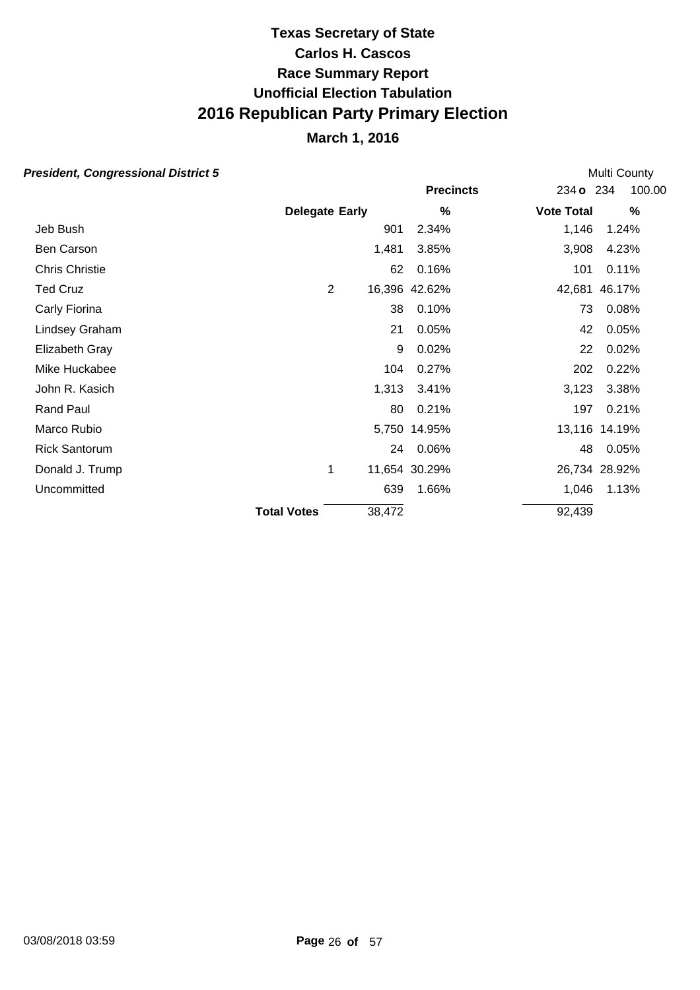## **March 1, 2016**

| esident, Congressional District 5 |                       |                |        |                  |                   | Multi County  |
|-----------------------------------|-----------------------|----------------|--------|------------------|-------------------|---------------|
|                                   |                       |                |        | <b>Precincts</b> | 234 o 234         | 100.00        |
|                                   | <b>Delegate Early</b> |                |        | %                | <b>Vote Total</b> | $\%$          |
| Jeb Bush                          |                       |                | 901    | 2.34%            | 1,146             | 1.24%         |
| Ben Carson                        |                       |                | 1,481  | 3.85%            | 3,908             | 4.23%         |
| <b>Chris Christie</b>             |                       |                | 62     | 0.16%            | 101               | 0.11%         |
| <b>Ted Cruz</b>                   |                       | $\overline{2}$ |        | 16,396 42.62%    |                   | 42,681 46.17% |
| Carly Fiorina                     |                       |                | 38     | 0.10%            | 73                | 0.08%         |
| Lindsey Graham                    |                       |                | 21     | 0.05%            | 42                | 0.05%         |
| Elizabeth Gray                    |                       |                | 9      | 0.02%            | 22                | 0.02%         |
| Mike Huckabee                     |                       |                | 104    | 0.27%            | 202               | 0.22%         |
| John R. Kasich                    |                       |                | 1,313  | 3.41%            | 3,123             | 3.38%         |
| Rand Paul                         |                       |                | 80     | 0.21%            | 197               | 0.21%         |
| Marco Rubio                       |                       |                |        | 5,750 14.95%     |                   | 13,116 14.19% |
| <b>Rick Santorum</b>              |                       |                |        | 24 0.06%         | 48                | 0.05%         |
| Donald J. Trump                   |                       | 1              |        | 11,654 30.29%    |                   | 26,734 28.92% |
| Uncommitted                       |                       |                | 639    | 1.66%            | 1,046             | 1.13%         |
|                                   | <b>Total Votes</b>    |                | 38,472 |                  | 92,439            |               |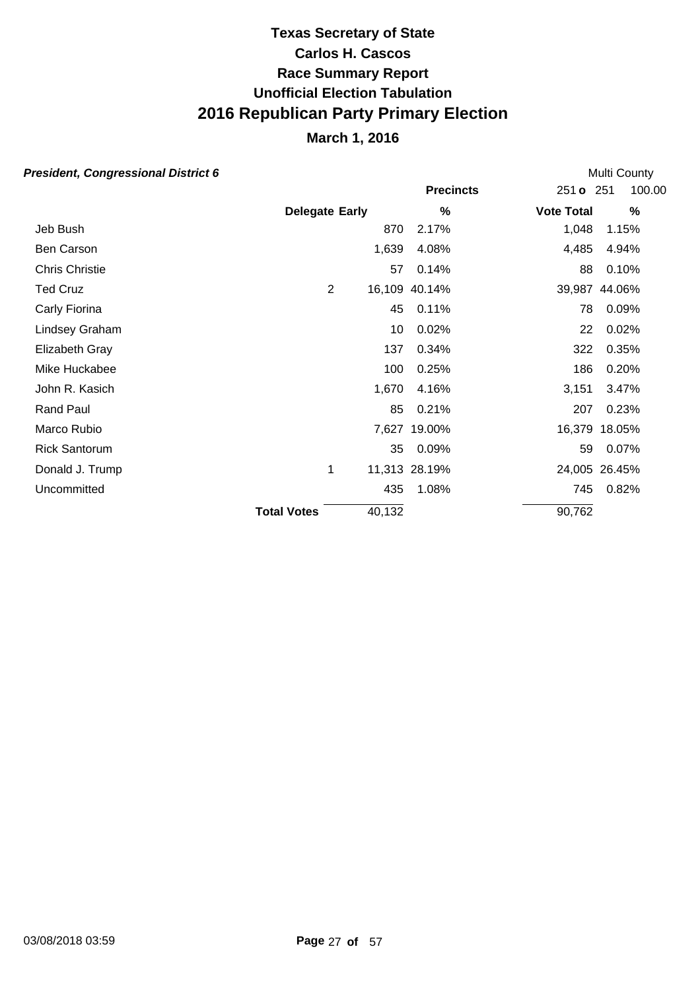### **March 1, 2016**

#### **President, Congressional District 6**

**Precincts** 251 **o** 251 **Early Vote Total % %** 100.00 **Delegate** Multi County Jeb Bush 870 2.17% 1,048 1.15% Ben Carson 2,485 4.94% 6 1,639 4.08% 4,485 4.94% Chris Christie 57 0.14% 88 0.10% Ted Cruz 2 16,109 40.14% 39,987 44.06% Carly Fiorina 45 0.11% 78 0.09% Lindsey Graham 10 0.02% 22 0.02% Elizabeth Gray 137 0.34% 322 0.35% Mike Huckabee 186 0.20% 100 0.25% 186 0.20% John R. Kasich 1,670 4.16% 3,151 3.47% Rand Paul 85 0.21% 207 0.23% Marco Rubio 7,627 19.00% 16,379 18.05% Rick Santorum 35 0.09% 59 0.07% Donald J. Trump 1 11,313 28.19% 24,005 26.45% Uncommitted 435 1.08% 745 0.82% **Total Votes** 40.132 90.762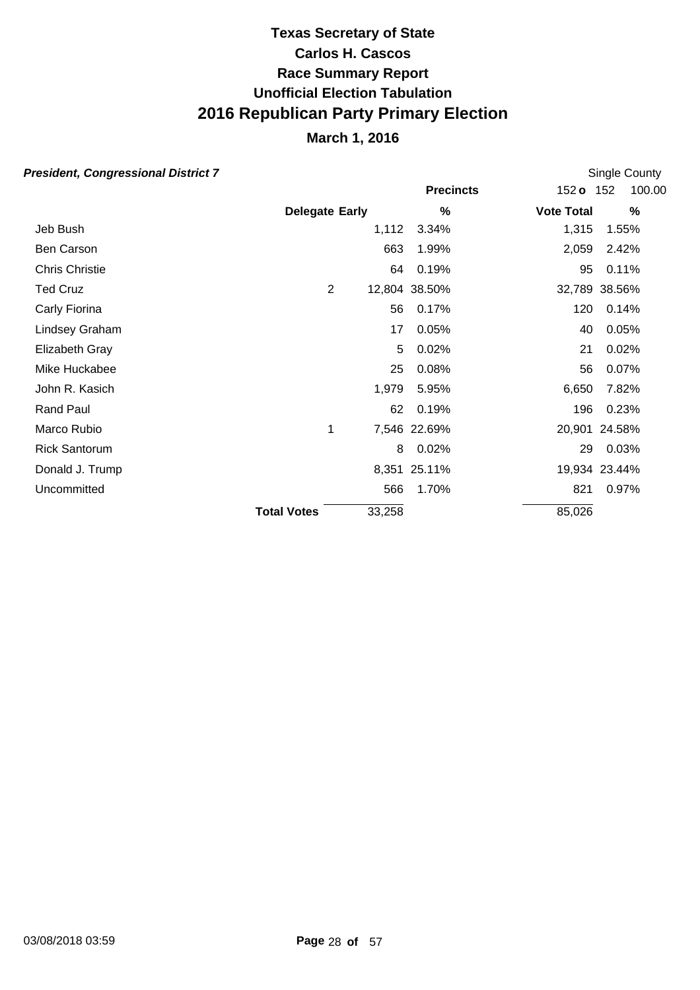## **March 1, 2016**

|                    |                                              |                 |                                                              | Single County                                                                                                                                     |
|--------------------|----------------------------------------------|-----------------|--------------------------------------------------------------|---------------------------------------------------------------------------------------------------------------------------------------------------|
|                    |                                              |                 |                                                              | 100.00                                                                                                                                            |
|                    |                                              | %               |                                                              | $\%$                                                                                                                                              |
|                    |                                              | 3.34%           |                                                              | 1.55%                                                                                                                                             |
|                    | 663                                          | 1.99%           |                                                              | 2.42%                                                                                                                                             |
|                    |                                              | 0.19%           |                                                              | 0.11%                                                                                                                                             |
|                    |                                              |                 |                                                              | 32,789 38.56%                                                                                                                                     |
|                    | 56                                           | 0.17%           |                                                              | 0.14%                                                                                                                                             |
|                    | 17                                           | 0.05%           |                                                              | 0.05%                                                                                                                                             |
|                    | 5                                            | 0.02%           |                                                              | 0.02%                                                                                                                                             |
|                    | 25                                           | 0.08%           |                                                              | 0.07%                                                                                                                                             |
|                    |                                              | 5.95%           |                                                              | 7.82%                                                                                                                                             |
|                    | 62                                           | 0.19%           |                                                              | 0.23%                                                                                                                                             |
|                    |                                              |                 |                                                              | 20,901 24.58%                                                                                                                                     |
|                    | 8                                            | 0.02%           |                                                              | 0.03%                                                                                                                                             |
|                    |                                              |                 |                                                              | 19,934 23.44%                                                                                                                                     |
|                    | 566                                          | 1.70%           |                                                              | 0.97%                                                                                                                                             |
|                    |                                              |                 |                                                              |                                                                                                                                                   |
| <b>Total Votes</b> | <b>Delegate Early</b><br>$\overline{2}$<br>1 | 1,979<br>33,258 | 1,112<br>64<br>12,804 38.50%<br>7,546 22.69%<br>8,351 25.11% | <b>Precincts</b><br>152 <b>o</b> 152<br><b>Vote Total</b><br>1,315<br>2,059<br>95<br>120<br>40<br>21<br>56<br>6,650<br>196<br>29<br>821<br>85,026 |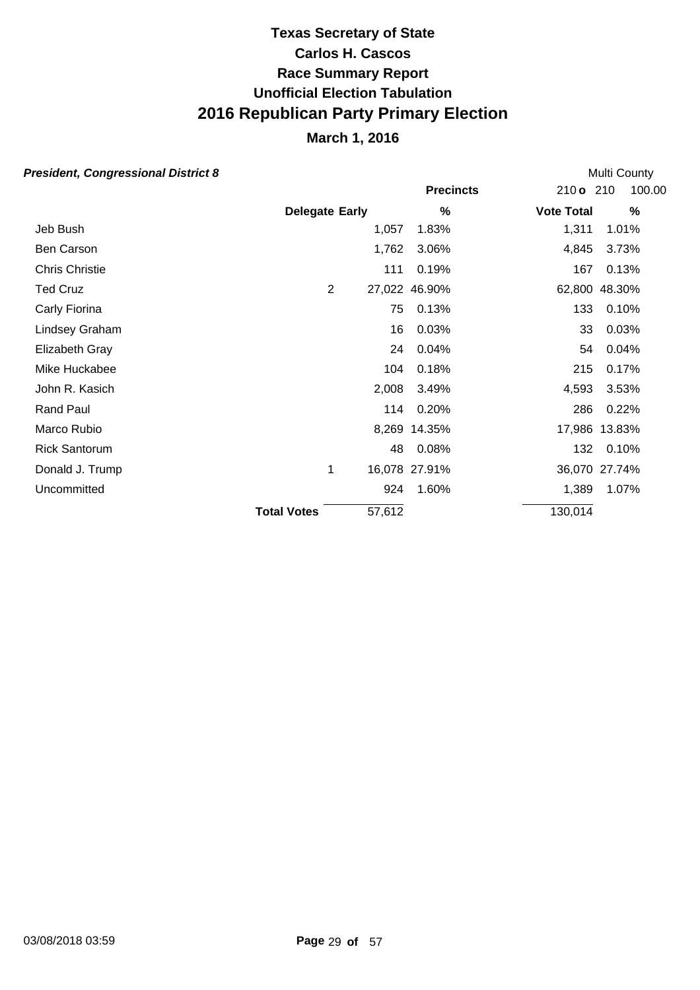## **March 1, 2016**

| esident, Congressional District 8 |                       |                |        |                  |                   | Multi County  |  |  |
|-----------------------------------|-----------------------|----------------|--------|------------------|-------------------|---------------|--|--|
|                                   |                       |                |        | <b>Precincts</b> | 210 o 210         | 100.00        |  |  |
|                                   | <b>Delegate Early</b> |                |        | %                | <b>Vote Total</b> | $\%$          |  |  |
| Jeb Bush                          |                       |                | 1,057  | 1.83%            | 1,311             | 1.01%         |  |  |
| Ben Carson                        |                       |                | 1,762  | 3.06%            | 4,845             | 3.73%         |  |  |
| <b>Chris Christie</b>             |                       |                | 111    | 0.19%            | 167               | 0.13%         |  |  |
| <b>Ted Cruz</b>                   |                       | $\overline{2}$ |        | 27,022 46.90%    |                   | 62,800 48.30% |  |  |
| Carly Fiorina                     |                       |                | 75     | 0.13%            | 133               | 0.10%         |  |  |
| Lindsey Graham                    |                       |                | 16     | 0.03%            | 33                | 0.03%         |  |  |
| Elizabeth Gray                    |                       |                | 24     | 0.04%            | 54                | 0.04%         |  |  |
| Mike Huckabee                     |                       |                | 104    | 0.18%            | 215               | 0.17%         |  |  |
| John R. Kasich                    |                       |                | 2,008  | 3.49%            | 4,593             | 3.53%         |  |  |
| <b>Rand Paul</b>                  |                       |                | 114    | 0.20%            | 286               | 0.22%         |  |  |
| Marco Rubio                       |                       |                |        | 8,269 14.35%     |                   | 17,986 13.83% |  |  |
| <b>Rick Santorum</b>              |                       |                | 48     | 0.08%            | 132               | 0.10%         |  |  |
| Donald J. Trump                   |                       | 1              |        | 16,078 27.91%    |                   | 36,070 27.74% |  |  |
| Uncommitted                       |                       |                | 924    | 1.60%            | 1,389             | 1.07%         |  |  |
|                                   | <b>Total Votes</b>    |                | 57,612 |                  | 130,014           |               |  |  |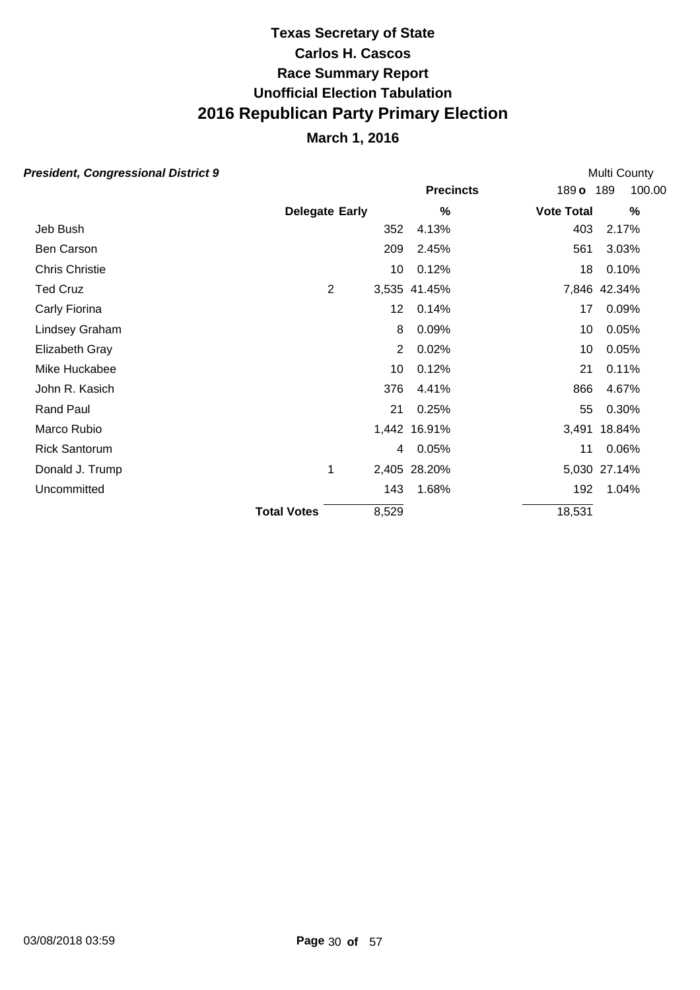## **March 1, 2016**

|                    |       |                       |                                                                                                                   | Multi County  |  |  |
|--------------------|-------|-----------------------|-------------------------------------------------------------------------------------------------------------------|---------------|--|--|
|                    |       | <b>Precincts</b>      | $189$ o                                                                                                           | 189<br>100.00 |  |  |
|                    |       | %                     | <b>Vote Total</b>                                                                                                 | %             |  |  |
|                    |       | 4.13%                 | 403                                                                                                               | 2.17%         |  |  |
|                    | 209   | 2.45%                 | 561                                                                                                               | 3.03%         |  |  |
|                    |       | 0.12%                 | 18                                                                                                                | 0.10%         |  |  |
| $\overline{2}$     |       |                       |                                                                                                                   | 7,846 42.34%  |  |  |
|                    |       | 0.14%                 | 17                                                                                                                | 0.09%         |  |  |
|                    | 8     | 0.09%                 | 10                                                                                                                | 0.05%         |  |  |
|                    |       | 0.02%                 | 10                                                                                                                | 0.05%         |  |  |
|                    | 10    | 0.12%                 | 21                                                                                                                | 0.11%         |  |  |
|                    |       | 4.41%                 | 866                                                                                                               | 4.67%         |  |  |
|                    | 21    | 0.25%                 | 55                                                                                                                | 0.30%         |  |  |
|                    |       |                       |                                                                                                                   | 3,491 18.84%  |  |  |
|                    |       | 0.05%                 | 11                                                                                                                | 0.06%         |  |  |
| 1                  |       |                       |                                                                                                                   | 5,030 27.14%  |  |  |
|                    |       | 1.68%                 | 192                                                                                                               | 1.04%         |  |  |
| <b>Total Votes</b> | 8,529 |                       | 18,531                                                                                                            |               |  |  |
|                    |       | <b>Delegate Early</b> | 352<br>10<br>3,535 41.45%<br>12 <sup>°</sup><br>$\overline{2}$<br>376<br>1,442 16.91%<br>4<br>2,405 28.20%<br>143 |               |  |  |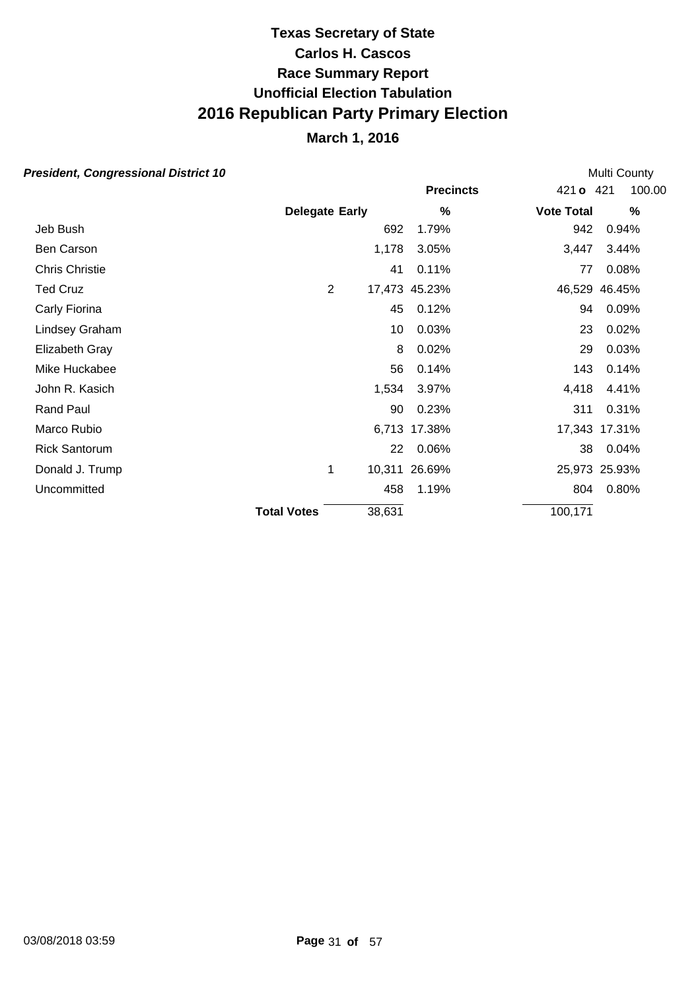## **March 1, 2016**

| esident, Congressional District 10 |                       |        |                  |                   | Multi County  |
|------------------------------------|-----------------------|--------|------------------|-------------------|---------------|
|                                    |                       |        | <b>Precincts</b> | 421 o 421         | 100.00        |
|                                    | <b>Delegate Early</b> |        | %                | <b>Vote Total</b> | $\frac{0}{0}$ |
| Jeb Bush                           |                       | 692    | 1.79%            | 942               | 0.94%         |
| Ben Carson                         |                       | 1,178  | 3.05%            | 3,447             | 3.44%         |
| <b>Chris Christie</b>              |                       | 41     | 0.11%            | 77                | 0.08%         |
| <b>Ted Cruz</b>                    | $\overline{2}$        |        | 17,473 45.23%    |                   | 46,529 46.45% |
| Carly Fiorina                      |                       | 45     | 0.12%            | 94                | 0.09%         |
| Lindsey Graham                     |                       | 10     | 0.03%            | 23                | 0.02%         |
| Elizabeth Gray                     |                       | 8      | 0.02%            | 29                | 0.03%         |
| Mike Huckabee                      |                       | 56     | 0.14%            | 143               | 0.14%         |
| John R. Kasich                     |                       | 1,534  | 3.97%            | 4,418             | 4.41%         |
| <b>Rand Paul</b>                   |                       | 90     | 0.23%            | 311               | 0.31%         |
| Marco Rubio                        |                       |        | 6,713 17.38%     |                   | 17,343 17.31% |
| <b>Rick Santorum</b>               |                       | 22     | 0.06%            | 38                | 0.04%         |
| Donald J. Trump                    | 1                     |        | 10,311 26.69%    |                   | 25,973 25.93% |
| Uncommitted                        |                       | 458    | 1.19%            | 804               | 0.80%         |
|                                    | <b>Total Votes</b>    | 38,631 |                  | 100,171           |               |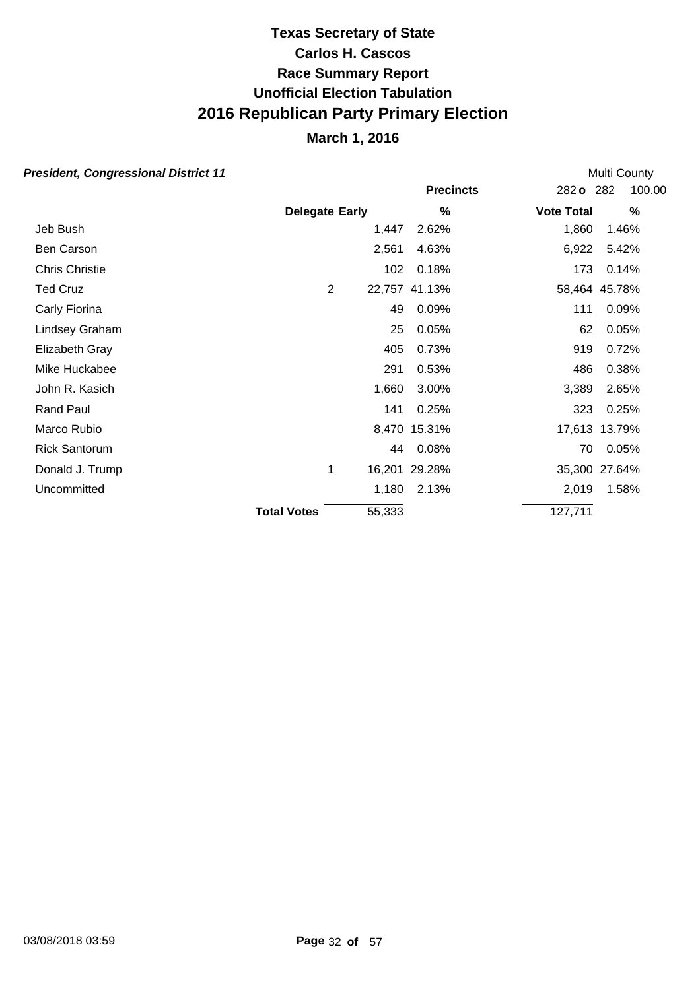## **March 1, 2016**

|                    |   |                |                       |                                                               | Multi County     |       |                                                                                                                                                                                 |
|--------------------|---|----------------|-----------------------|---------------------------------------------------------------|------------------|-------|---------------------------------------------------------------------------------------------------------------------------------------------------------------------------------|
|                    |   |                |                       |                                                               |                  |       | 100.00                                                                                                                                                                          |
|                    |   |                | $\%$                  |                                                               |                  |       | %                                                                                                                                                                               |
|                    |   | 1,447          | 2.62%                 |                                                               |                  | 1.46% |                                                                                                                                                                                 |
|                    |   | 2,561          | 4.63%                 |                                                               |                  | 5.42% |                                                                                                                                                                                 |
|                    |   | 102            | 0.18%                 |                                                               |                  | 0.14% |                                                                                                                                                                                 |
|                    |   |                |                       |                                                               |                  |       |                                                                                                                                                                                 |
|                    |   | 49             | 0.09%                 |                                                               |                  | 0.09% |                                                                                                                                                                                 |
|                    |   | 25             | 0.05%                 |                                                               |                  | 0.05% |                                                                                                                                                                                 |
|                    |   | 405            | 0.73%                 |                                                               |                  | 0.72% |                                                                                                                                                                                 |
|                    |   | 291            | 0.53%                 |                                                               |                  | 0.38% |                                                                                                                                                                                 |
|                    |   | 1,660          | 3.00%                 |                                                               |                  | 2.65% |                                                                                                                                                                                 |
|                    |   | 141            | 0.25%                 |                                                               |                  | 0.25% |                                                                                                                                                                                 |
|                    |   |                |                       |                                                               |                  |       |                                                                                                                                                                                 |
|                    |   |                | 0.08%                 |                                                               |                  | 0.05% |                                                                                                                                                                                 |
|                    | 1 |                |                       |                                                               |                  |       |                                                                                                                                                                                 |
|                    |   |                | 2.13%                 |                                                               |                  | 1.58% |                                                                                                                                                                                 |
| <b>Total Votes</b> |   | 55,333         |                       |                                                               |                  |       |                                                                                                                                                                                 |
|                    |   | $\overline{2}$ | <b>Delegate Early</b> | 22,757 41.13%<br>8,470 15.31%<br>44<br>16,201 29.28%<br>1,180 | <b>Precincts</b> |       | 282 o 282<br><b>Vote Total</b><br>1,860<br>6,922<br>173<br>58,464 45.78%<br>111<br>62<br>919<br>486<br>3,389<br>323<br>17,613 13.79%<br>70<br>35,300 27.64%<br>2,019<br>127,711 |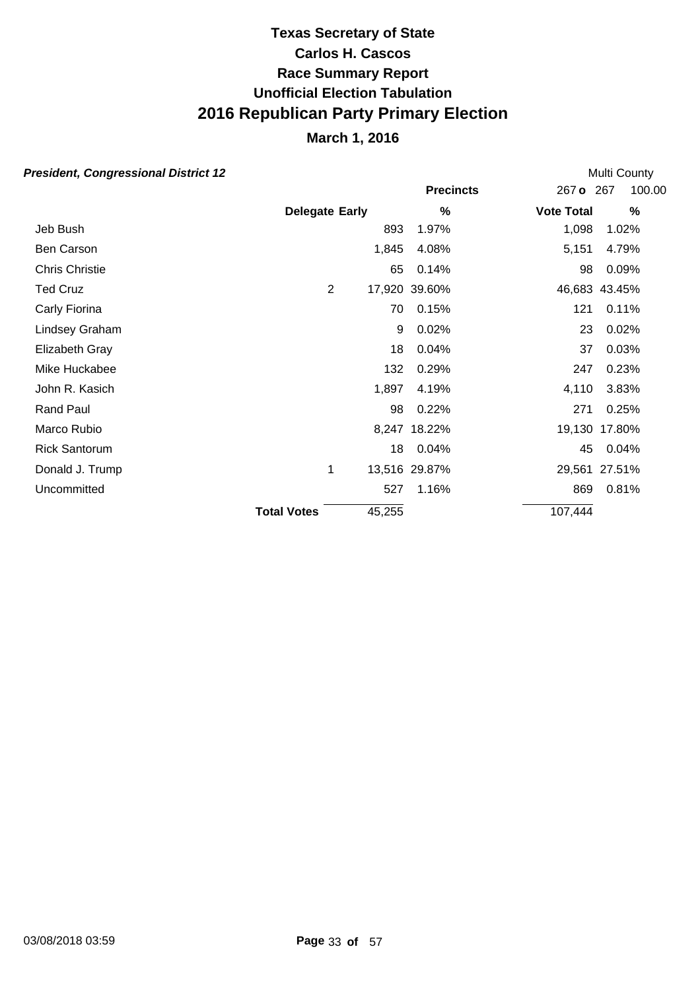### **March 1, 2016**

#### **President, Congressional District 12**

**Precincts** 267 **o** 267 **Early Vote Total % %** 100.00 **Delegate** Multi County Jeb Bush 893 1.97% 1,098 1.02% Ben Carson **1,845 4.08%** 5,151 4.79% Chris Christie 65 0.14% 98 0.09% Ted Cruz 2 17,920 39.60% 46,683 43.45% Carly Fiorina 70 0.15% 121 0.11% Lindsey Graham 9 0.02% 23 0.02% Elizabeth Gray 18 0.04% 37 0.03% Mike Huckabee 132 0.29% 247 0.23% John R. Kasich 1,897 4.19% 4,110 3.83% Rand Paul 98 0.22% 271 0.25% Marco Rubio 8.247 18.22% 19.130 17.80% Rick Santorum 18 0.04% 45 0.04% Donald J. Trump 1 13,516 29.87% 29,561 27.51% Uncommitted 527 1.16% 869 0.81% **Total Votes** 45.255 107.444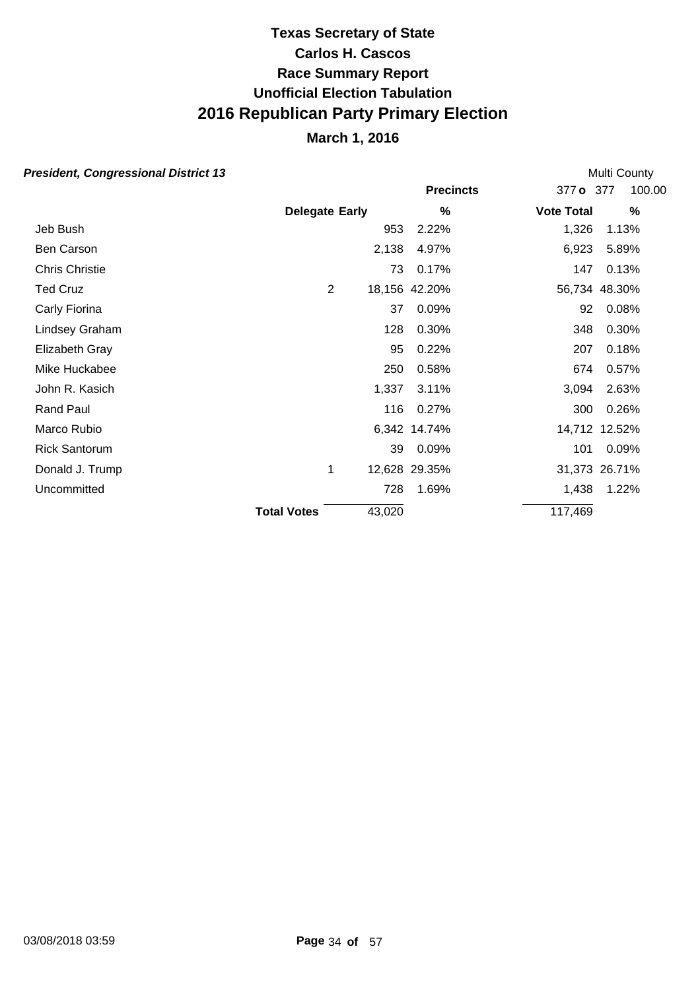## **March 1, 2016**

| esident, Congressional District 13 |                       |        |                  |                   | Multi County  |  |  |
|------------------------------------|-----------------------|--------|------------------|-------------------|---------------|--|--|
|                                    |                       |        | <b>Precincts</b> | 377 o 377         | 100.00        |  |  |
|                                    | <b>Delegate Early</b> |        | %                | <b>Vote Total</b> | $\%$          |  |  |
| Jeb Bush                           |                       | 953    | 2.22%            | 1,326             | 1.13%         |  |  |
| Ben Carson                         |                       | 2,138  | 4.97%            | 6,923             | 5.89%         |  |  |
| <b>Chris Christie</b>              |                       | 73     | 0.17%            | 147               | 0.13%         |  |  |
| <b>Ted Cruz</b>                    | $\overline{2}$        |        | 18,156 42.20%    |                   | 56,734 48.30% |  |  |
| Carly Fiorina                      |                       | 37     | 0.09%            | 92                | 0.08%         |  |  |
| Lindsey Graham                     |                       | 128    | 0.30%            | 348               | 0.30%         |  |  |
| Elizabeth Gray                     |                       | 95     | 0.22%            | 207               | 0.18%         |  |  |
| Mike Huckabee                      |                       | 250    | 0.58%            | 674               | 0.57%         |  |  |
| John R. Kasich                     |                       | 1,337  | 3.11%            | 3,094             | 2.63%         |  |  |
| Rand Paul                          |                       | 116    | 0.27%            | 300               | 0.26%         |  |  |
| Marco Rubio                        |                       |        | 6,342 14.74%     |                   | 14,712 12.52% |  |  |
| <b>Rick Santorum</b>               |                       | 39     | 0.09%            | 101               | 0.09%         |  |  |
| Donald J. Trump                    | 1                     |        | 12,628 29.35%    |                   | 31,373 26.71% |  |  |
| Uncommitted                        |                       | 728    | 1.69%            | 1,438             | 1.22%         |  |  |
|                                    | <b>Total Votes</b>    | 43,020 |                  | 117,469           |               |  |  |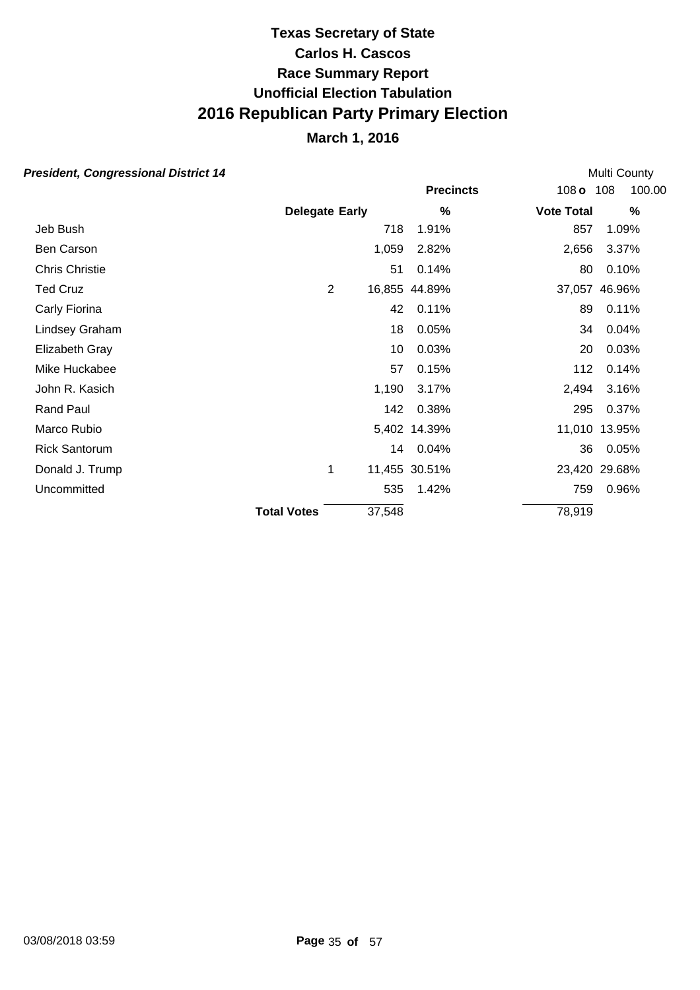## **March 1, 2016**

|                    |  |                     |                                 |                                                                   | Multi County     |                             |                                                                                                                                          |
|--------------------|--|---------------------|---------------------------------|-------------------------------------------------------------------|------------------|-----------------------------|------------------------------------------------------------------------------------------------------------------------------------------|
|                    |  |                     |                                 |                                                                   |                  | 100.00                      |                                                                                                                                          |
|                    |  |                     | %                               |                                                                   |                  | $\%$                        |                                                                                                                                          |
|                    |  | 718                 | 1.91%                           |                                                                   |                  | 1.09%                       |                                                                                                                                          |
|                    |  | 1,059               | 2.82%                           |                                                                   |                  | 3.37%                       |                                                                                                                                          |
|                    |  | 51                  | 0.14%                           |                                                                   |                  | 0.10%                       |                                                                                                                                          |
|                    |  |                     |                                 |                                                                   |                  |                             |                                                                                                                                          |
|                    |  | 42                  | 0.11%                           |                                                                   |                  | 0.11%                       |                                                                                                                                          |
|                    |  | 18                  | 0.05%                           |                                                                   |                  | 0.04%                       |                                                                                                                                          |
|                    |  | 10                  | 0.03%                           |                                                                   |                  | 0.03%                       |                                                                                                                                          |
|                    |  | 57                  | 0.15%                           |                                                                   |                  | 0.14%                       |                                                                                                                                          |
|                    |  | 1,190               | 3.17%                           |                                                                   |                  | 3.16%                       |                                                                                                                                          |
|                    |  | 142                 | 0.38%                           |                                                                   |                  | 0.37%                       |                                                                                                                                          |
|                    |  |                     |                                 |                                                                   |                  |                             |                                                                                                                                          |
|                    |  |                     |                                 |                                                                   |                  | 0.05%                       |                                                                                                                                          |
|                    |  |                     |                                 |                                                                   |                  |                             |                                                                                                                                          |
|                    |  |                     | 1.42%                           |                                                                   |                  | 0.96%                       |                                                                                                                                          |
| <b>Total Votes</b> |  |                     |                                 |                                                                   |                  |                             |                                                                                                                                          |
|                    |  | $\overline{2}$<br>1 | <b>Delegate Early</b><br>37,548 | 16,855 44.89%<br>5,402 14.39%<br>14 0.04%<br>11,455 30.51%<br>535 | <b>Precincts</b> | <b>Vote Total</b><br>78,919 | 108 o 108<br>857<br>2,656<br>80<br>37,057 46.96%<br>89<br>34<br>20<br>112<br>2,494<br>295<br>11,010 13.95%<br>36<br>23,420 29.68%<br>759 |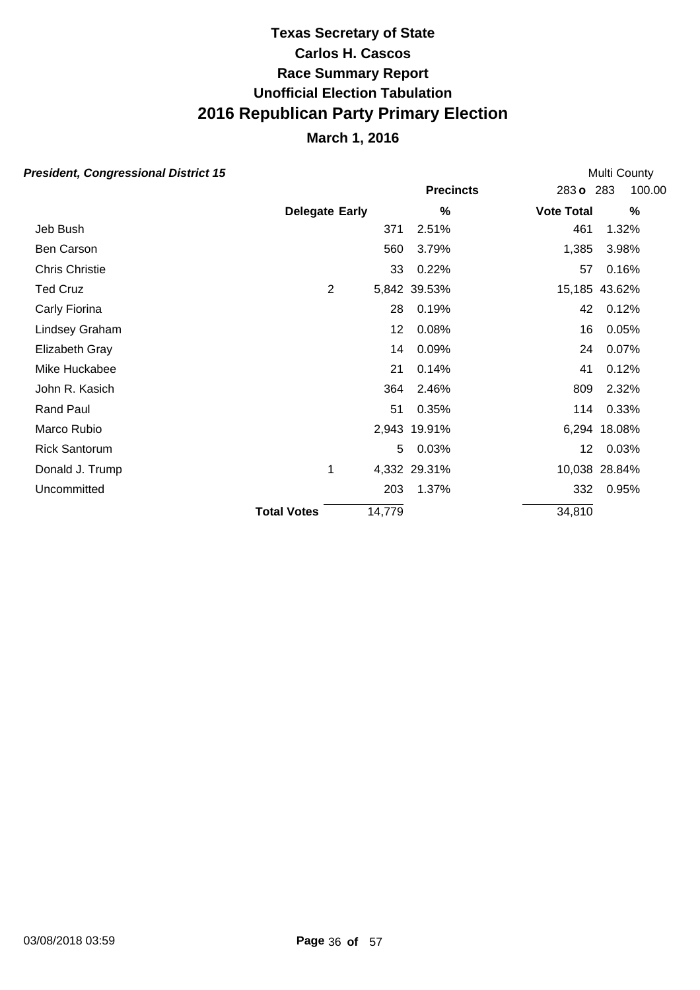## **March 1, 2016**

| esident, Congressional District 15 |                       |        |                  |                   | Multi County  |  |  |  |
|------------------------------------|-----------------------|--------|------------------|-------------------|---------------|--|--|--|
|                                    |                       |        | <b>Precincts</b> | 283 o 283         | 100.00        |  |  |  |
|                                    | <b>Delegate Early</b> |        | %                | <b>Vote Total</b> | $\frac{0}{0}$ |  |  |  |
| Jeb Bush                           |                       | 371    | 2.51%            | 461               | 1.32%         |  |  |  |
| Ben Carson                         |                       | 560    | 3.79%            | 1,385             | 3.98%         |  |  |  |
| Chris Christie                     |                       | 33     | 0.22%            | 57                | 0.16%         |  |  |  |
| <b>Ted Cruz</b>                    | $\overline{2}$        |        | 5,842 39.53%     |                   | 15,185 43.62% |  |  |  |
| Carly Fiorina                      |                       | 28     | 0.19%            | 42                | 0.12%         |  |  |  |
| Lindsey Graham                     |                       | 12     | 0.08%            | 16                | 0.05%         |  |  |  |
| Elizabeth Gray                     |                       | 14     | 0.09%            | 24                | 0.07%         |  |  |  |
| Mike Huckabee                      |                       | 21     | 0.14%            | 41                | 0.12%         |  |  |  |
| John R. Kasich                     |                       | 364    | 2.46%            | 809               | 2.32%         |  |  |  |
| <b>Rand Paul</b>                   |                       | 51     | 0.35%            | 114               | 0.33%         |  |  |  |
| Marco Rubio                        |                       |        | 2,943 19.91%     |                   | 6,294 18.08%  |  |  |  |
| <b>Rick Santorum</b>               |                       | 5.     | 0.03%            | 12 <sub>2</sub>   | 0.03%         |  |  |  |
| Donald J. Trump                    | 1                     |        | 4,332 29.31%     |                   | 10,038 28.84% |  |  |  |
| Uncommitted                        |                       | 203    | 1.37%            | 332               | 0.95%         |  |  |  |
|                                    | <b>Total Votes</b>    | 14,779 |                  | 34,810            |               |  |  |  |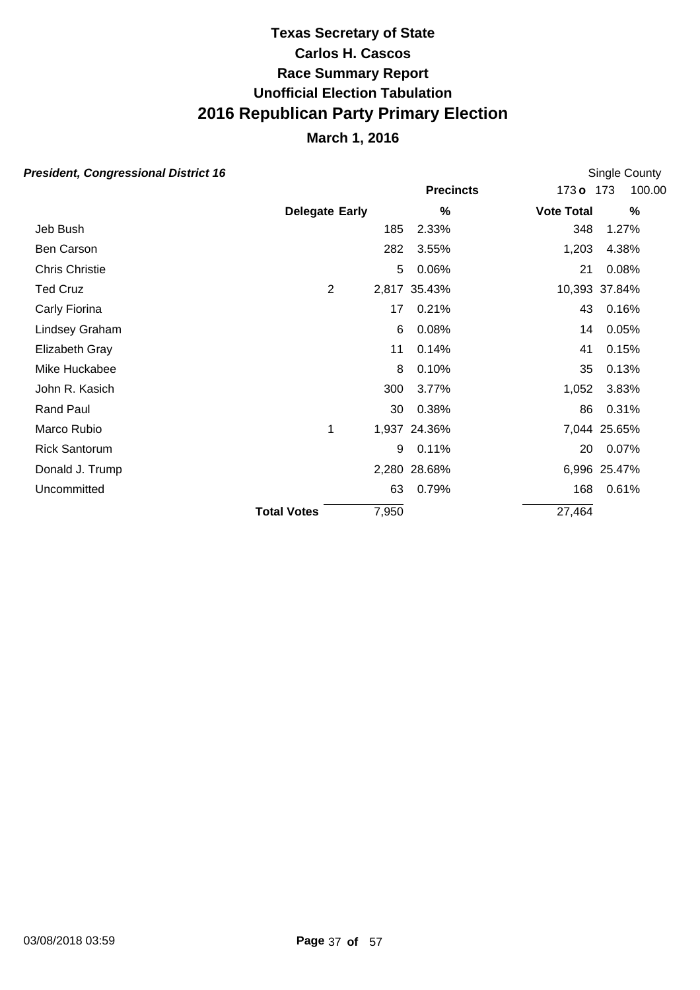## **March 1, 2016**

| esident, Congressional District 16 |                       |       |                  |                   | Single County |  |  |
|------------------------------------|-----------------------|-------|------------------|-------------------|---------------|--|--|
|                                    |                       |       | <b>Precincts</b> | 173 <sub>o</sub>  | 100.00<br>173 |  |  |
|                                    | <b>Delegate Early</b> |       | %                | <b>Vote Total</b> | %             |  |  |
| Jeb Bush                           |                       | 185   | 2.33%            | 348               | 1.27%         |  |  |
| Ben Carson                         |                       | 282   | 3.55%            | 1,203             | 4.38%         |  |  |
| <b>Chris Christie</b>              |                       | 5     | 0.06%            | 21                | 0.08%         |  |  |
| <b>Ted Cruz</b>                    | 2                     |       | 2,817 35.43%     |                   | 10,393 37.84% |  |  |
| Carly Fiorina                      |                       | 17    | 0.21%            | 43                | 0.16%         |  |  |
| Lindsey Graham                     |                       | 6     | 0.08%            | 14                | 0.05%         |  |  |
| Elizabeth Gray                     |                       | 11    | 0.14%            | 41                | 0.15%         |  |  |
| Mike Huckabee                      |                       | 8     | 0.10%            | 35                | 0.13%         |  |  |
| John R. Kasich                     |                       | 300   | 3.77%            | 1,052             | 3.83%         |  |  |
| Rand Paul                          |                       | 30    | 0.38%            | 86                | 0.31%         |  |  |
| Marco Rubio                        | 1                     |       | 1,937 24.36%     |                   | 7,044 25.65%  |  |  |
| <b>Rick Santorum</b>               |                       | 9     | 0.11%            | 20                | 0.07%         |  |  |
| Donald J. Trump                    |                       |       | 2,280 28.68%     |                   | 6,996 25.47%  |  |  |
| Uncommitted                        |                       | 63    | 0.79%            | 168               | 0.61%         |  |  |
|                                    | <b>Total Votes</b>    | 7,950 |                  | 27,464            |               |  |  |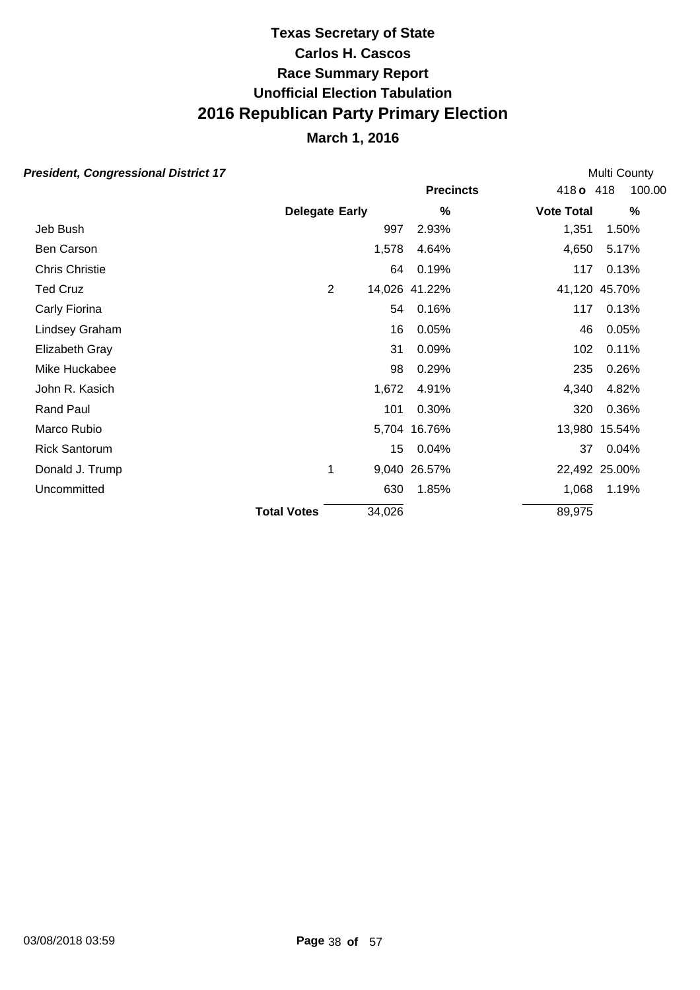## **March 1, 2016**

| resident, Congressional District 17 |                       |        |               |                   | Multi County  |  |  |
|-------------------------------------|-----------------------|--------|---------------|-------------------|---------------|--|--|
|                                     |                       |        |               | 418 <sub>o</sub>  | 100.00<br>418 |  |  |
|                                     | <b>Delegate Early</b> |        | %             | <b>Vote Total</b> | %             |  |  |
| Jeb Bush                            |                       | 997    | 2.93%         | 1,351             | 1.50%         |  |  |
| Ben Carson                          |                       | 1,578  | 4.64%         | 4,650             | 5.17%         |  |  |
| <b>Chris Christie</b>               |                       | 64     | 0.19%         | 117               | 0.13%         |  |  |
| <b>Ted Cruz</b>                     | $\overline{2}$        |        | 14,026 41.22% |                   | 41,120 45.70% |  |  |
| Carly Fiorina                       |                       | 54     | 0.16%         | 117               | 0.13%         |  |  |
| Lindsey Graham                      |                       | 16     | 0.05%         | 46                | 0.05%         |  |  |
| Elizabeth Gray                      |                       | 31     | 0.09%         | 102               | 0.11%         |  |  |
| Mike Huckabee                       |                       | 98     | 0.29%         | 235               | 0.26%         |  |  |
| John R. Kasich                      |                       | 1,672  | 4.91%         | 4,340             | 4.82%         |  |  |
| Rand Paul                           |                       | 101    | 0.30%         | 320               | 0.36%         |  |  |
| Marco Rubio                         |                       | 5,704  | 16.76%        |                   | 13,980 15.54% |  |  |
| <b>Rick Santorum</b>                |                       | 15     | 0.04%         | 37                | 0.04%         |  |  |
| Donald J. Trump                     | 1                     |        | 9,040 26.57%  |                   | 22,492 25.00% |  |  |
| Uncommitted                         |                       | 630    | 1.85%         | 1,068             | 1.19%         |  |  |
|                                     | <b>Total Votes</b>    | 34,026 |               | 89,975            |               |  |  |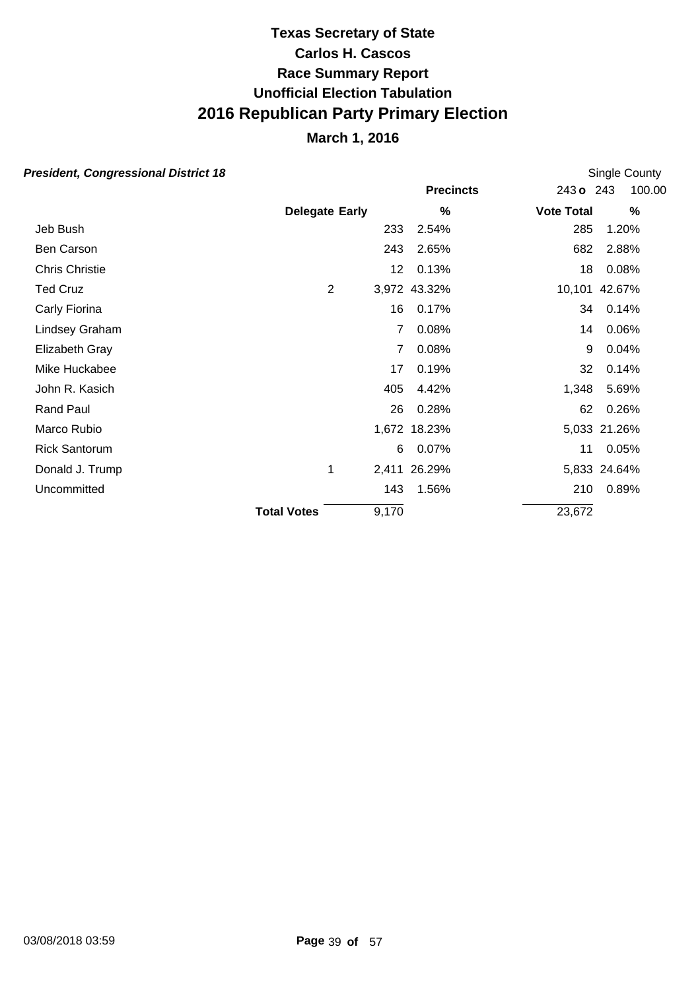## **March 1, 2016**

|                    |       |                       |                                                                                                 | Single County |  |  |  |
|--------------------|-------|-----------------------|-------------------------------------------------------------------------------------------------|---------------|--|--|--|
|                    |       | <b>Precincts</b>      | 243 o 243                                                                                       | 100.00        |  |  |  |
|                    |       | %                     | <b>Vote Total</b>                                                                               | $\%$          |  |  |  |
|                    |       | 2.54%                 | 285                                                                                             | 1.20%         |  |  |  |
|                    |       | 2.65%                 | 682                                                                                             | 2.88%         |  |  |  |
|                    |       | 0.13%                 | 18                                                                                              | 0.08%         |  |  |  |
| $\overline{2}$     |       |                       |                                                                                                 | 10,101 42.67% |  |  |  |
|                    |       | 0.17%                 | 34                                                                                              | 0.14%         |  |  |  |
|                    | 7     | 0.08%                 | 14                                                                                              | 0.06%         |  |  |  |
|                    | 7     | 0.08%                 | 9                                                                                               | 0.04%         |  |  |  |
|                    | 17    | 0.19%                 | 32                                                                                              | 0.14%         |  |  |  |
|                    | 405   | 4.42%                 | 1,348                                                                                           | 5.69%         |  |  |  |
|                    | 26    | 0.28%                 | 62                                                                                              | 0.26%         |  |  |  |
|                    |       |                       |                                                                                                 | 5,033 21.26%  |  |  |  |
|                    |       | 0.07%                 | 11                                                                                              | 0.05%         |  |  |  |
| 1                  |       |                       |                                                                                                 | 5,833 24.64%  |  |  |  |
|                    |       | 1.56%                 | 210                                                                                             | 0.89%         |  |  |  |
| <b>Total Votes</b> | 9,170 |                       | 23,672                                                                                          |               |  |  |  |
|                    |       | <b>Delegate Early</b> | 233<br>243<br>12 <sup>°</sup><br>3,972 43.32%<br>16<br>1,672 18.23%<br>6<br>2,411 26.29%<br>143 |               |  |  |  |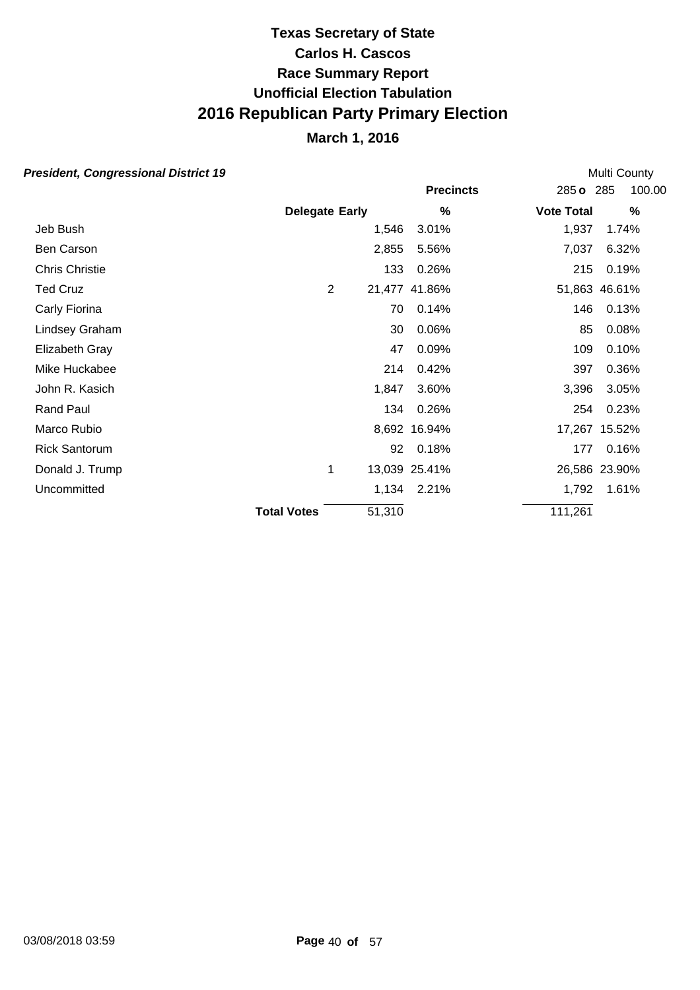## **March 1, 2016**

| esident, Congressional District 19 |                       |                |        |                  |                   | Multi County  |        |  |
|------------------------------------|-----------------------|----------------|--------|------------------|-------------------|---------------|--------|--|
|                                    |                       |                |        | <b>Precincts</b> |                   | 285 o 285     | 100.00 |  |
|                                    | <b>Delegate Early</b> |                |        | %                | <b>Vote Total</b> |               | $\%$   |  |
| Jeb Bush                           |                       |                | 1,546  | 3.01%            | 1,937             |               | 1.74%  |  |
| Ben Carson                         |                       |                | 2,855  | 5.56%            | 7,037             |               | 6.32%  |  |
| Chris Christie                     |                       |                | 133    | 0.26%            |                   | 215           | 0.19%  |  |
| <b>Ted Cruz</b>                    |                       | $\overline{2}$ |        | 21,477 41.86%    |                   | 51,863 46.61% |        |  |
| Carly Fiorina                      |                       |                | 70     | 0.14%            |                   | 146           | 0.13%  |  |
| Lindsey Graham                     |                       |                | 30     | 0.06%            |                   | 85            | 0.08%  |  |
| Elizabeth Gray                     |                       |                | 47     | 0.09%            |                   | 109           | 0.10%  |  |
| Mike Huckabee                      |                       |                | 214    | 0.42%            | 397               |               | 0.36%  |  |
| John R. Kasich                     |                       |                | 1,847  | 3.60%            | 3,396             |               | 3.05%  |  |
| <b>Rand Paul</b>                   |                       |                | 134    | 0.26%            |                   | 254           | 0.23%  |  |
| Marco Rubio                        |                       |                |        | 8,692 16.94%     |                   | 17,267 15.52% |        |  |
| <b>Rick Santorum</b>               |                       |                | 92     | 0.18%            |                   | 177           | 0.16%  |  |
| Donald J. Trump                    |                       | 1              |        | 13,039 25.41%    |                   | 26,586 23.90% |        |  |
| Uncommitted                        |                       |                |        | 1,134 2.21%      | 1,792             |               | 1.61%  |  |
|                                    | <b>Total Votes</b>    |                | 51,310 |                  | 111,261           |               |        |  |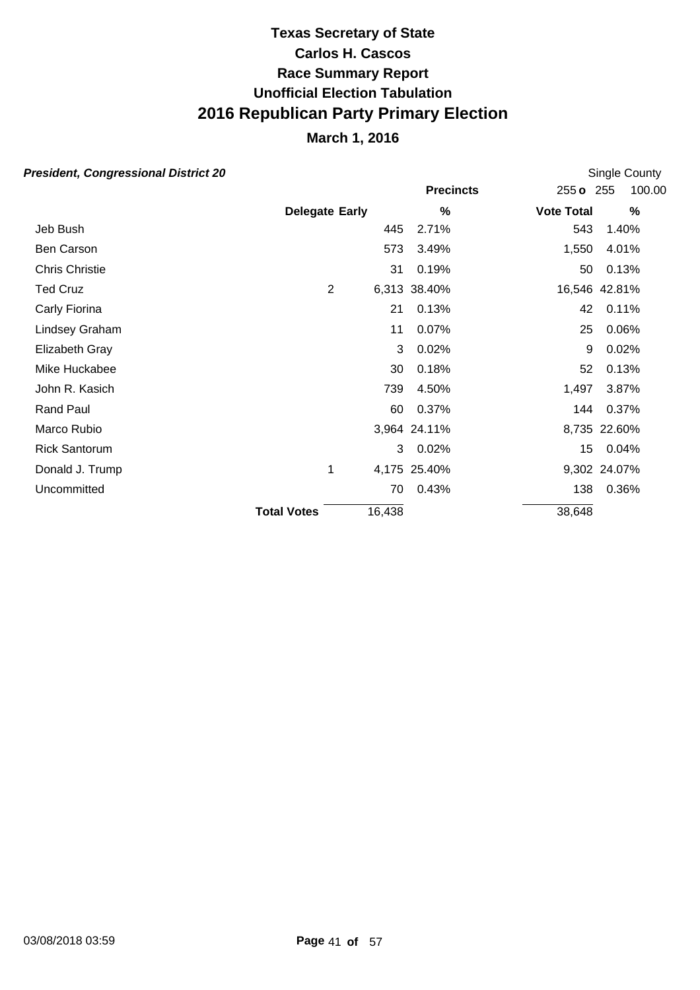## **March 1, 2016**

| esident, Congressional District 20 |                       |        |                  |                   | Single County |  |  |  |
|------------------------------------|-----------------------|--------|------------------|-------------------|---------------|--|--|--|
|                                    |                       |        | <b>Precincts</b> | 255 o 255         | 100.00        |  |  |  |
|                                    | <b>Delegate Early</b> |        | $\%$             | <b>Vote Total</b> | %             |  |  |  |
| Jeb Bush                           |                       | 445    | 2.71%            | 543               | 1.40%         |  |  |  |
| Ben Carson                         |                       | 573    | 3.49%            | 1,550             | 4.01%         |  |  |  |
| Chris Christie                     |                       | 31     | 0.19%            | 50                | 0.13%         |  |  |  |
| <b>Ted Cruz</b>                    | $\overline{2}$        |        | 6,313 38.40%     |                   | 16,546 42.81% |  |  |  |
| Carly Fiorina                      |                       | 21     | 0.13%            | 42                | 0.11%         |  |  |  |
| Lindsey Graham                     |                       | 11     | 0.07%            | 25                | 0.06%         |  |  |  |
| Elizabeth Gray                     |                       | 3      | 0.02%            | 9                 | 0.02%         |  |  |  |
| Mike Huckabee                      |                       | 30     | 0.18%            | 52                | 0.13%         |  |  |  |
| John R. Kasich                     |                       | 739    | 4.50%            | 1,497             | 3.87%         |  |  |  |
| <b>Rand Paul</b>                   |                       | 60     | 0.37%            | 144               | 0.37%         |  |  |  |
| Marco Rubio                        |                       |        | 3,964 24.11%     |                   | 8,735 22.60%  |  |  |  |
| <b>Rick Santorum</b>               |                       | 3      | 0.02%            | 15 <sub>15</sub>  | 0.04%         |  |  |  |
| Donald J. Trump                    | 1                     |        | 4,175 25.40%     |                   | 9,302 24.07%  |  |  |  |
| Uncommitted                        |                       | 70     | 0.43%            | 138               | 0.36%         |  |  |  |
|                                    | <b>Total Votes</b>    | 16,438 |                  | 38,648            |               |  |  |  |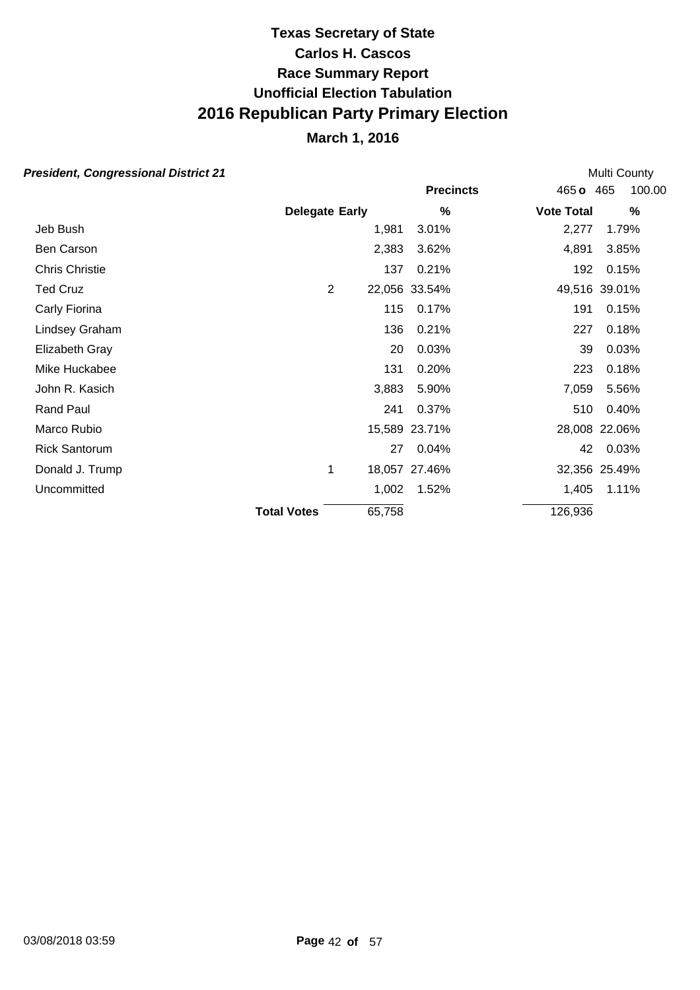## **March 1, 2016**

| esident, Congressional District 21 |                       |   |        |                  |                   | <b>Multi County</b> |  |  |
|------------------------------------|-----------------------|---|--------|------------------|-------------------|---------------------|--|--|
|                                    |                       |   |        | <b>Precincts</b> | 465 o             | 100.00<br>465       |  |  |
|                                    | <b>Delegate Early</b> |   |        | %                | <b>Vote Total</b> | %                   |  |  |
| Jeb Bush                           |                       |   | 1,981  | 3.01%            | 2,277             | 1.79%               |  |  |
| Ben Carson                         |                       |   | 2,383  | 3.62%            | 4,891             | 3.85%               |  |  |
| Chris Christie                     |                       |   | 137    | 0.21%            | 192               | 0.15%               |  |  |
| <b>Ted Cruz</b>                    |                       | 2 |        | 22,056 33.54%    |                   | 49,516 39.01%       |  |  |
| Carly Fiorina                      |                       |   | 115    | 0.17%            | 191               | 0.15%               |  |  |
| Lindsey Graham                     |                       |   | 136    | 0.21%            | 227               | 0.18%               |  |  |
| Elizabeth Gray                     |                       |   | 20     | 0.03%            | 39                | 0.03%               |  |  |
| Mike Huckabee                      |                       |   | 131    | 0.20%            | 223               | 0.18%               |  |  |
| John R. Kasich                     |                       |   | 3,883  | 5.90%            | 7,059             | 5.56%               |  |  |
| <b>Rand Paul</b>                   |                       |   | 241    | 0.37%            | 510               | 0.40%               |  |  |
| Marco Rubio                        |                       |   |        | 15,589 23.71%    |                   | 28,008 22.06%       |  |  |
| <b>Rick Santorum</b>               |                       |   | 27     | 0.04%            | 42                | 0.03%               |  |  |
| Donald J. Trump                    |                       | 1 |        | 18,057 27.46%    |                   | 32,356 25.49%       |  |  |
| Uncommitted                        |                       |   | 1,002  | 1.52%            | 1,405             | 1.11%               |  |  |
|                                    | <b>Total Votes</b>    |   | 65,758 |                  | 126,936           |                     |  |  |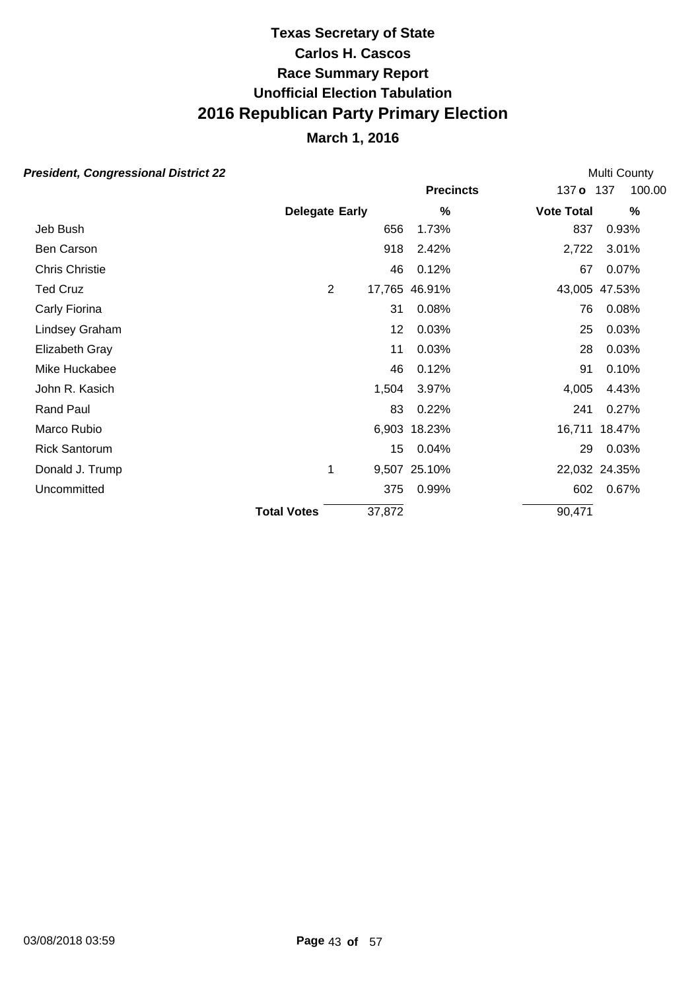### **March 1, 2016**

#### **President, Congressional District 22**

**Precincts** 137 **o** 137 **Early Vote Total % %** 100.00 **Delegate** Multi County Jeb Bush 656 1.73% 837 0.93% Ben Carson 918 2.42% 2,722 3.01% Chris Christie 46 0.12% 67 0.07% Ted Cruz 2 17,765 46.91% 43,005 47.53% Carly Fiorina 31 0.08% 76 0.08% Lindsey Graham 12 0.03% 25 0.03% Elizabeth Gray 11 0.03% 28 0.03% Mike Huckabee 46 0.12% 91 0.10% John R. Kasich 1,504 3.97% 4,005 4.43% Rand Paul 83 0.22% 241 0.27% Marco Rubio 6,903 18.23% 16,711 18.47% Rick Santorum 15 0.04% 29 0.03% Donald J. Trump 1 9,507 25.10% 22,032 24.35% Uncommitted 375 0.99% 602 0.67% **Total Votes** 37.872 90.471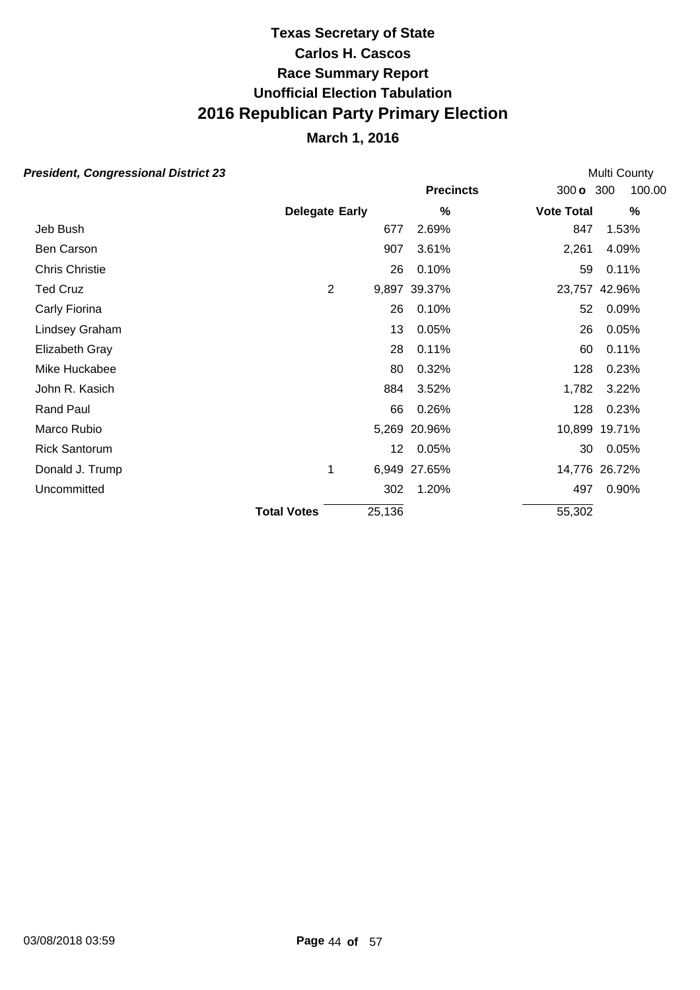## **March 1, 2016**

|                    |     |                                 |                                              | <b>Multi County</b>                                                                                     |  |  |  |
|--------------------|-----|---------------------------------|----------------------------------------------|---------------------------------------------------------------------------------------------------------|--|--|--|
|                    |     | <b>Precincts</b>                | 300 <sub>o</sub>                             | 100.00<br>300                                                                                           |  |  |  |
|                    |     | %                               |                                              | $\%$                                                                                                    |  |  |  |
|                    | 677 | 2.69%                           |                                              | 1.53%                                                                                                   |  |  |  |
|                    | 907 | 3.61%                           |                                              | 4.09%                                                                                                   |  |  |  |
|                    | 26  | 0.10%                           |                                              | 0.11%                                                                                                   |  |  |  |
| $\overline{2}$     |     |                                 |                                              | 23,757 42.96%                                                                                           |  |  |  |
|                    | 26  | 0.10%                           |                                              | 0.09%                                                                                                   |  |  |  |
|                    | 13  | 0.05%                           |                                              | 0.05%                                                                                                   |  |  |  |
|                    | 28  | 0.11%                           |                                              | 0.11%                                                                                                   |  |  |  |
|                    | 80  | 0.32%                           |                                              | 0.23%                                                                                                   |  |  |  |
|                    | 884 | 3.52%                           |                                              | 3.22%                                                                                                   |  |  |  |
|                    | 66  | 0.26%                           |                                              | 0.23%                                                                                                   |  |  |  |
|                    |     |                                 |                                              | 10,899 19.71%                                                                                           |  |  |  |
|                    | 12  | 0.05%                           |                                              | 0.05%                                                                                                   |  |  |  |
| 1                  |     |                                 |                                              | 14,776 26.72%                                                                                           |  |  |  |
|                    | 302 | 1.20%                           |                                              | 0.90%                                                                                                   |  |  |  |
| <b>Total Votes</b> |     |                                 |                                              |                                                                                                         |  |  |  |
|                    |     | <b>Delegate Early</b><br>25,136 | 9,897 39.37%<br>5,269 20.96%<br>6,949 27.65% | <b>Vote Total</b><br>847<br>2,261<br>59<br>52<br>26<br>60<br>128<br>1,782<br>128<br>30<br>497<br>55,302 |  |  |  |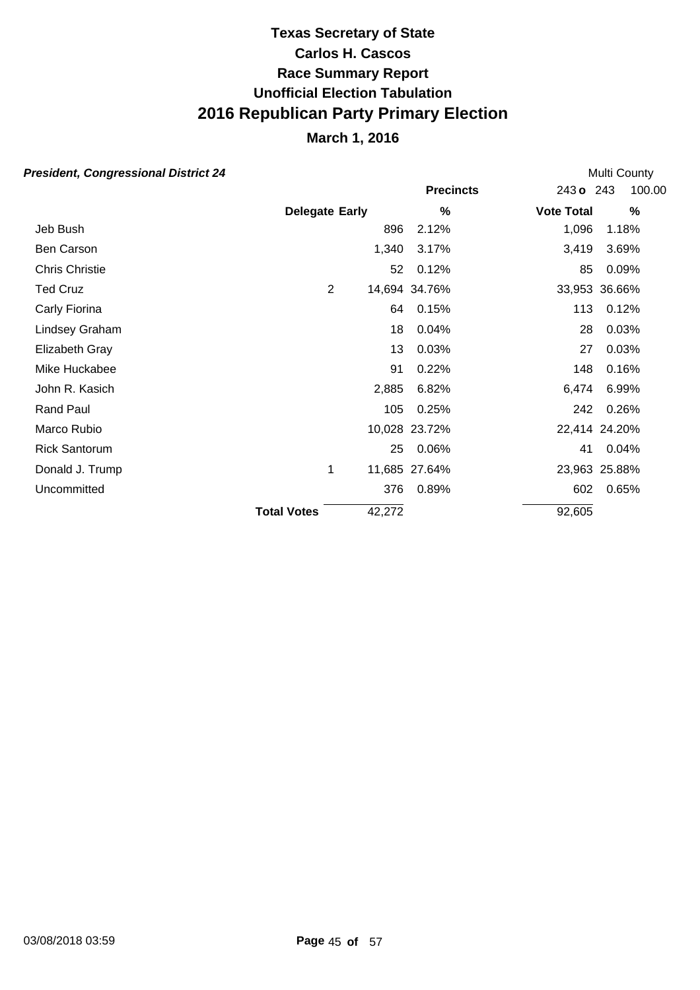## **March 1, 2016**

| esident, Congressional District 24 |                       |                |        |                  |                   | <b>Multi County</b> |                     |  |
|------------------------------------|-----------------------|----------------|--------|------------------|-------------------|---------------------|---------------------|--|
|                                    |                       |                |        | <b>Precincts</b> |                   |                     | 100.00<br>243 o 243 |  |
|                                    | <b>Delegate Early</b> |                |        | %                | <b>Vote Total</b> |                     | %                   |  |
| Jeb Bush                           |                       |                | 896    | 2.12%            |                   | 1,096               | 1.18%               |  |
| Ben Carson                         |                       |                | 1,340  | 3.17%            |                   | 3,419               | 3.69%               |  |
| <b>Chris Christie</b>              |                       |                | 52     | 0.12%            |                   | 85                  | 0.09%               |  |
| Ted Cruz                           |                       | $\overline{2}$ |        | 14,694 34.76%    |                   |                     | 33,953 36.66%       |  |
| Carly Fiorina                      |                       |                | 64     | 0.15%            |                   | 113                 | 0.12%               |  |
| Lindsey Graham                     |                       |                | 18     | 0.04%            |                   | 28                  | 0.03%               |  |
| Elizabeth Gray                     |                       |                | 13     | 0.03%            |                   | 27                  | 0.03%               |  |
| Mike Huckabee                      |                       |                | 91     | 0.22%            |                   | 148                 | 0.16%               |  |
| John R. Kasich                     |                       |                | 2,885  | 6.82%            |                   | 6,474               | 6.99%               |  |
| <b>Rand Paul</b>                   |                       |                | 105    | 0.25%            |                   | 242                 | 0.26%               |  |
| Marco Rubio                        |                       |                |        | 10,028 23.72%    |                   |                     | 22,414 24.20%       |  |
| <b>Rick Santorum</b>               |                       |                | 25     | 0.06%            |                   | 41                  | 0.04%               |  |
| Donald J. Trump                    |                       | 1              |        | 11,685 27.64%    |                   |                     | 23,963 25.88%       |  |
| Uncommitted                        |                       |                | 376    | 0.89%            |                   | 602                 | 0.65%               |  |
|                                    | <b>Total Votes</b>    |                | 42,272 |                  |                   | 92,605              |                     |  |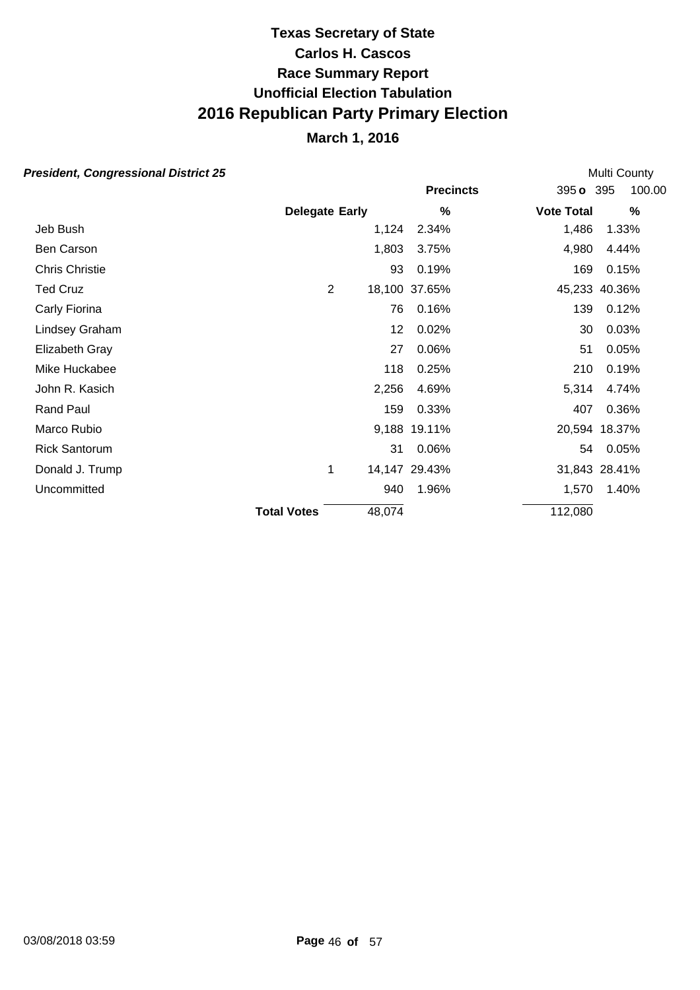## **March 1, 2016**

| esident, Congressional District 25 |                       |                |        |                  | <b>Multi County</b> |          |        |  |
|------------------------------------|-----------------------|----------------|--------|------------------|---------------------|----------|--------|--|
|                                    |                       |                |        | <b>Precincts</b> | 395 o 395           |          | 100.00 |  |
|                                    | <b>Delegate Early</b> |                |        | %                | <b>Vote Total</b>   |          | $\%$   |  |
| Jeb Bush                           |                       |                | 1,124  | 2.34%            | 1,486               | 1.33%    |        |  |
| Ben Carson                         |                       |                | 1,803  | 3.75%            | 4,980               | 4.44%    |        |  |
| <b>Chris Christie</b>              |                       |                | 93     | 0.19%            | 169                 | 0.15%    |        |  |
| Ted Cruz                           |                       | $\overline{2}$ |        | 18,100 37.65%    | 45,233 40.36%       |          |        |  |
| Carly Fiorina                      |                       |                | 76     | 0.16%            | 139                 | 0.12%    |        |  |
| Lindsey Graham                     |                       |                | 12     | 0.02%            | 30                  | 0.03%    |        |  |
| Elizabeth Gray                     |                       |                | 27     | 0.06%            | 51                  | 0.05%    |        |  |
| Mike Huckabee                      |                       |                | 118    | 0.25%            | 210                 | 0.19%    |        |  |
| John R. Kasich                     |                       |                | 2,256  | 4.69%            | 5,314               | 4.74%    |        |  |
| Rand Paul                          |                       |                | 159    | 0.33%            | 407                 | 0.36%    |        |  |
| Marco Rubio                        |                       |                |        | 9,188 19.11%     | 20,594 18.37%       |          |        |  |
| <b>Rick Santorum</b>               |                       |                | 31     | 0.06%            |                     | 54 0.05% |        |  |
| Donald J. Trump                    |                       | 1              |        | 14,147 29.43%    | 31,843 28.41%       |          |        |  |
| Uncommitted                        |                       |                | 940    | 1.96%            | 1,570               | 1.40%    |        |  |
|                                    | <b>Total Votes</b>    |                | 48,074 |                  | 112,080             |          |        |  |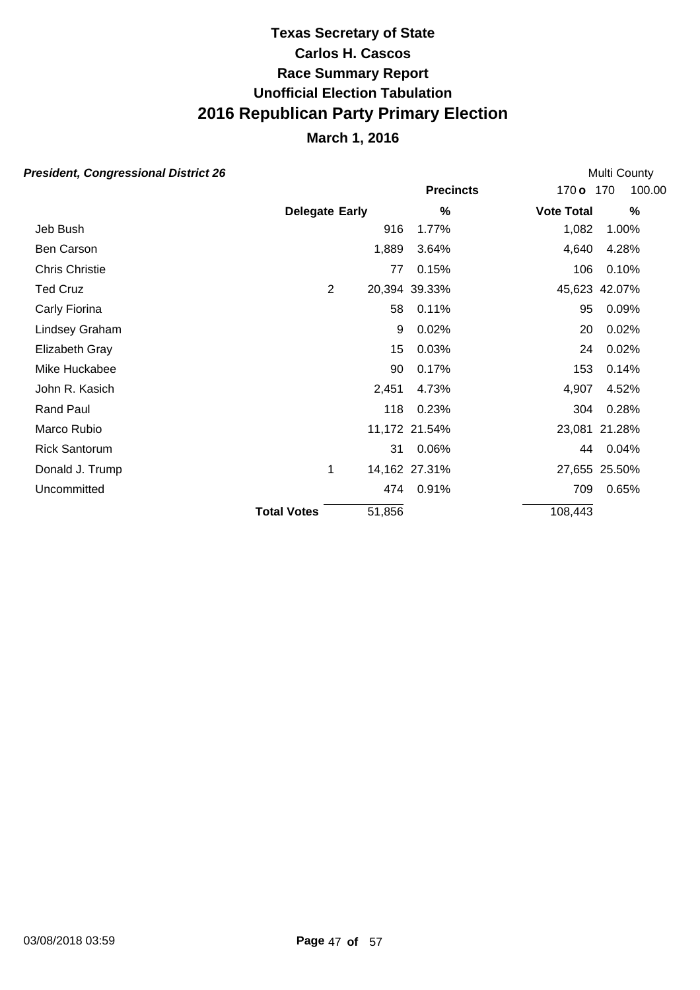## **March 1, 2016**

| esident, Congressional District 26 |                       |                |        |                  |                   | Multi County  |        |
|------------------------------------|-----------------------|----------------|--------|------------------|-------------------|---------------|--------|
|                                    |                       |                |        | <b>Precincts</b> | $170$ o           | 170           | 100.00 |
|                                    | <b>Delegate Early</b> |                |        | %                | <b>Vote Total</b> |               | $\%$   |
| Jeb Bush                           |                       |                | 916    | 1.77%            | 1,082             | 1.00%         |        |
| Ben Carson                         |                       |                | 1,889  | 3.64%            | 4,640             | 4.28%         |        |
| Chris Christie                     |                       |                | 77     | 0.15%            | 106               | 0.10%         |        |
| <b>Ted Cruz</b>                    |                       | $\overline{2}$ |        | 20,394 39.33%    |                   | 45,623 42.07% |        |
| Carly Fiorina                      |                       |                | 58     | 0.11%            | 95                | 0.09%         |        |
| Lindsey Graham                     |                       |                | 9      | 0.02%            | 20                | 0.02%         |        |
| Elizabeth Gray                     |                       |                | 15     | 0.03%            | 24                | 0.02%         |        |
| Mike Huckabee                      |                       |                | 90     | 0.17%            | 153               | 0.14%         |        |
| John R. Kasich                     |                       |                | 2,451  | 4.73%            | 4,907             | 4.52%         |        |
| <b>Rand Paul</b>                   |                       |                | 118    | 0.23%            | 304               | 0.28%         |        |
| Marco Rubio                        |                       |                |        | 11,172 21.54%    |                   | 23,081 21.28% |        |
| <b>Rick Santorum</b>               |                       |                | 31     | 0.06%            | 44                | 0.04%         |        |
| Donald J. Trump                    |                       | 1              |        | 14,162 27.31%    |                   | 27,655 25.50% |        |
| Uncommitted                        |                       |                |        | 474 0.91%        | 709               | 0.65%         |        |
|                                    | <b>Total Votes</b>    |                | 51,856 |                  | 108,443           |               |        |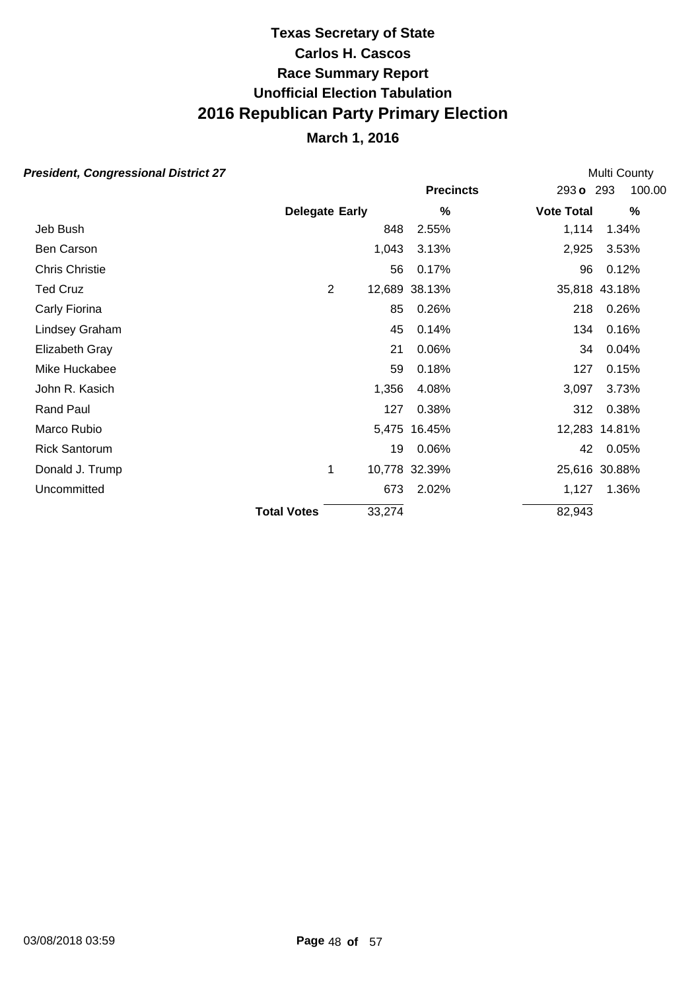## **March 1, 2016**

| esident, Congressional District 27 |                       |        |                  |                   | Multi County  |
|------------------------------------|-----------------------|--------|------------------|-------------------|---------------|
|                                    |                       |        | <b>Precincts</b> | 293 o 293         | 100.00        |
|                                    | <b>Delegate Early</b> |        | %                | <b>Vote Total</b> | %             |
| Jeb Bush                           |                       | 848    | 2.55%            | 1,114             | 1.34%         |
| Ben Carson                         |                       | 1,043  | 3.13%            | 2,925             | 3.53%         |
| <b>Chris Christie</b>              |                       | 56     | 0.17%            | 96                | 0.12%         |
| Ted Cruz                           | $\overline{2}$        |        | 12,689 38.13%    |                   | 35,818 43.18% |
| Carly Fiorina                      |                       | 85     | 0.26%            | 218               | 0.26%         |
| Lindsey Graham                     |                       | 45     | 0.14%            | 134               | 0.16%         |
| Elizabeth Gray                     |                       | 21     | 0.06%            | 34                | 0.04%         |
| Mike Huckabee                      |                       | 59     | 0.18%            | 127               | 0.15%         |
| John R. Kasich                     |                       | 1,356  | 4.08%            | 3,097             | 3.73%         |
| <b>Rand Paul</b>                   |                       | 127    | 0.38%            | 312               | 0.38%         |
| Marco Rubio                        |                       |        | 5,475 16.45%     |                   | 12,283 14.81% |
| <b>Rick Santorum</b>               |                       | 19     | 0.06%            | 42                | 0.05%         |
| Donald J. Trump                    | 1                     |        | 10,778 32.39%    |                   | 25,616 30.88% |
| Uncommitted                        |                       | 673    | 2.02%            | 1,127             | 1.36%         |
|                                    | <b>Total Votes</b>    | 33,274 |                  | 82,943            |               |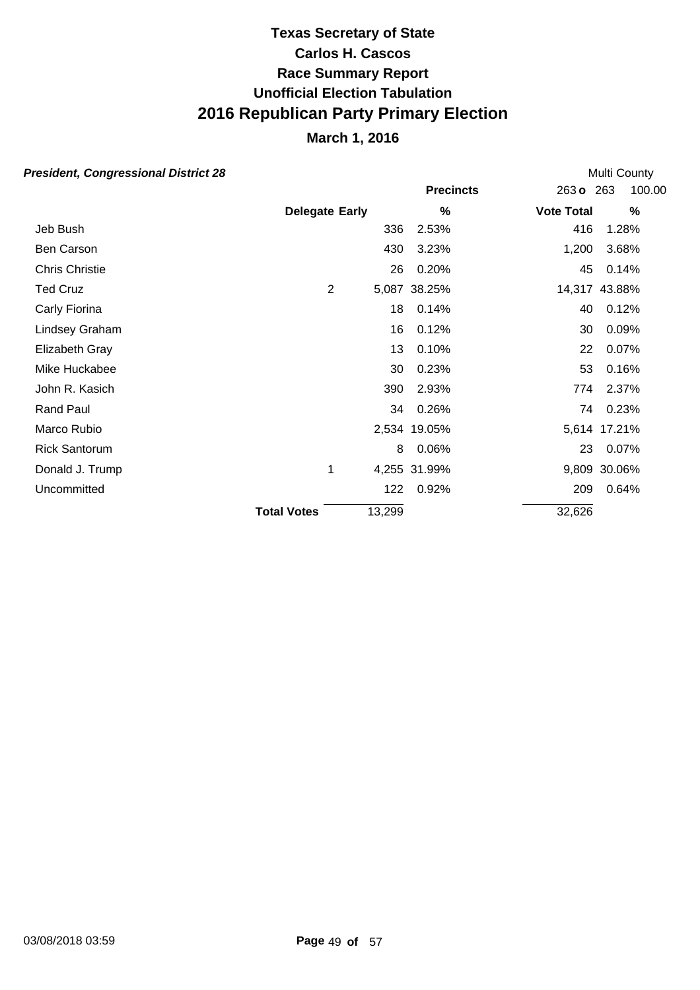## **March 1, 2016**

| esident, Congressional District 28 |                       |        |                  |                   | Multi County  |
|------------------------------------|-----------------------|--------|------------------|-------------------|---------------|
|                                    |                       |        | <b>Precincts</b> | 263 o 263         | 100.00        |
|                                    | <b>Delegate Early</b> |        | $\%$             | <b>Vote Total</b> | $\%$          |
| Jeb Bush                           |                       | 336    | 2.53%            | 416               | 1.28%         |
| Ben Carson                         |                       | 430    | 3.23%            | 1,200             | 3.68%         |
| Chris Christie                     |                       | 26     | 0.20%            | 45                | 0.14%         |
| Ted Cruz                           | $\overline{2}$        |        | 5,087 38.25%     |                   | 14,317 43.88% |
| Carly Fiorina                      |                       | 18     | 0.14%            | 40                | 0.12%         |
| Lindsey Graham                     |                       | 16     | 0.12%            | 30                | 0.09%         |
| Elizabeth Gray                     |                       | 13     | 0.10%            | 22                | 0.07%         |
| Mike Huckabee                      |                       | 30     | 0.23%            | 53                | 0.16%         |
| John R. Kasich                     |                       | 390    | 2.93%            | 774               | 2.37%         |
| <b>Rand Paul</b>                   |                       | 34     | 0.26%            | 74                | 0.23%         |
| Marco Rubio                        |                       |        | 2,534 19.05%     |                   | 5,614 17.21%  |
| <b>Rick Santorum</b>               |                       | 8      | 0.06%            | 23                | 0.07%         |
| Donald J. Trump                    | 1                     |        | 4,255 31.99%     |                   | 9,809 30.06%  |
| Uncommitted                        |                       | 122    | 0.92%            | 209               | 0.64%         |
|                                    | <b>Total Votes</b>    | 13,299 |                  | 32,626            |               |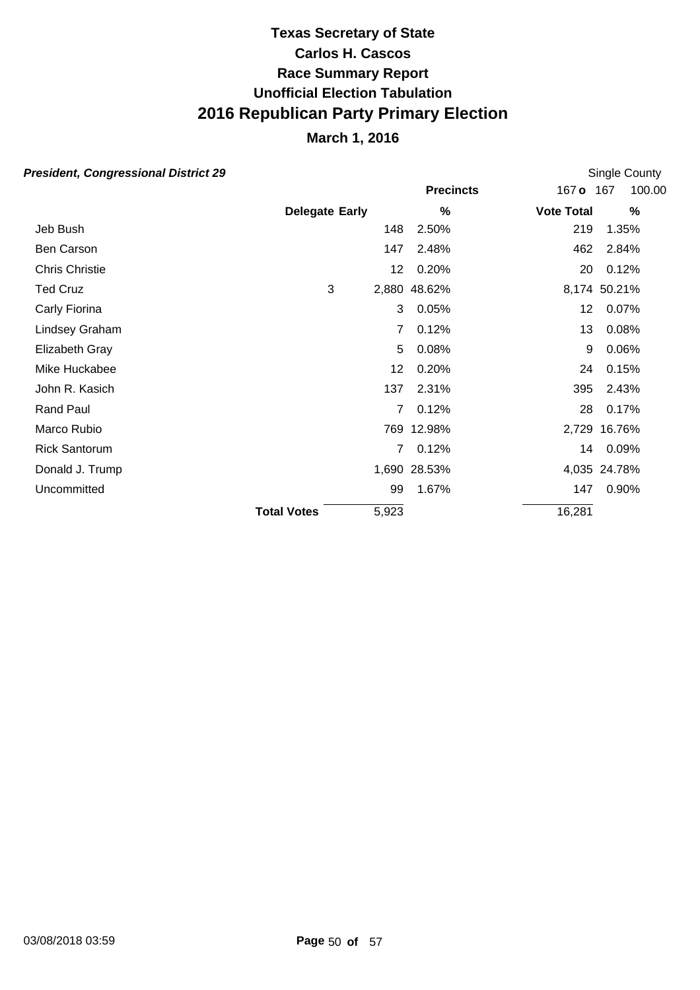## **March 1, 2016**

| esident, Congressional District 29 |                       |                 |                  |                   | Single County |
|------------------------------------|-----------------------|-----------------|------------------|-------------------|---------------|
|                                    |                       |                 | <b>Precincts</b> | 167 o             | 100.00<br>167 |
|                                    | <b>Delegate Early</b> |                 | %                | <b>Vote Total</b> | $\%$          |
| Jeb Bush                           |                       | 148             | 2.50%            | 219               | 1.35%         |
| Ben Carson                         |                       | 147             | 2.48%            | 462               | 2.84%         |
| Chris Christie                     |                       | 12 <sup>°</sup> | 0.20%            | 20                | 0.12%         |
| Ted Cruz                           | 3                     |                 | 2,880 48.62%     |                   | 8,174 50.21%  |
| Carly Fiorina                      |                       | 3               | 0.05%            | 12 <sub>2</sub>   | 0.07%         |
| Lindsey Graham                     |                       | 7               | 0.12%            | 13                | 0.08%         |
| Elizabeth Gray                     |                       | 5               | 0.08%            | 9                 | 0.06%         |
| Mike Huckabee                      |                       | 12              | 0.20%            | 24                | 0.15%         |
| John R. Kasich                     |                       | 137             | 2.31%            | 395               | 2.43%         |
| <b>Rand Paul</b>                   |                       | 7               | 0.12%            | 28                | 0.17%         |
| Marco Rubio                        |                       |                 | 769 12.98%       |                   | 2,729 16.76%  |
| <b>Rick Santorum</b>               |                       | 7               | 0.12%            | 14                | $0.09\%$      |
| Donald J. Trump                    |                       |                 | 1,690 28.53%     |                   | 4,035 24.78%  |
| Uncommitted                        |                       | 99              | 1.67%            | 147               | 0.90%         |
|                                    | <b>Total Votes</b>    | 5,923           |                  | 16,281            |               |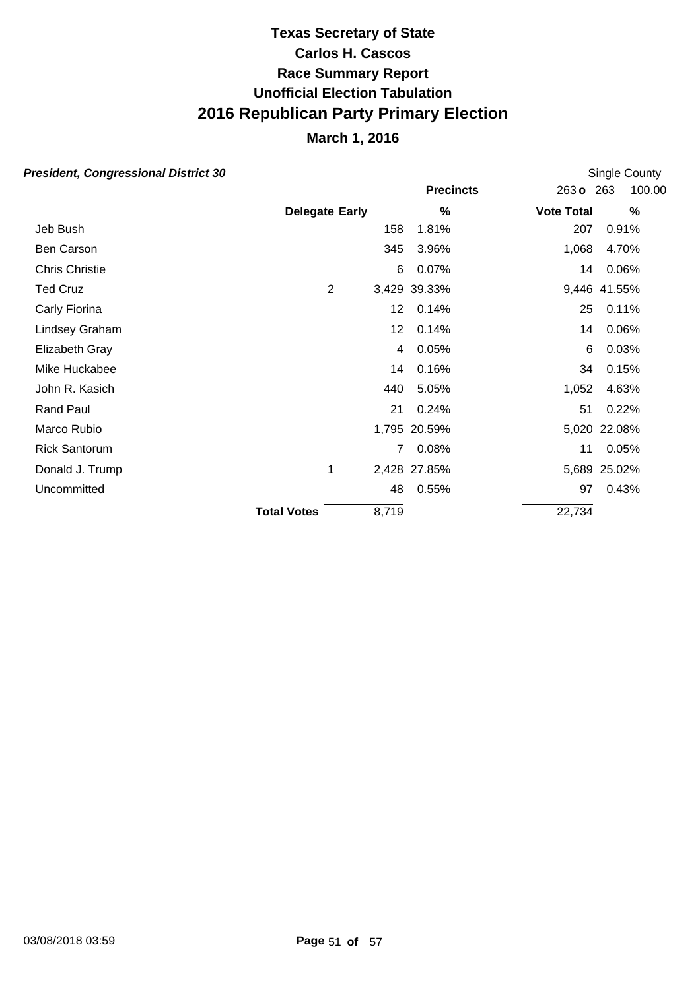### **March 1, 2016**

|                       |       |                  |                                                                                                                   | Single County |
|-----------------------|-------|------------------|-------------------------------------------------------------------------------------------------------------------|---------------|
|                       |       | <b>Precincts</b> | 263 <sub>o</sub>                                                                                                  | 100.00<br>263 |
| <b>Delegate Early</b> |       | %                | <b>Vote Total</b>                                                                                                 | $\%$          |
|                       | 158   | 1.81%            | 207                                                                                                               | 0.91%         |
|                       |       | 3.96%            | 1,068                                                                                                             | 4.70%         |
|                       | 6     | 0.07%            | 14                                                                                                                | 0.06%         |
| $\overline{2}$        |       |                  |                                                                                                                   | 9,446 41.55%  |
|                       |       | 0.14%            | 25                                                                                                                | 0.11%         |
|                       |       | 0.14%            | 14                                                                                                                | 0.06%         |
|                       |       | 0.05%            | 6                                                                                                                 | 0.03%         |
|                       |       | 0.16%            | 34                                                                                                                | 0.15%         |
|                       |       | 5.05%            | 1,052                                                                                                             | 4.63%         |
|                       | 21    | 0.24%            | 51                                                                                                                | 0.22%         |
|                       |       |                  |                                                                                                                   | 5,020 22.08%  |
|                       |       | 0.08%            | 11                                                                                                                | 0.05%         |
| 1                     |       |                  |                                                                                                                   | 5,689 25.02%  |
|                       |       | 0.55%            | 97                                                                                                                | 0.43%         |
| <b>Total Votes</b>    | 8,719 |                  | 22,734                                                                                                            |               |
|                       |       |                  | 345<br>3,429 39.33%<br>12 <sup>°</sup><br>12 <sup>°</sup><br>4<br>14<br>440<br>1,795 20.59%<br>2,428 27.85%<br>48 |               |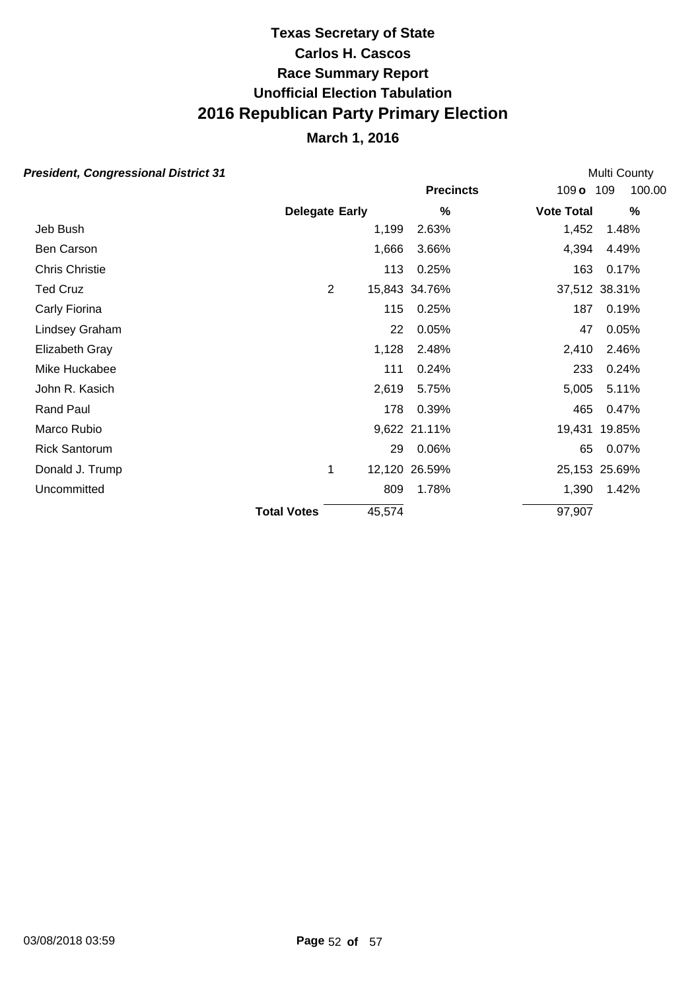## **March 1, 2016**

|                    |        |                                         |                                                                                                                            | Multi County                                                                                                                  |
|--------------------|--------|-----------------------------------------|----------------------------------------------------------------------------------------------------------------------------|-------------------------------------------------------------------------------------------------------------------------------|
|                    |        | <b>Precincts</b>                        |                                                                                                                            | 100.00                                                                                                                        |
|                    |        | %                                       |                                                                                                                            | $\%$                                                                                                                          |
|                    |        | 2.63%                                   |                                                                                                                            | 1.48%                                                                                                                         |
|                    |        | 3.66%                                   |                                                                                                                            | 4.49%                                                                                                                         |
|                    |        | 0.25%                                   |                                                                                                                            | 0.17%                                                                                                                         |
|                    |        |                                         |                                                                                                                            | 37,512 38.31%                                                                                                                 |
|                    |        | 0.25%                                   |                                                                                                                            | 0.19%                                                                                                                         |
|                    |        | 0.05%                                   |                                                                                                                            | 0.05%                                                                                                                         |
|                    |        | 2.48%                                   |                                                                                                                            | 2.46%                                                                                                                         |
|                    | 111    | 0.24%                                   |                                                                                                                            | 0.24%                                                                                                                         |
|                    |        | 5.75%                                   |                                                                                                                            | 5.11%                                                                                                                         |
|                    |        | 0.39%                                   |                                                                                                                            | 0.47%                                                                                                                         |
|                    |        |                                         |                                                                                                                            | 19,431 19.85%                                                                                                                 |
|                    |        | 0.06%                                   |                                                                                                                            | 0.07%                                                                                                                         |
| 1                  |        |                                         |                                                                                                                            | 25,153 25.69%                                                                                                                 |
|                    |        | 1.78%                                   |                                                                                                                            | 1.42%                                                                                                                         |
| <b>Total Votes</b> | 45,574 |                                         |                                                                                                                            |                                                                                                                               |
|                    |        | <b>Delegate Early</b><br>$\overline{2}$ | 1,199<br>1,666<br>113<br>15,843 34.76%<br>115<br>22<br>1,128<br>2,619<br>178<br>9,622 21.11%<br>29<br>12,120 26.59%<br>809 | 109 o 109<br><b>Vote Total</b><br>1,452<br>4,394<br>163<br>187<br>47<br>2,410<br>233<br>5,005<br>465<br>65<br>1,390<br>97,907 |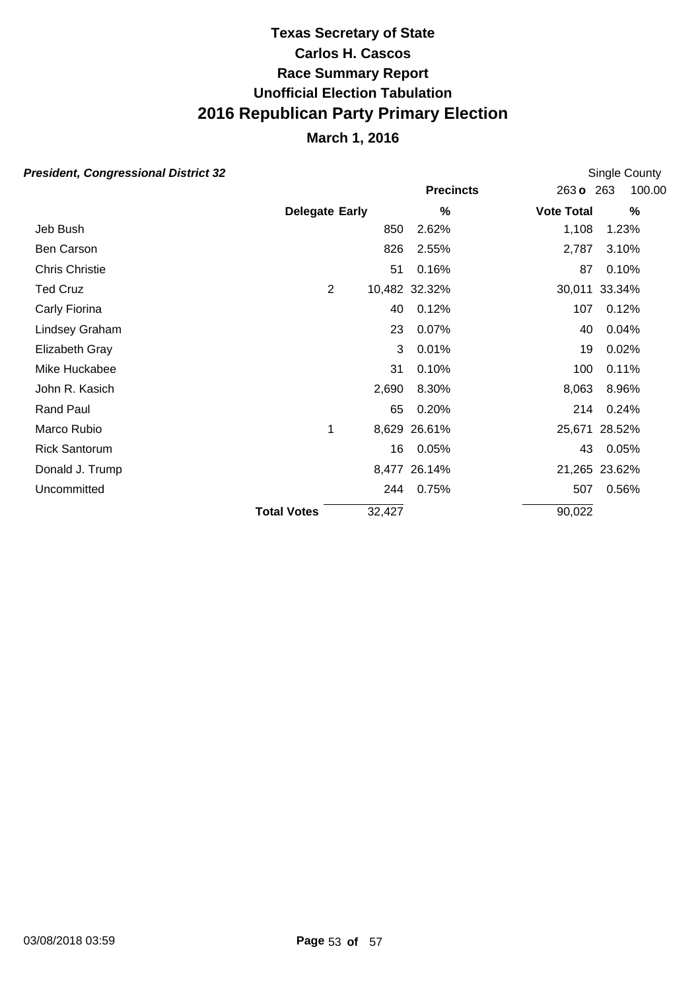## **March 1, 2016**

| esident, Congressional District 32 |                       |                |        |                  |                   | Single County |
|------------------------------------|-----------------------|----------------|--------|------------------|-------------------|---------------|
|                                    |                       |                |        | <b>Precincts</b> | 263 <sub>o</sub>  | 100.00<br>263 |
|                                    | <b>Delegate Early</b> |                |        | %                | <b>Vote Total</b> | $\%$          |
| Jeb Bush                           |                       |                | 850    | 2.62%            | 1,108             | 1.23%         |
| Ben Carson                         |                       |                | 826    | 2.55%            | 2,787             | 3.10%         |
| Chris Christie                     |                       |                | 51     | 0.16%            | 87                | 0.10%         |
| <b>Ted Cruz</b>                    |                       | $\overline{2}$ |        | 10,482 32.32%    |                   | 30,011 33.34% |
| Carly Fiorina                      |                       |                | 40     | 0.12%            | 107               | 0.12%         |
| Lindsey Graham                     |                       |                | 23     | 0.07%            | 40                | 0.04%         |
| Elizabeth Gray                     |                       |                | 3      | 0.01%            | 19                | 0.02%         |
| Mike Huckabee                      |                       |                | 31     | 0.10%            | 100               | 0.11%         |
| John R. Kasich                     |                       |                | 2,690  | 8.30%            | 8,063             | 8.96%         |
| <b>Rand Paul</b>                   |                       |                | 65     | 0.20%            | 214               | 0.24%         |
| Marco Rubio                        |                       |                |        | 8,629 26.61%     |                   | 25,671 28.52% |
| <b>Rick Santorum</b>               |                       |                | 16     | 0.05%            | 43                | 0.05%         |
| Donald J. Trump                    |                       |                |        | 8,477 26.14%     |                   | 21,265 23.62% |
| Uncommitted                        |                       |                | 244    | 0.75%            | 507               | 0.56%         |
|                                    | <b>Total Votes</b>    |                | 32,427 |                  | 90,022            |               |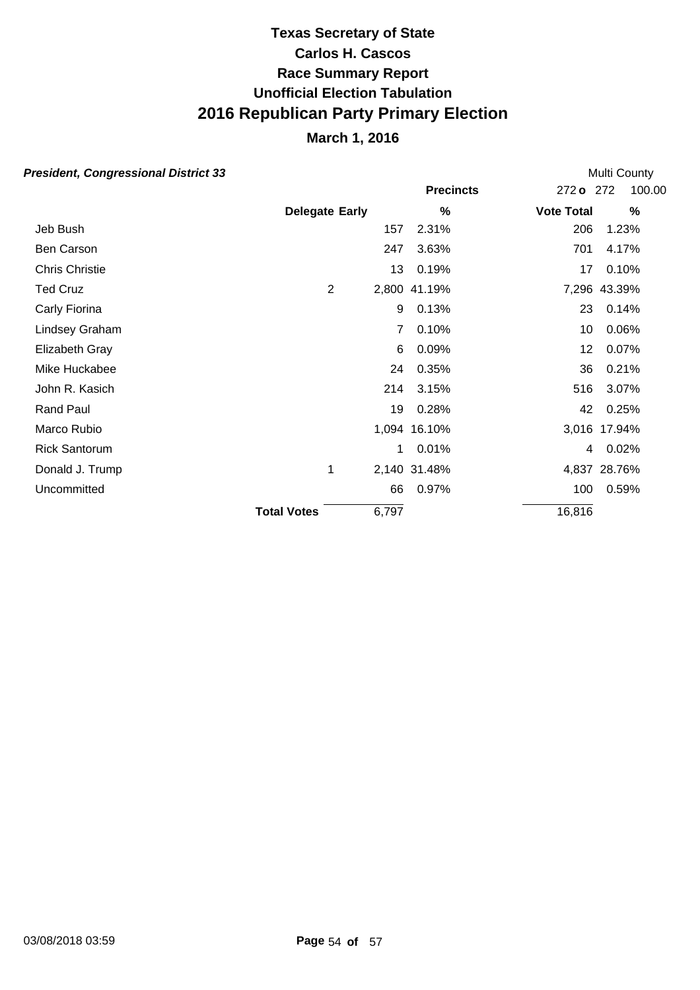## **March 1, 2016**

| esident, Congressional District 33 |                       |       |                  |                   | Multi County  |
|------------------------------------|-----------------------|-------|------------------|-------------------|---------------|
|                                    |                       |       | <b>Precincts</b> | 272 o             | 100.00<br>272 |
|                                    | <b>Delegate Early</b> |       | %                | <b>Vote Total</b> | $\%$          |
| Jeb Bush                           |                       | 157   | 2.31%            | 206               | 1.23%         |
| Ben Carson                         |                       | 247   | 3.63%            | 701               | 4.17%         |
| <b>Chris Christie</b>              |                       | 13    | 0.19%            | 17                | 0.10%         |
| Ted Cruz                           | 2                     |       | 2,800 41.19%     |                   | 7,296 43.39%  |
| Carly Fiorina                      |                       | 9     | 0.13%            | 23                | 0.14%         |
| Lindsey Graham                     |                       | 7     | 0.10%            | 10                | 0.06%         |
| Elizabeth Gray                     |                       | 6     | 0.09%            | 12                | 0.07%         |
| Mike Huckabee                      |                       | 24    | 0.35%            | 36                | 0.21%         |
| John R. Kasich                     |                       | 214   | 3.15%            | 516               | 3.07%         |
| <b>Rand Paul</b>                   |                       | 19    | 0.28%            | 42                | 0.25%         |
| Marco Rubio                        |                       |       | 1,094 16.10%     |                   | 3,016 17.94%  |
| <b>Rick Santorum</b>               |                       | 1     | 0.01%            | 4                 | 0.02%         |
| Donald J. Trump                    | 1                     |       | 2,140 31.48%     |                   | 4,837 28.76%  |
| Uncommitted                        |                       | 66    | 0.97%            | 100               | 0.59%         |
|                                    | <b>Total Votes</b>    | 6,797 |                  | 16,816            |               |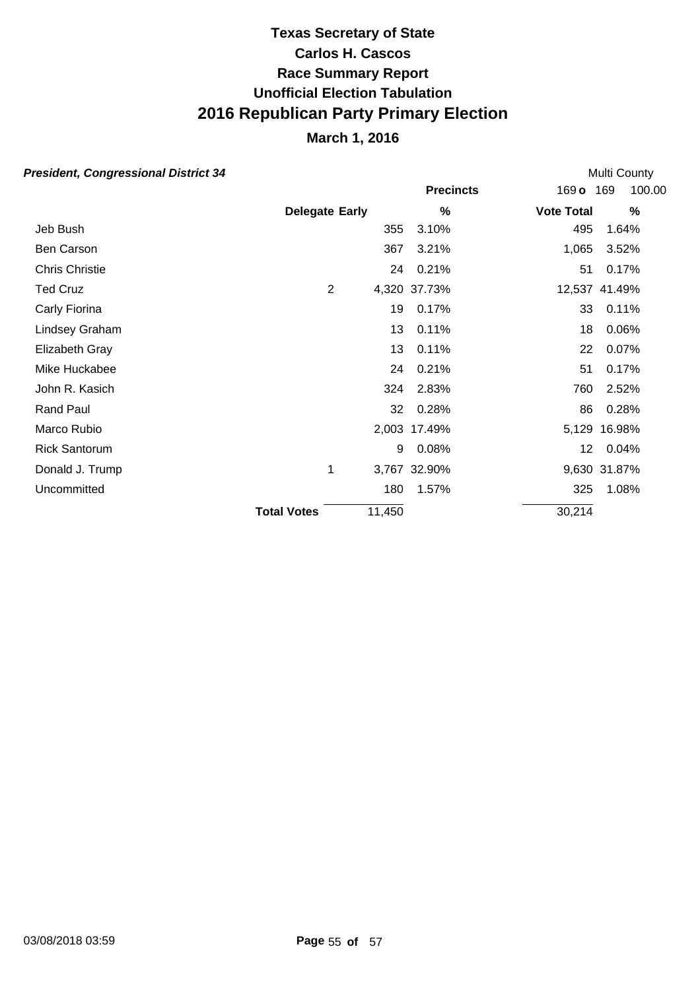## **March 1, 2016**

| esident, Congressional District 34 |                       |        |                  |                   | Multi County  |
|------------------------------------|-----------------------|--------|------------------|-------------------|---------------|
|                                    |                       |        | <b>Precincts</b> | 169 o 169         | 100.00        |
|                                    | <b>Delegate Early</b> |        | %                | <b>Vote Total</b> | $\%$          |
| Jeb Bush                           |                       | 355    | 3.10%            | 495               | 1.64%         |
| Ben Carson                         |                       | 367    | 3.21%            | 1,065             | 3.52%         |
| Chris Christie                     |                       | 24     | 0.21%            | 51                | 0.17%         |
| <b>Ted Cruz</b>                    | $\overline{2}$        |        | 4,320 37.73%     |                   | 12,537 41.49% |
| Carly Fiorina                      |                       | 19     | 0.17%            | 33                | 0.11%         |
| Lindsey Graham                     |                       | 13     | 0.11%            | 18                | 0.06%         |
| Elizabeth Gray                     |                       | 13     | 0.11%            | 22                | 0.07%         |
| Mike Huckabee                      |                       | 24     | 0.21%            | 51                | 0.17%         |
| John R. Kasich                     |                       | 324    | 2.83%            | 760               | 2.52%         |
| Rand Paul                          |                       | 32     | 0.28%            | 86                | 0.28%         |
| Marco Rubio                        |                       |        | 2,003 17.49%     |                   | 5,129 16.98%  |
| <b>Rick Santorum</b>               |                       | 9      | 0.08%            | 12 <sub>2</sub>   | 0.04%         |
| Donald J. Trump                    | 1                     |        | 3,767 32.90%     |                   | 9,630 31.87%  |
| Uncommitted                        |                       | 180    | 1.57%            | 325               | 1.08%         |
|                                    | <b>Total Votes</b>    | 11,450 |                  | 30,214            |               |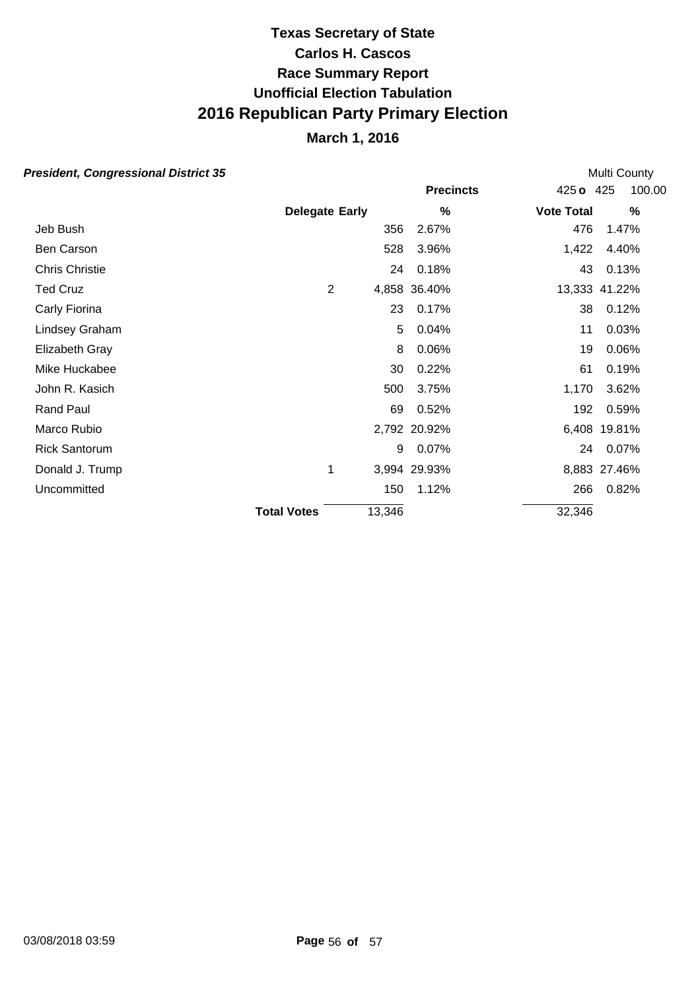## **March 1, 2016**

| esident, Congressional District 35 |                       |        |                  |                   | Multi County  |
|------------------------------------|-----------------------|--------|------------------|-------------------|---------------|
|                                    |                       |        | <b>Precincts</b> | $425$ o           | 100.00<br>425 |
|                                    | <b>Delegate Early</b> |        | %                | <b>Vote Total</b> | $\%$          |
| Jeb Bush                           |                       | 356    | 2.67%            | 476               | 1.47%         |
| Ben Carson                         |                       | 528    | 3.96%            | 1,422             | 4.40%         |
| <b>Chris Christie</b>              |                       | 24     | 0.18%            | 43                | 0.13%         |
| <b>Ted Cruz</b>                    | 2                     |        | 4,858 36.40%     |                   | 13,333 41.22% |
| Carly Fiorina                      |                       | 23     | 0.17%            | 38                | 0.12%         |
| Lindsey Graham                     |                       | 5      | 0.04%            | 11                | 0.03%         |
| Elizabeth Gray                     |                       | 8      | 0.06%            | 19                | 0.06%         |
| Mike Huckabee                      |                       | 30     | 0.22%            | 61                | 0.19%         |
| John R. Kasich                     |                       | 500    | 3.75%            | 1,170             | 3.62%         |
| Rand Paul                          |                       | 69     | 0.52%            | 192               | 0.59%         |
| Marco Rubio                        |                       |        | 2,792 20.92%     |                   | 6,408 19.81%  |
| <b>Rick Santorum</b>               |                       | 9      | 0.07%            | 24                | 0.07%         |
| Donald J. Trump                    | 1                     |        | 3,994 29.93%     |                   | 8,883 27.46%  |
| Uncommitted                        |                       | 150    | 1.12%            | 266               | 0.82%         |
|                                    | <b>Total Votes</b>    | 13,346 |                  | 32,346            |               |